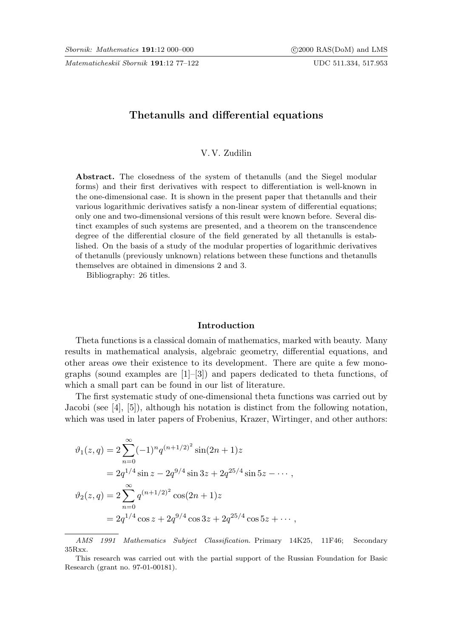Matematicheskiĭ Sbornik 191:12 77-122 UDC 511.334, 517.953

# Thetanulls and differential equations

# V. V. Zudilin

Abstract. The closedness of the system of thetanulls (and the Siegel modular forms) and their first derivatives with respect to differentiation is well-known in the one-dimensional case. It is shown in the present paper that thetanulls and their various logarithmic derivatives satisfy a non-linear system of differential equations; only one and two-dimensional versions of this result were known before. Several distinct examples of such systems are presented, and a theorem on the transcendence degree of the differential closure of the field generated by all thetanulls is established. On the basis of a study of the modular properties of logarithmic derivatives of thetanulls (previously unknown) relations between these functions and thetanulls themselves are obtained in dimensions 2 and 3.

Bibliography: 26 titles.

### Introduction

Theta functions is a classical domain of mathematics, marked with beauty. Many results in mathematical analysis, algebraic geometry, differential equations, and other areas owe their existence to its development. There are quite a few monographs (sound examples are  $[1]-[3]$ ) and papers dedicated to theta functions, of which a small part can be found in our list of literature.

The first systematic study of one-dimensional theta functions was carried out by Jacobi (see [4], [5]), although his notation is distinct from the following notation, which was used in later papers of Frobenius, Krazer, Wirtinger, and other authors:

$$
\vartheta_1(z,q) = 2 \sum_{n=0}^{\infty} (-1)^n q^{(n+1/2)^2} \sin(2n+1)z
$$
  
=  $2q^{1/4} \sin z - 2q^{9/4} \sin 3z + 2q^{25/4} \sin 5z - \cdots$ ,  

$$
\vartheta_2(z,q) = 2 \sum_{n=0}^{\infty} q^{(n+1/2)^2} \cos(2n+1)z
$$
  
=  $2q^{1/4} \cos z + 2q^{9/4} \cos 3z + 2q^{25/4} \cos 5z + \cdots$ ,

AMS 1991 Mathematics Subject Classification. Primary 14K25, 11F46; Secondary 35Rxx.

This research was carried out with the partial support of the Russian Foundation for Basic Research (grant no. 97-01-00181).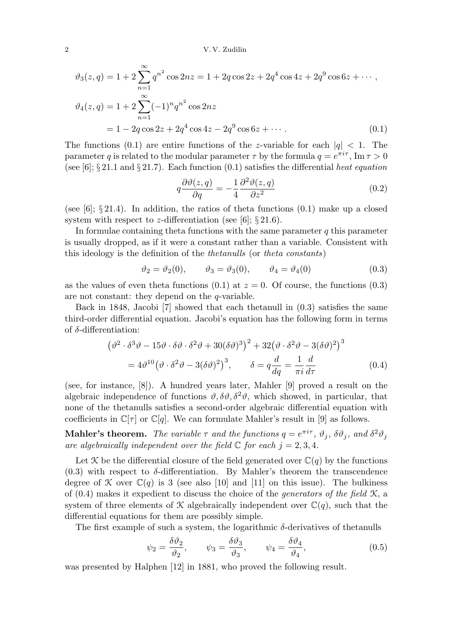2 V. V. Zudilin

$$
\vartheta_3(z,q) = 1 + 2 \sum_{n=1}^{\infty} q^{n^2} \cos 2nz = 1 + 2q \cos 2z + 2q^4 \cos 4z + 2q^9 \cos 6z + \cdots,
$$
  

$$
\vartheta_4(z,q) = 1 + 2 \sum_{n=1}^{\infty} (-1)^n q^{n^2} \cos 2nz
$$
  

$$
= 1 - 2q \cos 2z + 2q^4 \cos 4z - 2q^9 \cos 6z + \cdots
$$
 (0.1)

The functions (0.1) are entire functions of the z-variable for each  $|q| < 1$ . The parameter q is related to the modular parameter  $\tau$  by the formula  $q = e^{\pi i \tau}$ , Im  $\tau > 0$ (see [6];  $\S 21.1$  and  $\S 21.7$ ). Each function (0.1) satisfies the differential heat equation

$$
q\frac{\partial\vartheta(z,q)}{\partial q} = -\frac{1}{4}\frac{\partial^2\vartheta(z,q)}{\partial z^2}
$$
\n(0.2)

(see [6];  $\S 21.4$ ). In addition, the ratios of theta functions  $(0.1)$  make up a closed system with respect to z-differentiation (see [6];  $\S 21.6$ ).

In formulae containing theta functions with the same parameter  $q$  this parameter is usually dropped, as if it were a constant rather than a variable. Consistent with this ideology is the definition of the thetanulls (or theta constants)

$$
\vartheta_2 = \vartheta_2(0), \qquad \vartheta_3 = \vartheta_3(0), \qquad \vartheta_4 = \vartheta_4(0) \tag{0.3}
$$

as the values of even theta functions  $(0.1)$  at  $z = 0$ . Of course, the functions  $(0.3)$ are not constant: they depend on the q-variable.

Back in 1848, Jacobi [7] showed that each thetanull in (0.3) satisfies the same third-order differential equation. Jacobi's equation has the following form in terms of δ-differentiation:

$$
(\vartheta^2 \cdot \delta^3 \vartheta - 15 \vartheta \cdot \delta \vartheta \cdot \delta^2 \vartheta + 30 (\delta \vartheta)^3)^2 + 32 (\vartheta \cdot \delta^2 \vartheta - 3 (\delta \vartheta)^2)^3
$$
  
=  $4 \vartheta^{10} (\vartheta \cdot \delta^2 \vartheta - 3 (\delta \vartheta)^2)^3$ ,  $\delta = q \frac{d}{dq} = \frac{1}{\pi i} \frac{d}{d\tau}$  (0.4)

(see, for instance, [8]). A hundred years later, Mahler [9] proved a result on the algebraic independence of functions  $\vartheta, \delta\vartheta, \delta^2\vartheta$ , which showed, in particular, that none of the thetanulls satisfies a second-order algebraic differential equation with coefficients in  $\mathbb{C}[\tau]$  or  $\mathbb{C}[q]$ . We can formulate Mahler's result in [9] as follows.

**Mahler's theorem.** The variable  $\tau$  and the functions  $q = e^{\pi i \tau}$ ,  $\vartheta_j$ ,  $\delta \vartheta_j$ , and  $\delta^2 \vartheta_j$ are algebraically independent over the field  $\mathbb C$  for each  $j = 2, 3, 4$ .

Let X be the differential closure of the field generated over  $\mathbb{C}(q)$  by the functions  $(0.3)$  with respect to  $\delta$ -differentiation. By Mahler's theorem the transcendence degree of X over  $\mathbb{C}(q)$  is 3 (see also [10] and [11] on this issue). The bulkiness of  $(0.4)$  makes it expedient to discuss the choice of the *generators of the field*  $\mathcal{K}$ , a system of three elements of X algebraically independent over  $\mathbb{C}(q)$ , such that the differential equations for them are possibly simple.

The first example of such a system, the logarithmic  $\delta$ -derivatives of thetanulls

$$
\psi_2 = \frac{\delta \vartheta_2}{\vartheta_2}, \qquad \psi_3 = \frac{\delta \vartheta_3}{\vartheta_3}, \qquad \psi_4 = \frac{\delta \vartheta_4}{\vartheta_4}, \tag{0.5}
$$

was presented by Halphen [12] in 1881, who proved the following result.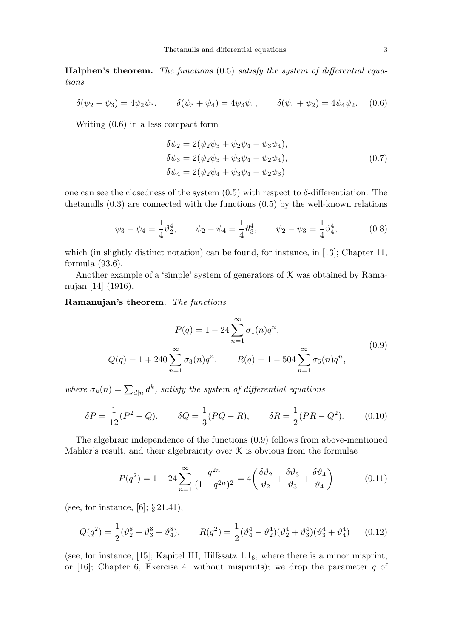**Halphen's theorem.** The functions  $(0.5)$  satisfy the system of differential equations

$$
\delta(\psi_2 + \psi_3) = 4\psi_2\psi_3, \qquad \delta(\psi_3 + \psi_4) = 4\psi_3\psi_4, \qquad \delta(\psi_4 + \psi_2) = 4\psi_4\psi_2. \tag{0.6}
$$

Writing (0.6) in a less compact form

$$
\delta\psi_2 = 2(\psi_2\psi_3 + \psi_2\psi_4 - \psi_3\psi_4), \n\delta\psi_3 = 2(\psi_2\psi_3 + \psi_3\psi_4 - \psi_2\psi_4), \n\delta\psi_4 = 2(\psi_2\psi_4 + \psi_3\psi_4 - \psi_2\psi_3)
$$
\n(0.7)

one can see the closedness of the system  $(0.5)$  with respect to  $\delta$ -differentiation. The thetanulls  $(0.3)$  are connected with the functions  $(0.5)$  by the well-known relations

$$
\psi_3 - \psi_4 = \frac{1}{4}\vartheta_2^4, \qquad \psi_2 - \psi_4 = \frac{1}{4}\vartheta_3^4, \qquad \psi_2 - \psi_3 = \frac{1}{4}\vartheta_4^4,
$$
\n(0.8)

which (in slightly distinct notation) can be found, for instance, in [13]; Chapter 11, formula (93.6).

Another example of a 'simple' system of generators of  $K$  was obtained by Ramanujan [14] (1916).

### Ramanujan's theorem. The functions

$$
P(q) = 1 - 24 \sum_{n=1}^{\infty} \sigma_1(n) q^n,
$$
  
\n
$$
Q(q) = 1 + 240 \sum_{n=1}^{\infty} \sigma_3(n) q^n, \qquad R(q) = 1 - 504 \sum_{n=1}^{\infty} \sigma_5(n) q^n,
$$
\n(0.9)

where  $\sigma_k(n) = \sum_{d|n} d^k$ , satisfy the system of differential equations

$$
\delta P = \frac{1}{12}(P^2 - Q), \qquad \delta Q = \frac{1}{3}(PQ - R), \qquad \delta R = \frac{1}{2}(PR - Q^2). \tag{0.10}
$$

The algebraic independence of the functions (0.9) follows from above-mentioned Mahler's result, and their algebraicity over  $\mathcal K$  is obvious from the formulae

$$
P(q^2) = 1 - 24 \sum_{n=1}^{\infty} \frac{q^{2n}}{(1 - q^{2n})^2} = 4 \left( \frac{\delta \vartheta_2}{\vartheta_2} + \frac{\delta \vartheta_3}{\vartheta_3} + \frac{\delta \vartheta_4}{\vartheta_4} \right)
$$
(0.11)

(see, for instance,  $[6]$ ;  $\S 21.41$ ),

$$
Q(q^2) = \frac{1}{2}(\vartheta_2^8 + \vartheta_3^8 + \vartheta_4^8), \qquad R(q^2) = \frac{1}{2}(\vartheta_4^4 - \vartheta_2^4)(\vartheta_2^4 + \vartheta_3^4)(\vartheta_3^4 + \vartheta_4^4) \qquad (0.12)
$$

(see, for instance, [15]; Kapitel III, Hilfssatz  $1.1<sub>6</sub>$ , where there is a minor misprint, or [16]; Chapter 6, Exercise 4, without misprints); we drop the parameter  $q$  of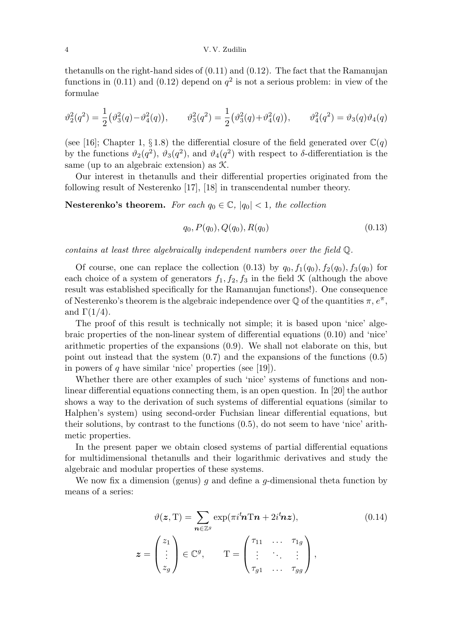#### 4 V. V. Zudilin

thetanulls on the right-hand sides of (0.11) and (0.12). The fact that the Ramanujan functions in (0.11) and (0.12) depend on  $q^2$  is not a serious problem: in view of the formulae

$$
\vartheta_2^2(q^2) = \frac{1}{2} (\vartheta_3^2(q) - \vartheta_4^2(q)), \qquad \vartheta_3^2(q^2) = \frac{1}{2} (\vartheta_3^2(q) + \vartheta_4^2(q)), \qquad \vartheta_4^2(q^2) = \vartheta_3(q)\vartheta_4(q)
$$

(see [16]; Chapter 1, § 1.8) the differential closure of the field generated over  $\mathbb{C}(q)$ by the functions  $\vartheta_2(q^2)$ ,  $\vartheta_3(q^2)$ , and  $\vartheta_4(q^2)$  with respect to  $\delta$ -differentiation is the same (up to an algebraic extension) as K.

Our interest in thetanulls and their differential properties originated from the following result of Nesterenko [17], [18] in transcendental number theory.

**Nesterenko's theorem.** For each  $q_0 \in \mathbb{C}$ ,  $|q_0| < 1$ , the collection

$$
q_0, P(q_0), Q(q_0), R(q_0) \tag{0.13}
$$

contains at least three algebraically independent numbers over the field Q.

Of course, one can replace the collection  $(0.13)$  by  $q_0, f_1(q_0), f_2(q_0), f_3(q_0)$  for each choice of a system of generators  $f_1, f_2, f_3$  in the field  $\mathcal K$  (although the above result was established specifically for the Ramanujan functions!). One consequence of Nesterenko's theorem is the algebraic independence over  $\mathbb Q$  of the quantities  $\pi, e^{\pi}$ , and  $\Gamma(1/4)$ .

The proof of this result is technically not simple; it is based upon 'nice' algebraic properties of the non-linear system of differential equations (0.10) and 'nice' arithmetic properties of the expansions (0.9). We shall not elaborate on this, but point out instead that the system (0.7) and the expansions of the functions (0.5) in powers of q have similar 'nice' properties (see [19]).

Whether there are other examples of such 'nice' systems of functions and nonlinear differential equations connecting them, is an open question. In [20] the author shows a way to the derivation of such systems of differential equations (similar to Halphen's system) using second-order Fuchsian linear differential equations, but their solutions, by contrast to the functions (0.5), do not seem to have 'nice' arithmetic properties.

In the present paper we obtain closed systems of partial differential equations for multidimensional thetanulls and their logarithmic derivatives and study the algebraic and modular properties of these systems.

We now fix a dimension (genus)  $g$  and define a  $g$ -dimensional theta function by means of a series:

$$
\vartheta(\mathbf{z}, \mathbf{T}) = \sum_{\mathbf{n} \in \mathbb{Z}^g} \exp(\pi i \mathbf{h} \mathbf{T} \mathbf{n} + 2i \mathbf{h} \mathbf{z}), \qquad (0.14)
$$

$$
\mathbf{z} = \begin{pmatrix} z_1 \\ \vdots \\ z_g \end{pmatrix} \in \mathbb{C}^g, \qquad \mathbf{T} = \begin{pmatrix} \tau_{11} & \cdots & \tau_{1g} \\ \vdots & \ddots & \vdots \\ \tau_{g1} & \cdots & \tau_{gg} \end{pmatrix},
$$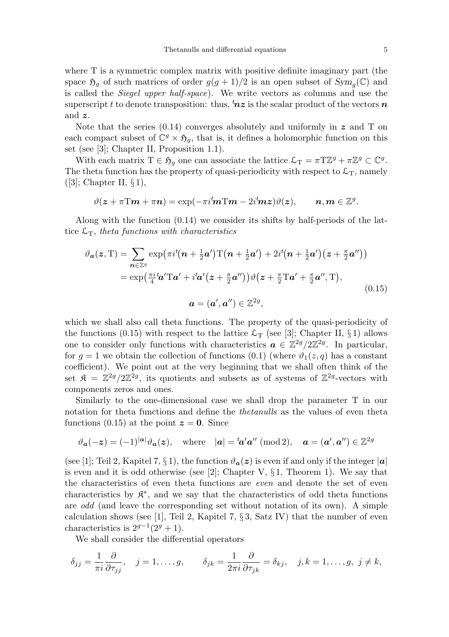where T is a symmetric complex matrix with positive definite imaginary part (the space  $\mathfrak{H}_g$  of such matrices of order  $g(g+1)/2$  is an open subset of  $Sym_g(\mathbb{C})$  and is called the Siegel upper half-space). We write vectors as columns and use the superscript t to denote transposition: thus,  ${}^{t}nz$  is the scalar product of the vectors n and z.

Note that the series  $(0.14)$  converges absolutely and uniformly in z and T on each compact subset of  $\mathbb{C}^g \times \mathfrak{H}_g$ , that is, it defines a holomorphic function on this set (see [3]; Chapter II, Proposition 1.1).

With each matrix  $T \in \mathfrak{H}_g$  one can associate the lattice  $\mathcal{L}_T = \pi T \mathbb{Z}^g + \pi \mathbb{Z}^g \subset \mathbb{C}^g$ . The theta function has the property of quasi-periodicity with respect to  $\mathcal{L}_T$ , namely  $([3];$  Chapter II,  $\S 1),$ 

$$
\vartheta(\boldsymbol{z}+\pi\mathrm{T}\boldsymbol{m}+\pi\boldsymbol{n})=\exp(-\pi i{}^t\!\boldsymbol{m}\mathrm{T}\boldsymbol{m}-2i{}^t\!\boldsymbol{m}\boldsymbol{z})\vartheta(\boldsymbol{z}),\qquad \boldsymbol{n},\boldsymbol{m}\in\mathbb{Z}^g.
$$

Along with the function (0.14) we consider its shifts by half-periods of the lattice  $\mathcal{L}_T$ , theta functions with characteristics

$$
\vartheta_{\mathbf{a}}(z,\mathbf{T}) = \sum_{\mathbf{n}\in\mathbb{Z}^{g}} \exp\left(\pi i^{\mathbf{t}}(\mathbf{n} + \frac{1}{2}\mathbf{a}')\mathbf{T}(\mathbf{n} + \frac{1}{2}\mathbf{a}') + 2i^{\mathbf{t}}(\mathbf{n} + \frac{1}{2}\mathbf{a}')\left(z + \frac{\pi}{2}\mathbf{a}''\right)\right)
$$
  
\n
$$
= \exp\left(\frac{\pi i}{4}\mathbf{a}'\mathbf{T}\mathbf{a}' + i^{\mathbf{t}}\mathbf{a}'(z + \frac{\pi}{2}\mathbf{a}'')\right)\vartheta(z + \frac{\pi}{2}\mathbf{T}\mathbf{a}' + \frac{\pi}{2}\mathbf{a}'', \mathbf{T}),
$$
  
\n
$$
\mathbf{a} = (\mathbf{a}', \mathbf{a}'') \in \mathbb{Z}^{2g},
$$
\n(0.15)

which we shall also call theta functions. The property of the quasi-periodicity of the functions (0.15) with respect to the lattice  $\mathcal{L}_T$  (see [3]; Chapter II, § 1) allows one to consider only functions with characteristics  $\boldsymbol{a} \in \mathbb{Z}^{2g} / 2\mathbb{Z}^{2g}$ . In particular, for  $g = 1$  we obtain the collection of functions (0.1) (where  $\vartheta_1(z, q)$  has a constant coefficient). We point out at the very beginning that we shall often think of the set  $\mathfrak{K} = \mathbb{Z}^{2g}/2\mathbb{Z}^{2g}$ , its quotients and subsets as of systems of  $\mathbb{Z}^{2g}$ -vectors with components zeros and ones.

Similarly to the one-dimensional case we shall drop the parameter T in our notation for theta functions and define the thetanulls as the values of even theta functions (0.15) at the point  $z = 0$ . Since

$$
\vartheta_{\mathbf{a}}(-\boldsymbol{z}) = (-1)^{|\mathbf{a}|} \vartheta_{\mathbf{a}}(\boldsymbol{z}), \quad \text{where} \quad |\mathbf{a}| = {}^{t}\!\mathbf{a}'\mathbf{a}'' \; (\text{mod}\, 2), \quad \mathbf{a} = (\mathbf{a}', \mathbf{a}'') \in \mathbb{Z}^{2g}
$$

(see [1]; Teil 2, Kapitel 7, § 1), the function  $\vartheta_{a}(z)$  is even if and only if the integer |a| is even and it is odd otherwise (see [2]; Chapter V,  $\S 1$ , Theorem 1). We say that the characteristics of even theta functions are even and denote the set of even characteristics by  $\mathfrak{K}^*$ , and we say that the characteristics of odd theta functions are odd (and leave the corresponding set without notation of its own). A simple calculation shows (see [1], Teil 2, Kapitel 7,  $\S 3$ , Satz IV) that the number of even characteristics is  $2^{g-1}(2^g+1)$ .

We shall consider the differential operators

$$
\delta_{jj} = \frac{1}{\pi i} \frac{\partial}{\partial \tau_{jj}}, \quad j = 1, \dots, g, \qquad \delta_{jk} = \frac{1}{2\pi i} \frac{\partial}{\partial \tau_{jk}} = \delta_{kj}, \quad j, k = 1, \dots, g, \ j \neq k,
$$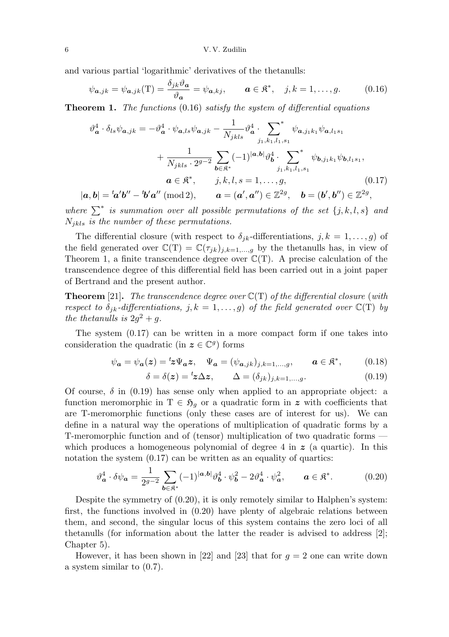and various partial 'logarithmic' derivatives of the thetanulls:

$$
\psi_{\mathbf{a},jk} = \psi_{\mathbf{a},jk}(\mathbf{T}) = \frac{\delta_{jk}\vartheta_{\mathbf{a}}}{\vartheta_{\mathbf{a}}} = \psi_{\mathbf{a},kj}, \qquad \mathbf{a} \in \mathfrak{K}^*, \quad j, k = 1, \dots, g. \tag{0.16}
$$

**Theorem 1.** The functions  $(0.16)$  satisfy the system of differential equations

$$
\vartheta_{\mathbf{a}}^{4} \cdot \delta_{ls}\psi_{\mathbf{a},jk} = -\vartheta_{\mathbf{a}}^{4} \cdot \psi_{\mathbf{a},ls}\psi_{\mathbf{a},jk} - \frac{1}{N_{jkls}} \vartheta_{\mathbf{a}}^{4} \cdot \sum_{j_1,k_1,l_1,s_1}^{*} \psi_{\mathbf{a},j_1k_1}\psi_{\mathbf{a},l_1s_1} \n+ \frac{1}{N_{jkls} \cdot 2^{g-2}} \sum_{\mathbf{b} \in \mathfrak{K}^*} (-1)^{|\mathbf{a},\mathbf{b}|} \vartheta_{\mathbf{b}}^{4} \cdot \sum_{j_1,k_1,l_1,s_1}^{*} \psi_{\mathbf{b},j_1k_1}\psi_{\mathbf{b},l_1s_1}, \n\mathbf{a} \in \mathfrak{K}^*, \qquad j,k,l,s = 1,\ldots,g, \qquad (0.17)
$$
\n
$$
|\mathbf{a},\mathbf{b}| = {}^t\mathbf{a}'\mathbf{b}'' - {}^t\mathbf{b}'\mathbf{a}'' \ (\text{mod } 2), \qquad \mathbf{a} = (\mathbf{a}',\mathbf{a}'') \in \mathbb{Z}^{2g}, \quad \mathbf{b} = (\mathbf{b}',\mathbf{b}'') \in \mathbb{Z}^{2g},
$$

where  $\sum^*$  is summation over all possible permutations of the set  $\{j, k, l, s\}$  and  $N_{ikls}$  is the number of these permutations.

The differential closure (with respect to  $\delta_{jk}$ -differentiations,  $j, k = 1, \ldots, g$ ) of the field generated over  $\mathbb{C}(\mathcal{T}) = \mathbb{C}(\tau_{jk})_{j,k=1,\dots,g}$  by the thetanulls has, in view of Theorem 1, a finite transcendence degree over  $\mathbb{C}(T)$ . A precise calculation of the transcendence degree of this differential field has been carried out in a joint paper of Bertrand and the present author.

**Theorem** [21]. The transcendence degree over  $\mathbb{C}(T)$  of the differential closure (with respect to  $\delta_{jk}$ -differentiations,  $j, k = 1, ..., g$  of the field generated over  $\mathbb{C}(T)$  by the thetanulls is  $2g^2 + g$ .

The system (0.17) can be written in a more compact form if one takes into consideration the quadratic (in  $z \in \mathbb{C}^g$ ) forms

$$
\psi_{\mathbf{a}} = \psi_{\mathbf{a}}(z) = {}^{t}z\Psi_{\mathbf{a}}z, \quad \Psi_{\mathbf{a}} = (\psi_{\mathbf{a},jk})_{j,k=1,\dots,g}, \qquad \mathbf{a} \in \mathfrak{K}^*, \tag{0.18}
$$

$$
\delta = \delta(z) = {}^{t}z\Delta z, \qquad \Delta = (\delta_{jk})_{j,k=1,\dots,g}.
$$
\n(0.19)

Of course,  $\delta$  in (0.19) has sense only when applied to an appropriate object: a function meromorphic in  $T \in \mathfrak{H}_q$  or a quadratic form in z with coefficients that are T-meromorphic functions (only these cases are of interest for us). We can define in a natural way the operations of multiplication of quadratic forms by a T-meromorphic function and of (tensor) multiplication of two quadratic forms which produces a homogeneous polynomial of degree 4 in  $\boldsymbol{z}$  (a quartic). In this notation the system  $(0.17)$  can be written as an equality of quartics:

$$
\vartheta_{\mathbf{a}}^4 \cdot \delta \psi_{\mathbf{a}} = \frac{1}{2g^{-2}} \sum_{\mathbf{b} \in \mathfrak{K}^*} (-1)^{|\mathbf{a}, \mathbf{b}|} \vartheta_{\mathbf{b}}^4 \cdot \psi_{\mathbf{b}}^2 - 2\vartheta_{\mathbf{a}}^4 \cdot \psi_{\mathbf{a}}^2, \qquad \mathbf{a} \in \mathfrak{K}^*.
$$
 (0.20)

Despite the symmetry of (0.20), it is only remotely similar to Halphen's system: first, the functions involved in (0.20) have plenty of algebraic relations between them, and second, the singular locus of this system contains the zero loci of all thetanulls (for information about the latter the reader is advised to address [2]; Chapter 5).

However, it has been shown in [22] and [23] that for  $q = 2$  one can write down a system similar to (0.7).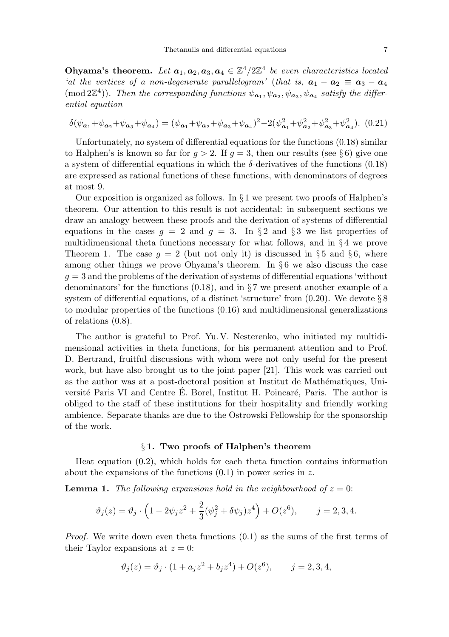Ohyama's theorem. Let  $a_1, a_2, a_3, a_4 \in \mathbb{Z}^4/2\mathbb{Z}^4$  be even characteristics located 'at the vertices of a non-degenerate parallelogram' (that is,  $a_1 - a_2 \equiv a_3 - a_4$ (mod  $2\mathbb{Z}^4$ )). Then the corresponding functions  $\psi_{a_1}, \psi_{a_2}, \psi_{a_3}, \psi_{a_4}$  satisfy the differential equation

$$
\delta(\psi_{a_1} + \psi_{a_2} + \psi_{a_3} + \psi_{a_4}) = (\psi_{a_1} + \psi_{a_2} + \psi_{a_3} + \psi_{a_4})^2 - 2(\psi_{a_1}^2 + \psi_{a_2}^2 + \psi_{a_3}^2 + \psi_{a_4}^2). \tag{0.21}
$$

Unfortunately, no system of differential equations for the functions (0.18) similar to Halphen's is known so far for  $g > 2$ . If  $g = 3$ , then our results (see §6) give one a system of differential equations in which the  $\delta$ -derivatives of the functions (0.18) are expressed as rational functions of these functions, with denominators of degrees at most 9.

Our exposition is organized as follows. In  $\S 1$  we present two proofs of Halphen's theorem. Our attention to this result is not accidental: in subsequent sections we draw an analogy between these proofs and the derivation of systems of differential equations in the cases  $g = 2$  and  $g = 3$ . In §2 and §3 we list properties of multidimensional theta functions necessary for what follows, and in § 4 we prove Theorem 1. The case  $g = 2$  (but not only it) is discussed in § 5 and § 6, where among other things we prove Ohyama's theorem. In § 6 we also discuss the case  $g = 3$  and the problems of the derivation of systems of differential equations 'without denominators' for the functions  $(0.18)$ , and in §7 we present another example of a system of differential equations, of a distinct 'structure' from (0.20). We devote § 8 to modular properties of the functions (0.16) and multidimensional generalizations of relations (0.8).

The author is grateful to Prof. Yu. V. Nesterenko, who initiated my multidimensional activities in theta functions, for his permanent attention and to Prof. D. Bertrand, fruitful discussions with whom were not only useful for the present work, but have also brought us to the joint paper [21]. This work was carried out as the author was at a post-doctoral position at Institut de Mathématiques, Université Paris VI and Centre E. Borel, Institut H. Poincaré, Paris. The author is obliged to the staff of these institutions for their hospitality and friendly working ambience. Separate thanks are due to the Ostrowski Fellowship for the sponsorship of the work.

# § 1. Two proofs of Halphen's theorem

Heat equation (0.2), which holds for each theta function contains information about the expansions of the functions  $(0.1)$  in power series in z.

**Lemma 1.** The following expansions hold in the neighbourhood of  $z = 0$ :

$$
\vartheta_j(z) = \vartheta_j \cdot \left(1 - 2\psi_j z^2 + \frac{2}{3}(\psi_j^2 + \delta \psi_j) z^4\right) + O(z^6), \qquad j = 2, 3, 4.
$$

Proof. We write down even theta functions (0.1) as the sums of the first terms of their Taylor expansions at  $z = 0$ :

$$
\vartheta_j(z) = \vartheta_j \cdot (1 + a_j z^2 + b_j z^4) + O(z^6), \qquad j = 2, 3, 4,
$$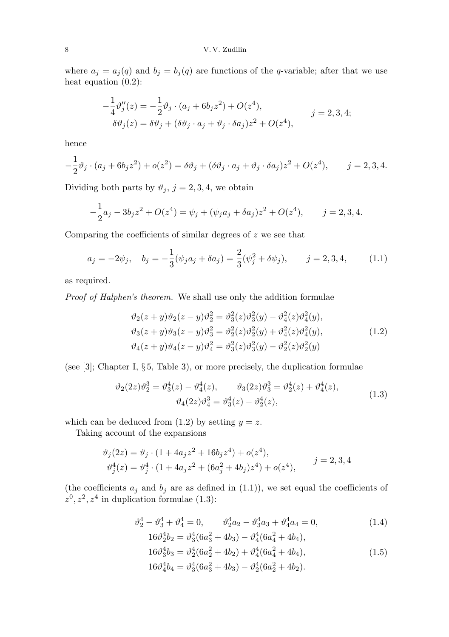### 8 V. V. Zudilin

where  $a_j = a_j(q)$  and  $b_j = b_j(q)$  are functions of the q-variable; after that we use heat equation (0.2):

$$
-\frac{1}{4}\vartheta''_j(z) = -\frac{1}{2}\vartheta_j \cdot (a_j + 6b_j z^2) + O(z^4),
$$
  
\n
$$
\delta\vartheta_j(z) = \delta\vartheta_j + (\delta\vartheta_j \cdot a_j + \vartheta_j \cdot \delta a_j) z^2 + O(z^4),
$$
  
\n
$$
j = 2, 3, 4;
$$

hence

$$
-\frac{1}{2}\vartheta_j \cdot (a_j + 6b_j z^2) + o(z^2) = \delta \vartheta_j + (\delta \vartheta_j \cdot a_j + \vartheta_j \cdot \delta a_j) z^2 + O(z^4), \qquad j = 2, 3, 4.
$$

Dividing both parts by  $\vartheta_j$ ,  $j = 2, 3, 4$ , we obtain

$$
-\frac{1}{2}a_j - 3b_j z^2 + O(z^4) = \psi_j + (\psi_j a_j + \delta a_j) z^2 + O(z^4), \qquad j = 2, 3, 4.
$$

Comparing the coefficients of similar degrees of  $z$  we see that

$$
a_j = -2\psi_j, \quad b_j = -\frac{1}{3}(\psi_j a_j + \delta a_j) = \frac{2}{3}(\psi_j^2 + \delta \psi_j), \qquad j = 2, 3, 4,
$$
 (1.1)

as required.

Proof of Halphen's theorem. We shall use only the addition formulae

$$
\vartheta_2(z+y)\vartheta_2(z-y)\vartheta_2^2 = \vartheta_3^2(z)\vartheta_3^2(y) - \vartheta_4^2(z)\vartheta_4^2(y), \n\vartheta_3(z+y)\vartheta_3(z-y)\vartheta_3^2 = \vartheta_2^2(z)\vartheta_2^2(y) + \vartheta_4^2(z)\vartheta_4^2(y), \n\vartheta_4(z+y)\vartheta_4(z-y)\vartheta_4^2 = \vartheta_3^2(z)\vartheta_3^2(y) - \vartheta_2^2(z)\vartheta_2^2(y)
$$
\n(1.2)

(see [3]; Chapter I, § 5, Table 3), or more precisely, the duplication formulae

$$
\vartheta_2(2z)\vartheta_2^3 = \vartheta_3^4(z) - \vartheta_4^4(z), \qquad \vartheta_3(2z)\vartheta_3^3 = \vartheta_2^4(z) + \vartheta_4^4(z), \n\vartheta_4(2z)\vartheta_4^3 = \vartheta_3^4(z) - \vartheta_2^4(z),
$$
\n(1.3)

which can be deduced from  $(1.2)$  by setting  $y = z$ .

Taking account of the expansions

$$
\vartheta_j(2z) = \vartheta_j \cdot (1 + 4a_j z^2 + 16b_j z^4) + o(z^4),
$$
  

$$
\vartheta_j^4(z) = \vartheta_j^4 \cdot (1 + 4a_j z^2 + (6a_j^2 + 4b_j)z^4) + o(z^4),
$$
  $j = 2, 3, 4$ 

(the coefficients  $a_j$  and  $b_j$  are as defined in  $(1.1)$ ), we set equal the coefficients of  $z^0, z^2, z^4$  in duplication formulae (1.3):

$$
\vartheta_2^4 - \vartheta_3^4 + \vartheta_4^4 = 0, \qquad \vartheta_2^4 a_2 - \vartheta_3^4 a_3 + \vartheta_4^4 a_4 = 0,\tag{1.4}
$$

$$
16\vartheta_2^4 b_2 = \vartheta_3^4 (6a_3^2 + 4b_3) - \vartheta_4^4 (6a_4^2 + 4b_4),
$$
  
\n
$$
16\vartheta_3^4 b_3 = \vartheta_2^4 (6a_2^2 + 4b_2) + \vartheta_4^4 (6a_4^2 + 4b_4),
$$
  
\n
$$
16\vartheta_4^4 b_4 = \vartheta_3^4 (6a_3^2 + 4b_3) - \vartheta_2^4 (6a_2^2 + 4b_2).
$$
\n(1.5)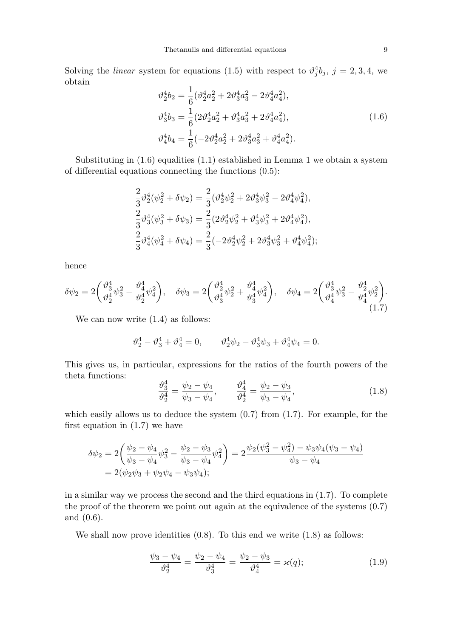Solving the *linear* system for equations (1.5) with respect to  $\vartheta_j^4 b_j$ ,  $j = 2, 3, 4$ , we obtain

$$
\vartheta_2^4 b_2 = \frac{1}{6} (\vartheta_2^4 a_2^2 + 2 \vartheta_3^4 a_3^2 - 2 \vartheta_4^4 a_4^2),
$$
  
\n
$$
\vartheta_3^4 b_3 = \frac{1}{6} (2 \vartheta_2^4 a_2^2 + \vartheta_3^4 a_3^2 + 2 \vartheta_4^4 a_4^2),
$$
  
\n
$$
\vartheta_4^4 b_4 = \frac{1}{6} (-2 \vartheta_2^4 a_2^2 + 2 \vartheta_3^4 a_3^2 + \vartheta_4^4 a_4^2).
$$
\n(1.6)

Substituting in (1.6) equalities (1.1) established in Lemma 1 we obtain a system of differential equations connecting the functions (0.5):

$$
\frac{2}{3}\vartheta_2^4(\psi_2^2 + \delta\psi_2) = \frac{2}{3}(\vartheta_2^4\psi_2^2 + 2\vartheta_3^4\psi_3^2 - 2\vartheta_4^4\psi_4^2),
$$
  
\n
$$
\frac{2}{3}\vartheta_3^4(\psi_3^2 + \delta\psi_3) = \frac{2}{3}(2\vartheta_2^4\psi_2^2 + \vartheta_3^4\psi_3^2 + 2\vartheta_4^4\psi_4^2),
$$
  
\n
$$
\frac{2}{3}\vartheta_4^4(\psi_4^2 + \delta\psi_4) = \frac{2}{3}(-2\vartheta_2^4\psi_2^2 + 2\vartheta_3^4\psi_3^2 + \vartheta_4^4\psi_4^2);
$$

hence

$$
\delta\psi_2 = 2\left(\frac{\vartheta_3^4}{\vartheta_2^4}\psi_3^2 - \frac{\vartheta_4^4}{\vartheta_2^4}\psi_4^2\right), \quad \delta\psi_3 = 2\left(\frac{\vartheta_2^4}{\vartheta_3^4}\psi_2^2 + \frac{\vartheta_4^4}{\vartheta_3^4}\psi_4^2\right), \quad \delta\psi_4 = 2\left(\frac{\vartheta_3^4}{\vartheta_4^4}\psi_3^2 - \frac{\vartheta_2^4}{\vartheta_4^4}\psi_2^2\right).
$$
\n(1.7)

We can now write  $(1.4)$  as follows:

$$
\vartheta_2^4 - \vartheta_3^4 + \vartheta_4^4 = 0, \qquad \vartheta_2^4 \psi_2 - \vartheta_3^4 \psi_3 + \vartheta_4^4 \psi_4 = 0.
$$

This gives us, in particular, expressions for the ratios of the fourth powers of the theta functions:

$$
\frac{\vartheta_3^4}{\vartheta_2^4} = \frac{\psi_2 - \psi_4}{\psi_3 - \psi_4}, \qquad \frac{\vartheta_4^4}{\vartheta_2^4} = \frac{\psi_2 - \psi_3}{\psi_3 - \psi_4},\tag{1.8}
$$

which easily allows us to deduce the system  $(0.7)$  from  $(1.7)$ . For example, for the first equation in  $(1.7)$  we have

$$
\delta\psi_2 = 2\left(\frac{\psi_2 - \psi_4}{\psi_3 - \psi_4}\psi_3^2 - \frac{\psi_2 - \psi_3}{\psi_3 - \psi_4}\psi_4^2\right) = 2\frac{\psi_2(\psi_3^2 - \psi_4^2) - \psi_3\psi_4(\psi_3 - \psi_4)}{\psi_3 - \psi_4}
$$
  
= 2(\psi\_2\psi\_3 + \psi\_2\psi\_4 - \psi\_3\psi\_4);

in a similar way we process the second and the third equations in (1.7). To complete the proof of the theorem we point out again at the equivalence of the systems (0.7) and (0.6).

We shall now prove identities  $(0.8)$ . To this end we write  $(1.8)$  as follows:

$$
\frac{\psi_3 - \psi_4}{\vartheta_2^4} = \frac{\psi_2 - \psi_4}{\vartheta_3^4} = \frac{\psi_2 - \psi_3}{\vartheta_4^4} = \varkappa(q); \tag{1.9}
$$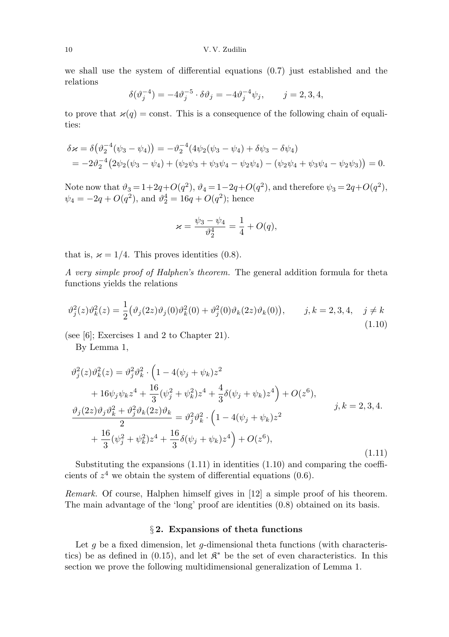we shall use the system of differential equations  $(0.7)$  just established and the relations

$$
\delta(\vartheta_j^{-4}) = -4\vartheta_j^{-5} \cdot \delta \vartheta_j = -4\vartheta_j^{-4} \psi_j, \qquad j = 2, 3, 4,
$$

to prove that  $\varkappa(q) = \text{const.}$  This is a consequence of the following chain of equalities:

$$
\delta \varkappa = \delta \big( \vartheta_2^{-4} (\psi_3 - \psi_4) \big) = -\vartheta_2^{-4} (4\psi_2 (\psi_3 - \psi_4) + \delta \psi_3 - \delta \psi_4)
$$
  
=  $-2\vartheta_2^{-4} (2\psi_2 (\psi_3 - \psi_4) + (\psi_2 \psi_3 + \psi_3 \psi_4 - \psi_2 \psi_4) - (\psi_2 \psi_4 + \psi_3 \psi_4 - \psi_2 \psi_3)) = 0.$ 

Note now that  $\vartheta_3 = 1 + 2q + O(q^2)$ ,  $\vartheta_4 = 1 - 2q + O(q^2)$ , and therefore  $\psi_3 = 2q + O(q^2)$ ,  $\psi_4 = -2q + O(q^2)$ , and  $\vartheta_2^4 = 16q + O(q^2)$ ; hence

$$
\varkappa = \frac{\psi_3 - \psi_4}{\vartheta_2^4} = \frac{1}{4} + O(q),
$$

that is,  $\varkappa = 1/4$ . This proves identities (0.8).

A very simple proof of Halphen's theorem. The general addition formula for theta functions yields the relations

$$
\vartheta_j^2(z)\vartheta_k^2(z) = \frac{1}{2} \big(\vartheta_j(2z)\vartheta_j(0)\vartheta_k^2(0) + \vartheta_j^2(0)\vartheta_k(2z)\vartheta_k(0)\big), \qquad j, k = 2, 3, 4, \quad j \neq k
$$
\n(1.10)

(see [6]; Exercises 1 and 2 to Chapter 21).

By Lemma 1,

$$
\vartheta_j^2(z)\vartheta_k^2(z) = \vartheta_j^2\vartheta_k^2 \cdot \left(1 - 4(\psi_j + \psi_k)z^2 + 16\psi_j\psi_k z^4 + \frac{16}{3}(\psi_j^2 + \psi_k^2)z^4 + \frac{4}{3}\delta(\psi_j + \psi_k)z^4\right) + O(z^6),
$$
  

$$
\frac{\vartheta_j(2z)\vartheta_j\vartheta_k^2 + \vartheta_j^2\vartheta_k(2z)\vartheta_k}{2} = \vartheta_j^2\vartheta_k^2 \cdot \left(1 - 4(\psi_j + \psi_k)z^2 + \frac{16}{3}(\psi_j^2 + \psi_k^2)z^4 + \frac{16}{3}\delta(\psi_j + \psi_k)z^4\right) + O(z^6),
$$
 (1.11)

Substituting the expansions (1.11) in identities (1.10) and comparing the coefficients of  $z^4$  we obtain the system of differential equations (0.6).

Remark. Of course, Halphen himself gives in [12] a simple proof of his theorem. The main advantage of the 'long' proof are identities  $(0.8)$  obtained on its basis.

# § 2. Expansions of theta functions

Let  $g$  be a fixed dimension, let  $g$ -dimensional theta functions (with characteristics) be as defined in (0.15), and let  $\mathfrak{K}^*$  be the set of even characteristics. In this section we prove the following multidimensional generalization of Lemma 1.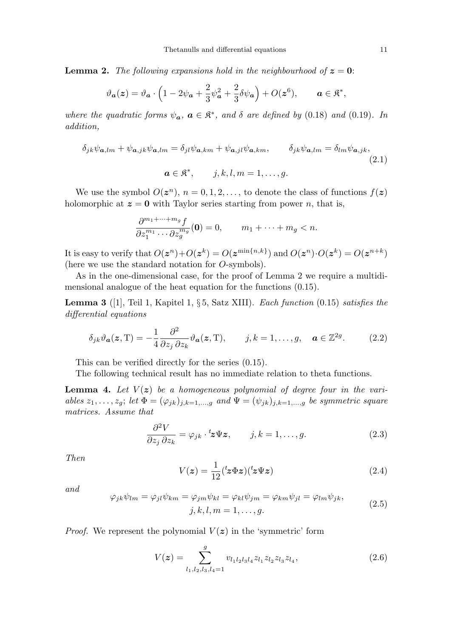**Lemma 2.** The following expansions hold in the neighbourhood of  $z = 0$ :

$$
\vartheta_{\mathbf{a}}(z) = \vartheta_{\mathbf{a}} \cdot \left(1 - 2\psi_{\mathbf{a}} + \frac{2}{3}\psi_{\mathbf{a}}^2 + \frac{2}{3}\delta\psi_{\mathbf{a}}\right) + O(z^6), \qquad \mathbf{a} \in \mathfrak{K}^*,
$$

where the quadratic forms  $\psi_a$ ,  $a \in \mathfrak{K}^*$ , and  $\delta$  are defined by (0.18) and (0.19). In addition,

$$
\delta_{jk}\psi_{\mathbf{a},lm} + \psi_{\mathbf{a},jk}\psi_{\mathbf{a},lm} = \delta_{jl}\psi_{\mathbf{a},km} + \psi_{\mathbf{a},jl}\psi_{\mathbf{a},km}, \qquad \delta_{jk}\psi_{\mathbf{a},lm} = \delta_{lm}\psi_{\mathbf{a},jk},
$$
  
\n
$$
\mathbf{a} \in \mathfrak{K}^*, \qquad j, k, l, m = 1, ..., g.
$$
\n(2.1)

We use the symbol  $O(\boldsymbol{z}^n)$ ,  $n = 0, 1, 2, \ldots$ , to denote the class of functions  $f(\boldsymbol{z})$ holomorphic at  $z = 0$  with Taylor series starting from power n, that is,

$$
\frac{\partial^{m_1+\dots+m_g}f}{\partial z_1^{m_1}\cdots\partial z_g^{m_g}}(\mathbf{0})=0, \qquad m_1+\dots+m_g
$$

It is easy to verify that  $O(z^n) + O(z^k) = O(z^{\min\{n,k\}})$  and  $O(z^n) \cdot O(z^k) = O(z^{n+k})$ (here we use the standard notation for O-symbols).

As in the one-dimensional case, for the proof of Lemma 2 we require a multidimensional analogue of the heat equation for the functions (0.15).

**Lemma 3** ([1], Teil 1, Kapitel 1, § 5, Satz XIII). Each function  $(0.15)$  satisfies the differential equations

$$
\delta_{jk}\vartheta_a(z,T) = -\frac{1}{4}\frac{\partial^2}{\partial z_j \partial z_k}\vartheta_a(z,T), \qquad j,k = 1,\dots,g, \quad a \in \mathbb{Z}^{2g}.
$$
 (2.2)

This can be verified directly for the series (0.15).

The following technical result has no immediate relation to theta functions.

**Lemma 4.** Let  $V(z)$  be a homogeneous polynomial of degree four in the variables  $z_1, \ldots, z_g$ ; let  $\Phi = (\varphi_{jk})_{j,k=1,\ldots,g}$  and  $\Psi = (\psi_{jk})_{j,k=1,\ldots,g}$  be symmetric square matrices. Assume that

$$
\frac{\partial^2 V}{\partial z_j \partial z_k} = \varphi_{jk} \cdot {}^t z \Psi z, \qquad j, k = 1, \dots, g.
$$
 (2.3)

Then

$$
V(z) = \frac{1}{12} ({}^{t}z \Phi z)({}^{t}z \Psi z)
$$
\n(2.4)

and

$$
\varphi_{jk}\psi_{lm} = \varphi_{jl}\psi_{km} = \varphi_{jm}\psi_{kl} = \varphi_{kl}\psi_{jm} = \varphi_{km}\psi_{jl} = \varphi_{lm}\psi_{jk},
$$
  

$$
j, k, l, m = 1, ..., g.
$$
 (2.5)

*Proof.* We represent the polynomial  $V(z)$  in the 'symmetric' form

$$
V(z) = \sum_{l_1, l_2, l_3, l_4 = 1}^{g} v_{l_1 l_2 l_3 l_4} z_{l_1} z_{l_2} z_{l_3} z_{l_4},
$$
\n(2.6)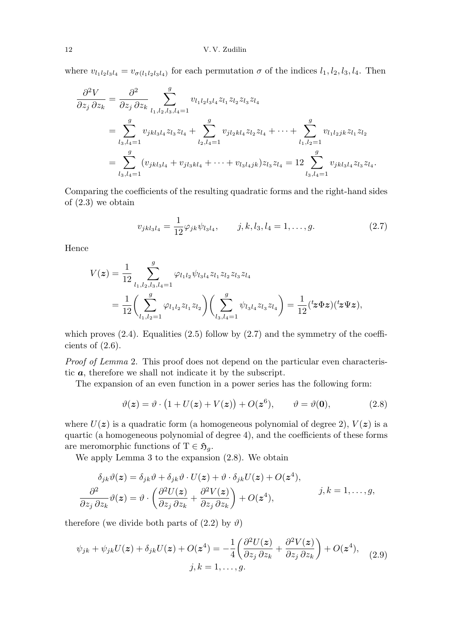where  $v_{l_1l_2l_3l_4} = v_{\sigma(l_1l_2l_3l_4)}$  for each permutation  $\sigma$  of the indices  $l_1, l_2, l_3, l_4$ . Then

$$
\frac{\partial^2 V}{\partial z_j \partial z_k} = \frac{\partial^2}{\partial z_j \partial z_k} \sum_{l_1, l_2, l_3, l_4=1}^g v_{l_1 l_2 l_3 l_4} z_{l_1} z_{l_2} z_{l_3} z_{l_4}
$$
\n
$$
= \sum_{l_3, l_4=1}^g v_{jkl_3l_4} z_{l_3} z_{l_4} + \sum_{l_2, l_4=1}^g v_{j l_2 k l_4} z_{l_2} z_{l_4} + \dots + \sum_{l_1, l_2=1}^g v_{l_1 l_2 j} z_{l_1} z_{l_2}
$$
\n
$$
= \sum_{l_3, l_4=1}^g (v_{jkl_3l_4} + v_{j l_3 k l_4} + \dots + v_{l_3 l_4 j k}) z_{l_3} z_{l_4} = 12 \sum_{l_3, l_4=1}^g v_{jkl_3l_4} z_{l_3} z_{l_4}.
$$

Comparing the coefficients of the resulting quadratic forms and the right-hand sides of (2.3) we obtain

$$
v_{jkl_3l_4} = \frac{1}{12} \varphi_{jk} \psi_{l_3l_4}, \qquad j, k, l_3, l_4 = 1, \dots, g. \tag{2.7}
$$

Hence

$$
V(z) = \frac{1}{12} \sum_{l_1, l_2, l_3, l_4=1}^{g} \varphi_{l_1 l_2} \psi_{l_3 l_4} z_{l_1} z_{l_2} z_{l_3} z_{l_4}
$$
  
= 
$$
\frac{1}{12} \left( \sum_{l_1, l_2=1}^{g} \varphi_{l_1 l_2} z_{l_1} z_{l_2} \right) \left( \sum_{l_3, l_4=1}^{g} \psi_{l_3 l_4} z_{l_3} z_{l_4} \right) = \frac{1}{12} ({}^t z \Phi z) ({}^t z \Psi z),
$$

which proves  $(2.4)$ . Equalities  $(2.5)$  follow by  $(2.7)$  and the symmetry of the coefficients of  $(2.6)$ .

Proof of Lemma 2. This proof does not depend on the particular even characteristic a, therefore we shall not indicate it by the subscript.

The expansion of an even function in a power series has the following form:

$$
\vartheta(z) = \vartheta \cdot (1 + U(z) + V(z)) + O(z^{6}), \qquad \vartheta = \vartheta(0), \tag{2.8}
$$

where  $U(z)$  is a quadratic form (a homogeneous polynomial of degree 2),  $V(z)$  is a quartic (a homogeneous polynomial of degree 4), and the coefficients of these forms are meromorphic functions of  $T \in \mathfrak{H}_g$ .

We apply Lemma 3 to the expansion (2.8). We obtain

$$
\delta_{jk}\vartheta(\mathbf{z}) = \delta_{jk}\vartheta + \delta_{jk}\vartheta \cdot U(\mathbf{z}) + \vartheta \cdot \delta_{jk}U(\mathbf{z}) + O(\mathbf{z}^4),
$$
  

$$
\frac{\partial^2}{\partial z_j \partial z_k}\vartheta(\mathbf{z}) = \vartheta \cdot \left(\frac{\partial^2 U(\mathbf{z})}{\partial z_j \partial z_k} + \frac{\partial^2 V(\mathbf{z})}{\partial z_j \partial z_k}\right) + O(\mathbf{z}^4), \qquad j, k = 1, ..., g,
$$

therefore (we divide both parts of  $(2.2)$  by  $\vartheta$ )

$$
\psi_{jk} + \psi_{jk} U(z) + \delta_{jk} U(z) + O(z^4) = -\frac{1}{4} \left( \frac{\partial^2 U(z)}{\partial z_j \partial z_k} + \frac{\partial^2 V(z)}{\partial z_j \partial z_k} \right) + O(z^4),
$$
  

$$
j, k = 1, ..., g.
$$
 (2.9)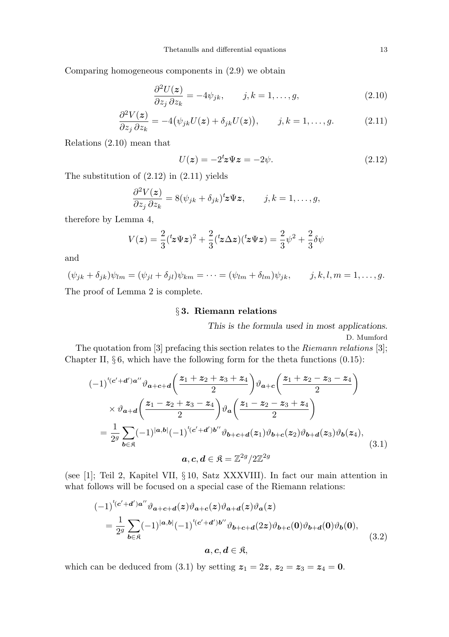Comparing homogeneous components in (2.9) we obtain

$$
\frac{\partial^2 U(z)}{\partial z_j \partial z_k} = -4\psi_{jk}, \qquad j, k = 1, \dots, g,
$$
\n(2.10)

$$
\frac{\partial^2 V(z)}{\partial z_j \partial z_k} = -4(\psi_{jk} U(z) + \delta_{jk} U(z)), \qquad j, k = 1, \dots, g.
$$
 (2.11)

Relations (2.10) mean that

$$
U(z) = -2tz\Psi z = -2\psi.
$$
 (2.12)

The substitution of (2.12) in (2.11) yields

$$
\frac{\partial^2 V(z)}{\partial z_j \partial z_k} = 8(\psi_{jk} + \delta_{jk})^t z \Psi z, \qquad j, k = 1, \dots, g,
$$

therefore by Lemma 4,

$$
V(z) = \frac{2}{3}(z\Psi z)^2 + \frac{2}{3}(z\Delta z)(z\Psi z) = \frac{2}{3}\psi^2 + \frac{2}{3}\delta\psi
$$

and

$$
(\psi_{jk} + \delta_{jk})\psi_{lm} = (\psi_{jl} + \delta_{jl})\psi_{km} = \dots = (\psi_{lm} + \delta_{lm})\psi_{jk}, \qquad j, k, l, m = 1, \dots, g.
$$
  
The proof of Lemma 2 is complete.

# § 3. Riemann relations

This is the formula used in most applications. D. Mumford

The quotation from [3] prefacing this section relates to the *Riemann relations* [3]; Chapter II,  $\S 6$ , which have the following form for the theta functions  $(0.15)$ :

$$
(-1)^{t(c'+d')a''} \vartheta_{a+c+d} \left( \frac{z_1 + z_2 + z_3 + z_4}{2} \right) \vartheta_{a+c} \left( \frac{z_1 + z_2 - z_3 - z_4}{2} \right)
$$
  
 
$$
\times \vartheta_{a+d} \left( \frac{z_1 - z_2 + z_3 - z_4}{2} \right) \vartheta_a \left( \frac{z_1 - z_2 - z_3 + z_4}{2} \right)
$$
  
= 
$$
\frac{1}{2^g} \sum_{b \in \mathfrak{K}} (-1)^{|a,b|} (-1)^{t(c'+d')b''} \vartheta_{b+c+d}(z_1) \vartheta_{b+c}(z_2) \vartheta_{b+d}(z_3) \vartheta_b(z_4),
$$
  

$$
a, c, d \in \mathfrak{K} = \mathbb{Z}^{2g} / 2\mathbb{Z}^{2g}
$$
 (3.1)

(see [1]; Teil 2, Kapitel VII, § 10, Satz XXXVIII). In fact our main attention in what follows will be focused on a special case of the Riemann relations:

$$
(-1)^{t(c'+d')a''} \vartheta_{a+c+d}(z) \vartheta_{a+c}(z) \vartheta_{a+d}(z) \vartheta_a(z)
$$
  
= 
$$
\frac{1}{2^g} \sum_{b \in \mathfrak{K}} (-1)^{|a,b|} (-1)^{t(c'+d')b''} \vartheta_{b+c+d}(2z) \vartheta_{b+c}(0) \vartheta_{b+d}(0) \vartheta_b(0),
$$
  

$$
a, c, d \in \mathfrak{K},
$$
 (3.2)

which can be deduced from (3.1) by setting  $z_1 = 2z$ ,  $z_2 = z_3 = z_4 = 0$ .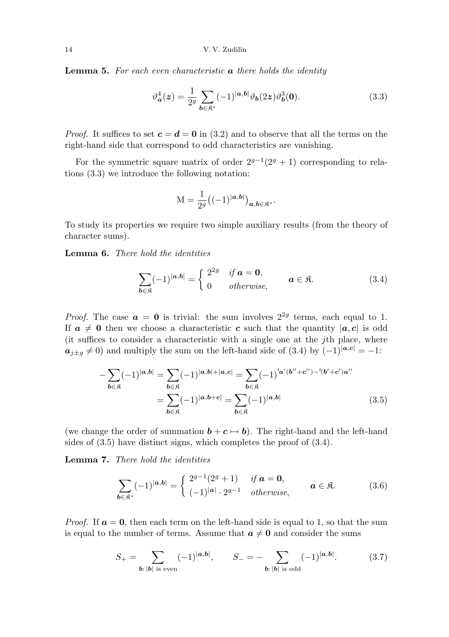**Lemma 5.** For each even characteristic  $\boldsymbol{a}$  there holds the identity

$$
\vartheta_{\mathbf{a}}^4(\mathbf{z}) = \frac{1}{2^g} \sum_{\mathbf{b} \in \mathfrak{K}^*} (-1)^{|\mathbf{a}, \mathbf{b}|} \vartheta_{\mathbf{b}}(2\mathbf{z}) \vartheta_{\mathbf{b}}^3(\mathbf{0}). \tag{3.3}
$$

*Proof.* It suffices to set  $c = d = 0$  in (3.2) and to observe that all the terms on the right-hand side that correspond to odd characteristics are vanishing.

For the symmetric square matrix of order  $2^{g-1}(2^g + 1)$  corresponding to relations (3.3) we introduce the following notation:

$$
\mathbf{M} = \frac{1}{2^g} ((-1)^{|\boldsymbol{a}, \boldsymbol{b}|})_{\boldsymbol{a}, \boldsymbol{b} \in \mathfrak{K}^*}.
$$

To study its properties we require two simple auxiliary results (from the theory of character sums).

Lemma 6. There hold the identities

$$
\sum_{\boldsymbol{b}\in\mathfrak{K}}(-1)^{|\boldsymbol{a},\boldsymbol{b}|}=\begin{cases}2^{2g} & \text{if }\boldsymbol{a}=\boldsymbol{0},\\0 & \text{otherwise},\end{cases}\qquad \boldsymbol{a}\in\mathfrak{K}.\tag{3.4}
$$

*Proof.* The case  $\boldsymbol{a} = \boldsymbol{0}$  is trivial: the sum involves  $2^{2g}$  terms, each equal to 1. If  $a \neq 0$  then we choose a characteristic c such that the quantity  $|a, c|$  is odd (it suffices to consider a characteristic with a single one at the jth place, where  $a_{i\pm q} \neq 0$ ) and multiply the sum on the left-hand side of (3.4) by  $(-1)^{|a,c|} = -1$ :

$$
-\sum_{b \in \mathfrak{K}} (-1)^{|a,b|} = \sum_{b \in \mathfrak{K}} (-1)^{|a,b|+|a,c|} = \sum_{b \in \mathfrak{K}} (-1)^{i_{a}(b''+c'')-i(b'+c')a''}
$$

$$
= \sum_{b \in \mathfrak{K}} (-1)^{|a,b+c|} = \sum_{b \in \mathfrak{K}} (-1)^{|a,b|} \tag{3.5}
$$

(we change the order of summation  $\mathbf{b} + \mathbf{c} \mapsto \mathbf{b}$ ). The right-hand and the left-hand sides of (3.5) have distinct signs, which completes the proof of (3.4).

Lemma 7. There hold the identities

$$
\sum_{\boldsymbol{b}\in\mathfrak{K}^*}(-1)^{|\boldsymbol{a},\boldsymbol{b}|} = \begin{cases} 2^{g-1}(2^g+1) & \text{if } \boldsymbol{a}=\boldsymbol{0}, \\ (-1)^{|\boldsymbol{a}|}\cdot 2^{g-1} & \text{otherwise,} \end{cases} \qquad \boldsymbol{a}\in\mathfrak{K}. \tag{3.6}
$$

*Proof.* If  $a = 0$ , then each term on the left-hand side is equal to 1, so that the sum is equal to the number of terms. Assume that  $a \neq 0$  and consider the sums

$$
S_{+} = \sum_{\mathbf{b}: |\mathbf{b}| \text{ is even}} (-1)^{|\mathbf{a}, \mathbf{b}|}, \qquad S_{-} = -\sum_{\mathbf{b}: |\mathbf{b}| \text{ is odd}} (-1)^{|\mathbf{a}, \mathbf{b}|}. \tag{3.7}
$$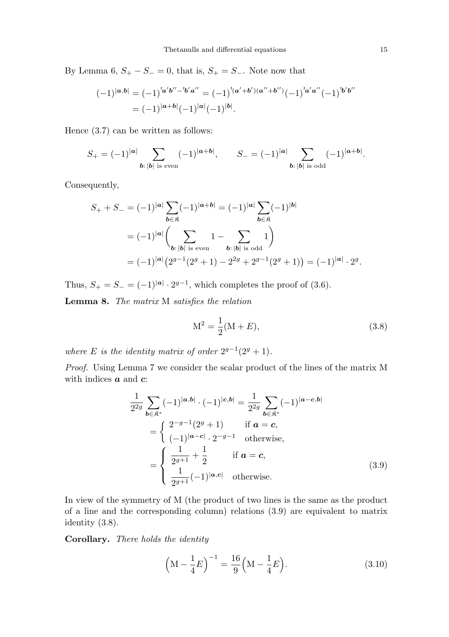By Lemma 6,  $S_+ - S_ - = 0$ , that is,  $S_+ = S_-$ . Note now that

$$
(-1)^{|\mathbf{a},\mathbf{b}|} = (-1)^{i_{\mathbf{a}}'\mathbf{b}'' - i_{\mathbf{b}}'\mathbf{a}''} = (-1)^{i_{(\mathbf{a}}'+\mathbf{b}')( \mathbf{a}'' + \mathbf{b}'' )} (-1)^{i_{\mathbf{a}}'\mathbf{a}''} (-1)^{i_{\mathbf{b}}'\mathbf{b}''}
$$

$$
= (-1)^{|\mathbf{a}+\mathbf{b}|} (-1)^{|\mathbf{a}|} (-1)^{|\mathbf{b}|}.
$$

Hence (3.7) can be written as follows:

$$
S_+ = (-1)^{|a|} \sum_{\mathbf{b}: |\mathbf{b}| \text{ is even}} (-1)^{|\mathbf{a}+\mathbf{b}|}, \qquad S_- = (-1)^{|\mathbf{a}|} \sum_{\mathbf{b}: |\mathbf{b}| \text{ is odd}} (-1)^{|\mathbf{a}+\mathbf{b}|}.
$$

Consequently,

$$
S_+ + S_- = (-1)^{|a|} \sum_{b \in \mathfrak{K}} (-1)^{|a+b|} = (-1)^{|a|} \sum_{b \in \mathfrak{K}} (-1)^{|b|}
$$
  
=  $(-1)^{|a|} \left( \sum_{b: |b| \text{ is even}} 1 - \sum_{b: |b| \text{ is odd}} 1 \right)$   
=  $(-1)^{|a|} (2^{g-1}(2^g + 1) - 2^{2g} + 2^{g-1}(2^g + 1)) = (-1)^{|a|} \cdot 2^g.$ 

Thus,  $S_{+} = S_{-} = (-1)^{|\mathbf{a}|} \cdot 2^{g-1}$ , which completes the proof of (3.6).

Lemma 8. The matrix M satisfies the relation

$$
M^2 = \frac{1}{2}(M + E),
$$
\n(3.8)

where E is the identity matrix of order  $2^{g-1}(2^g + 1)$ .

Proof. Using Lemma 7 we consider the scalar product of the lines of the matrix M with indices  $\boldsymbol{a}$  and  $\boldsymbol{c}$ :

$$
\frac{1}{2^{2g}} \sum_{\mathbf{b} \in \mathfrak{K}^*} (-1)^{|\mathbf{a}, \mathbf{b}|} \cdot (-1)^{|\mathbf{c}, \mathbf{b}|} = \frac{1}{2^{2g}} \sum_{\mathbf{b} \in \mathfrak{K}^*} (-1)^{|\mathbf{a} - \mathbf{c}, \mathbf{b}|}
$$
\n
$$
= \begin{cases}\n2^{-g-1}(2^g + 1) & \text{if } \mathbf{a} = \mathbf{c}, \\
(-1)^{|\mathbf{a} - \mathbf{c}|} \cdot 2^{-g-1} & \text{otherwise},\n\end{cases}
$$
\n
$$
= \begin{cases}\n\frac{1}{2^{g+1}} + \frac{1}{2} & \text{if } \mathbf{a} = \mathbf{c}, \\
\frac{1}{2^{g+1}}(-1)^{|\mathbf{a}, \mathbf{c}|} & \text{otherwise}.\n\end{cases}
$$
\n(3.9)

In view of the symmetry of M (the product of two lines is the same as the product of a line and the corresponding column) relations (3.9) are equivalent to matrix identity (3.8).

Corollary. There holds the identity

$$
\left(\mathbf{M} - \frac{1}{4}E\right)^{-1} = \frac{16}{9}\left(\mathbf{M} - \frac{1}{4}E\right).
$$
 (3.10)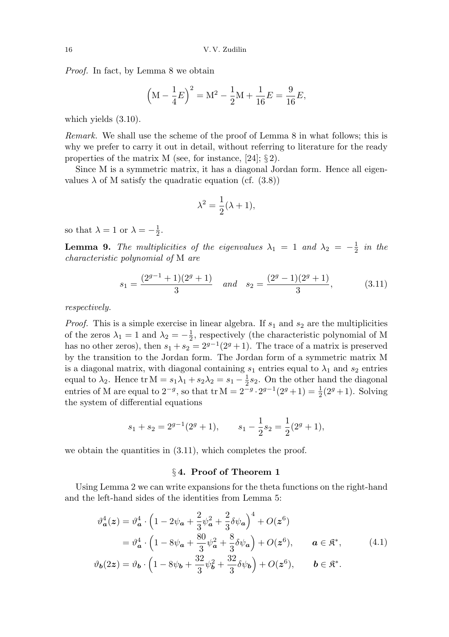Proof. In fact, by Lemma 8 we obtain

$$
\left(\mathbf{M} - \frac{1}{4}E\right)^2 = \mathbf{M}^2 - \frac{1}{2}\mathbf{M} + \frac{1}{16}E = \frac{9}{16}E,
$$

which yields (3.10).

Remark. We shall use the scheme of the proof of Lemma 8 in what follows; this is why we prefer to carry it out in detail, without referring to literature for the ready properties of the matrix M (see, for instance, [24];  $\S 2$ ).

Since M is a symmetric matrix, it has a diagonal Jordan form. Hence all eigenvalues  $\lambda$  of M satisfy the quadratic equation (cf. (3.8))

$$
\lambda^2 = \frac{1}{2}(\lambda + 1),
$$

so that  $\lambda = 1$  or  $\lambda = -\frac{1}{2}$  $\frac{1}{2}$ .

**Lemma 9.** The multiplicities of the eigenvalues  $\lambda_1 = 1$  and  $\lambda_2 = -\frac{1}{2}$  $rac{1}{2}$  in the characteristic polynomial of M are

$$
s_1 = \frac{(2^{g-1} + 1)(2^g + 1)}{3} \quad and \quad s_2 = \frac{(2^g - 1)(2^g + 1)}{3}, \tag{3.11}
$$

respectively.

*Proof.* This is a simple exercise in linear algebra. If  $s_1$  and  $s_2$  are the multiplicities of the zeros  $\lambda_1 = 1$  and  $\lambda_2 = -\frac{1}{2}$  $\frac{1}{2}$ , respectively (the characteristic polynomial of M has no other zeros), then  $s_1 + s_2 = 2^{g-1}(2^g + 1)$ . The trace of a matrix is preserved by the transition to the Jordan form. The Jordan form of a symmetric matrix M is a diagonal matrix, with diagonal containing  $s_1$  entries equal to  $\lambda_1$  and  $s_2$  entries equal to  $\lambda_2$ . Hence tr  $M = s_1 \lambda_1 + s_2 \lambda_2 = s_1 - \frac{1}{2}$  $\frac{1}{2}$ s<sub>2</sub>. On the other hand the diagonal entries of M are equal to  $2^{-g}$ , so that tr M =  $2^{-g} \cdot 2^{g-1}(2^g + 1) = \frac{1}{2}(2^g + 1)$ . Solving the system of differential equations

$$
s_1 + s_2 = 2^{g-1}(2^g + 1),
$$
  $s_1 - \frac{1}{2}s_2 = \frac{1}{2}(2^g + 1),$ 

we obtain the quantities in  $(3.11)$ , which completes the proof.

# § 4. Proof of Theorem 1

Using Lemma 2 we can write expansions for the theta functions on the right-hand and the left-hand sides of the identities from Lemma 5:

$$
\vartheta_{\mathbf{a}}^{4}(z) = \vartheta_{\mathbf{a}}^{4} \cdot \left(1 - 2\psi_{\mathbf{a}} + \frac{2}{3}\psi_{\mathbf{a}}^{2} + \frac{2}{3}\delta\psi_{\mathbf{a}}\right)^{4} + O(z^{6})
$$
  
=  $\vartheta_{\mathbf{a}}^{4} \cdot \left(1 - 8\psi_{\mathbf{a}} + \frac{80}{3}\psi_{\mathbf{a}}^{2} + \frac{8}{3}\delta\psi_{\mathbf{a}}\right) + O(z^{6}), \qquad \mathbf{a} \in \mathfrak{K}^{*},$  (4.1)

$$
\vartheta_{\mathbf{b}}(2\boldsymbol{z}) = \vartheta_{\mathbf{b}} \cdot \left(1 - 8\psi_{\mathbf{b}} + \frac{32}{3}\psi_{\mathbf{b}}^2 + \frac{32}{3}\delta\psi_{\mathbf{b}}\right) + O(\boldsymbol{z}^6), \qquad \mathbf{b} \in \mathfrak{K}^*.
$$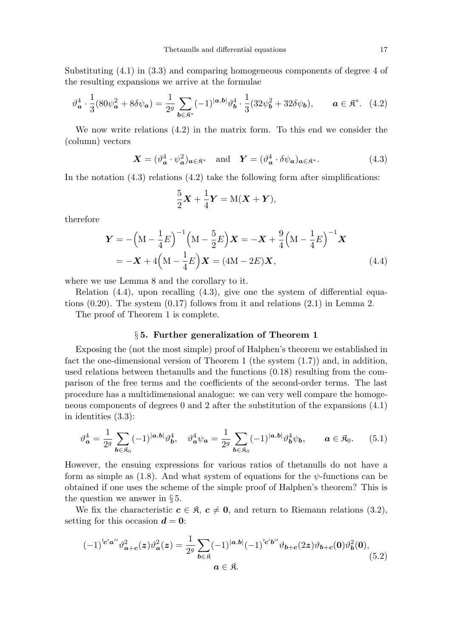Substituting (4.1) in (3.3) and comparing homogeneous components of degree 4 of the resulting expansions we arrive at the formulae

$$
\vartheta_{\mathbf{a}}^4 \cdot \frac{1}{3} (80 \psi_{\mathbf{a}}^2 + 8 \delta \psi_{\mathbf{a}}) = \frac{1}{2^g} \sum_{\mathbf{b} \in \mathfrak{K}^*} (-1)^{|\mathbf{a}, \mathbf{b}|} \vartheta_{\mathbf{b}}^4 \cdot \frac{1}{3} (32 \psi_{\mathbf{b}}^2 + 32 \delta \psi_{\mathbf{b}}), \qquad \mathbf{a} \in \mathfrak{K}^*. \tag{4.2}
$$

We now write relations (4.2) in the matrix form. To this end we consider the (column) vectors

$$
\mathbf{X} = (\vartheta_{\mathbf{a}}^4 \cdot \psi_{\mathbf{a}}^2)_{\mathbf{a} \in \mathfrak{K}^*} \quad \text{and} \quad \mathbf{Y} = (\vartheta_{\mathbf{a}}^4 \cdot \delta \psi_{\mathbf{a}})_{\mathbf{a} \in \mathfrak{K}^*}. \tag{4.3}
$$

In the notation  $(4.3)$  relations  $(4.2)$  take the following form after simplifications:

$$
\frac{5}{2}\mathbf{X} + \frac{1}{4}\mathbf{Y} = M(\mathbf{X} + \mathbf{Y}),
$$

therefore

$$
\mathbf{Y} = -\left(M - \frac{1}{4}E\right)^{-1}\left(M - \frac{5}{2}E\right)\mathbf{X} = -\mathbf{X} + \frac{9}{4}\left(M - \frac{1}{4}E\right)^{-1}\mathbf{X}
$$
  
= -\mathbf{X} + 4\left(M - \frac{1}{4}E\right)\mathbf{X} = (4M - 2E)\mathbf{X}, (4.4)

where we use Lemma 8 and the corollary to it.

Relation (4.4), upon recalling (4.3), give one the system of differential equations (0.20). The system (0.17) follows from it and relations (2.1) in Lemma 2.

The proof of Theorem 1 is complete.

# § 5. Further generalization of Theorem 1

Exposing the (not the most simple) proof of Halphen's theorem we established in fact the one-dimensional version of Theorem 1 (the system (1.7)) and, in addition, used relations between thetanulls and the functions (0.18) resulting from the comparison of the free terms and the coefficients of the second-order terms. The last procedure has a multidimensional analogue: we can very well compare the homogeneous components of degrees 0 and 2 after the substitution of the expansions (4.1) in identities (3.3):

$$
\vartheta_{\mathbf{a}}^4 = \frac{1}{2^g} \sum_{\mathbf{b} \in \mathfrak{K}_0} (-1)^{|\mathbf{a}, \mathbf{b}|} \vartheta_{\mathbf{b}}^4, \quad \vartheta_{\mathbf{a}}^4 \psi_{\mathbf{a}} = \frac{1}{2^g} \sum_{\mathbf{b} \in \mathfrak{K}_0} (-1)^{|\mathbf{a}, \mathbf{b}|} \vartheta_{\mathbf{b}}^4 \psi_{\mathbf{b}}, \qquad \mathbf{a} \in \mathfrak{K}_0. \tag{5.1}
$$

However, the ensuing expressions for various ratios of thetanulls do not have a form as simple as (1.8). And what system of equations for the  $\psi$ -functions can be obtained if one uses the scheme of the simple proof of Halphen's theorem? This is the question we answer in § 5.

We fix the characteristic  $c \in \mathfrak{K}$ ,  $c \neq 0$ , and return to Riemann relations (3.2), setting for this occasion  $\mathbf{d} = \mathbf{0}$ :

$$
(-1)^{^t c' a''} \vartheta_{a+c}^2(z) \vartheta_a^2(z) = \frac{1}{2^g} \sum_{b \in \mathfrak{K}} (-1)^{|a,b|} (-1)^{^t c' b''} \vartheta_{b+c}(2z) \vartheta_{b+c}(0) \vartheta_b^2(0),
$$
\n
$$
a \in \mathfrak{K}.
$$
\n
$$
(5.2)
$$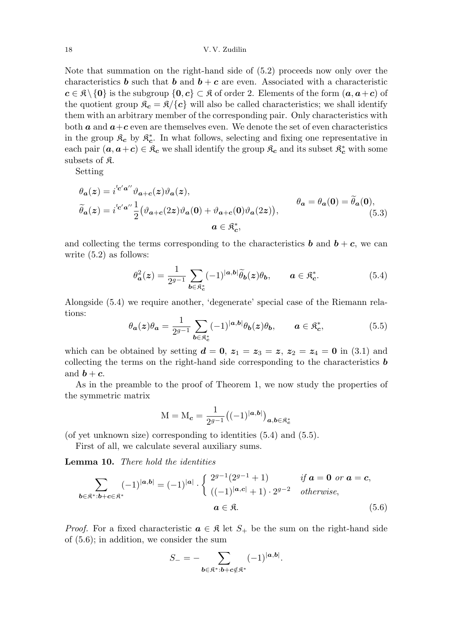#### 18 V. V. Zudilin

Note that summation on the right-hand side of (5.2) proceeds now only over the characteristics **b** such that **b** and  $\mathbf{b} + \mathbf{c}$  are even. Associated with a characteristic  $c \in \mathcal{R} \setminus \{0\}$  is the subgroup  $\{0, c\} \subset \mathcal{R}$  of order 2. Elements of the form  $(a, a+c)$  of the quotient group  $\mathfrak{K}_{c} = \mathfrak{K}/\{c\}$  will also be called characteristics; we shall identify them with an arbitrary member of the corresponding pair. Only characteristics with both  $\boldsymbol{a}$  and  $\boldsymbol{a}+\boldsymbol{c}$  even are themselves even. We denote the set of even characteristics in the group  $\mathfrak{K}_{\mathbf{c}}$  by  $\mathfrak{K}_{\mathbf{c}}^*$ c . In what follows, selecting and fixing one representative in each pair  $(a, a+c) \in \mathcal{R}_c$  we shall identify the group  $\mathcal{R}_c$  and its subset  $\mathcal{R}_c^*$  with some subsets of  $\mathfrak K$ .

Setting

$$
\begin{aligned} \theta_{\mathbf{a}}(z) &= i^{^t\mathbf{c}'\mathbf{a}''}\vartheta_{\mathbf{a}+\mathbf{c}}(z)\vartheta_{\mathbf{a}}(z),\\ \widetilde{\theta}_{\mathbf{a}}(z) &= i^{^t\mathbf{c}'\mathbf{a}''}\frac{1}{2}\big(\vartheta_{\mathbf{a}+\mathbf{c}}(2z)\vartheta_{\mathbf{a}}(\mathbf{0}) + \vartheta_{\mathbf{a}+\mathbf{c}}(\mathbf{0})\vartheta_{\mathbf{a}}(2z)\big),\\ \mathbf{a} &\in \mathfrak{K}_{\mathbf{c}}^*, \end{aligned} \qquad \begin{aligned} \theta_{\mathbf{a}} &= \theta_{\mathbf{a}}(\mathbf{0}) = \widetilde{\theta}_{\mathbf{a}}(\mathbf{0}),\\ (5.3) \end{aligned}
$$

and collecting the terms corresponding to the characteristics **b** and  $\mathbf{b} + \mathbf{c}$ , we can write  $(5.2)$  as follows:

$$
\theta_{\mathbf{a}}^2(z) = \frac{1}{2^{g-1}} \sum_{\mathbf{b} \in \mathfrak{K}_{\mathbf{c}}^*} (-1)^{|\mathbf{a}, \mathbf{b}|} \widetilde{\theta}_{\mathbf{b}}(z) \theta_{\mathbf{b}}, \qquad \mathbf{a} \in \mathfrak{K}_{\mathbf{c}}^*.
$$
 (5.4)

Alongside (5.4) we require another, 'degenerate' special case of the Riemann relations:

$$
\theta_{a}(z)\theta_{a} = \frac{1}{2^{g-1}} \sum_{b \in \mathfrak{K}_{c}^{*}} (-1)^{|a,b|} \theta_{b}(z)\theta_{b}, \qquad a \in \mathfrak{K}_{c}^{*}, \tag{5.5}
$$

which can be obtained by setting  $\mathbf{d} = \mathbf{0}$ ,  $\mathbf{z}_1 = \mathbf{z}_3 = \mathbf{z}$ ,  $\mathbf{z}_2 = \mathbf{z}_4 = \mathbf{0}$  in (3.1) and collecting the terms on the right-hand side corresponding to the characteristics  $\boldsymbol{b}$ and  $\boldsymbol{b} + \boldsymbol{c}$ .

As in the preamble to the proof of Theorem 1, we now study the properties of the symmetric matrix

$$
M = M_c = \frac{1}{2^{g-1}} ((-1)^{|a,b|})_{a,b \in \mathfrak{K}_c^*}
$$

(of yet unknown size) corresponding to identities (5.4) and (5.5).

First of all, we calculate several auxiliary sums.

Lemma 10. There hold the identities

$$
\sum_{\mathbf{b}\in\mathfrak{K}^*\cdot\mathbf{b}+\mathbf{c}\in\mathfrak{K}^*} (-1)^{|\mathbf{a},\mathbf{b}|} = (-1)^{|\mathbf{a}|} \cdot \begin{cases} 2^{g-1}(2^{g-1}+1) & \text{if } \mathbf{a}=\mathbf{0} \text{ or } \mathbf{a}=c, \\ ((-1)^{|\mathbf{a},\mathbf{c}|}+1) \cdot 2^{g-2} & \text{otherwise,} \end{cases}
$$
\n
$$
\mathbf{a}\in\mathfrak{K}.
$$
\n(5.6)

*Proof.* For a fixed characteristic  $a \in \mathcal{R}$  let  $S_+$  be the sum on the right-hand side of (5.6); in addition, we consider the sum

$$
S_{-}=-\sum_{\boldsymbol{b}\in\mathfrak{K}^{*}: \boldsymbol{b}+\boldsymbol{c}\notin\mathfrak{K}^{*}}(-1)^{|\boldsymbol{a},\boldsymbol{b}|}.
$$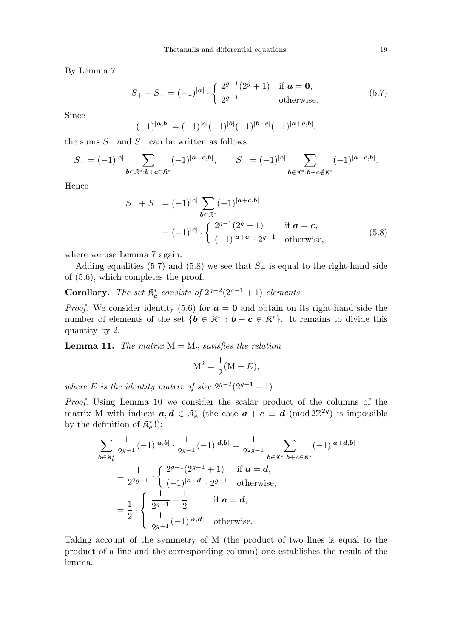By Lemma 7,

$$
S_{+} - S_{-} = (-1)^{|\mathbf{a}|} \cdot \begin{cases} 2^{g-1}(2^{g} + 1) & \text{if } \mathbf{a} = \mathbf{0}, \\ 2^{g-1} & \text{otherwise.} \end{cases}
$$
(5.7)

Since

$$
(-1)^{|a,b|} = (-1)^{|c|} (-1)^{|b|} (-1)^{|b+c|} (-1)^{|a+c,b|},
$$

the sums  $S_+$  and  $S_-$  can be written as follows:

$$
S_+ = (-1)^{|c|} \sum_{\mathbf{b} \in \mathfrak{K}^* : \mathbf{b} + \mathbf{c} \in \mathfrak{K}^*} (-1)^{|\mathbf{a} + \mathbf{c}, \mathbf{b}|}, \qquad S_- = (-1)^{|c|} \sum_{\mathbf{b} \in \mathfrak{K}^* : \mathbf{b} + \mathbf{c} \notin \mathfrak{K}^*} (-1)^{|\mathbf{a} + \mathbf{c}, \mathbf{b}|}.
$$

Hence

$$
S_{+} + S_{-} = (-1)^{|c|} \sum_{b \in \mathfrak{K}^{*}} (-1)^{|a+c,b|}
$$
  
=  $(-1)^{|c|} \cdot \begin{cases} 2^{g-1}(2^{g} + 1) & \text{if } a = c, \\ (-1)^{|a+c|} \cdot 2^{g-1} & \text{otherwise,} \end{cases}$  (5.8)

where we use Lemma 7 again.

Adding equalities (5.7) and (5.8) we see that  $S_+$  is equal to the right-hand side of (5.6), which completes the proof.

Corollary. The set  $\mathfrak{K}^*_c$  $\stackrel{*}{c}$  consists of  $2^{g-2}(2^{g-1}+1)$  elements.

*Proof.* We consider identity (5.6) for  $a = 0$  and obtain on its right-hand side the number of elements of the set  $\{b \in \mathbb{R}^* : b + c \in \mathbb{R}^*\}$ . It remains to divide this quantity by 2.

**Lemma 11.** The matrix  $M = M_c$  satisfies the relation

$$
M^2 = \frac{1}{2}(M + E),
$$

where E is the identity matrix of size  $2^{g-2}(2^{g-1}+1)$ .

Proof. Using Lemma 10 we consider the scalar product of the columns of the matrix M with indices  $a, d \in \mathfrak{K}^*_c$ <sup>\*</sup><sub>c</sub> (the case  $a + c \equiv d \pmod{2\mathbb{Z}^{2g}}$  is impossible by the definition of  $\mathfrak{K}^*_{c}$  $\binom{*}{\bm{c}}$  :

$$
\sum_{\mathbf{b}\in\mathfrak{K}_{c}^{*}}\frac{1}{2^{g-1}}(-1)^{|\mathbf{a},\mathbf{b}|}\cdot\frac{1}{2^{g-1}}(-1)^{|\mathbf{d},\mathbf{b}|}=\frac{1}{2^{2g-1}}\sum_{\mathbf{b}\in\mathfrak{K}^{*}: \mathbf{b}+\mathbf{c}\in\mathfrak{K}^{*}}(-1)^{|\mathbf{a}+\mathbf{d},\mathbf{b}|}
$$
\n
$$
=\frac{1}{2^{2g-1}}\cdot\begin{cases}2^{g-1}(2^{g-1}+1) & \text{if } \mathbf{a}=\mathbf{d},\\(-1)^{|\mathbf{a}+\mathbf{d}|}\cdot2^{g-1} & \text{otherwise},\end{cases}
$$
\n
$$
=\frac{1}{2}\cdot\begin{cases}\frac{1}{2^{g-1}}+\frac{1}{2} & \text{if } \mathbf{a}=\mathbf{d},\\ \frac{1}{2^{g-1}}(-1)^{|\mathbf{a},\mathbf{d}|} & \text{otherwise}.\end{cases}
$$

Taking account of the symmetry of M (the product of two lines is equal to the product of a line and the corresponding column) one establishes the result of the lemma.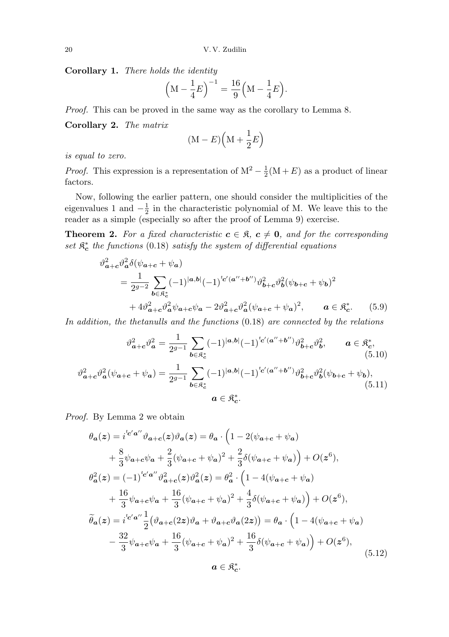Corollary 1. There holds the identity

$$
\left(\mathbf{M} - \frac{1}{4}E\right)^{-1} = \frac{16}{9}\left(\mathbf{M} - \frac{1}{4}E\right).
$$

Proof. This can be proved in the same way as the corollary to Lemma 8.

Corollary 2. The matrix

$$
(\mathbf{M} - E)\left(\mathbf{M} + \frac{1}{2}E\right)
$$

is equal to zero.

*Proof.* This expression is a representation of  $M^2 - \frac{1}{2}$  $\frac{1}{2}(M + E)$  as a product of linear factors.

Now, following the earlier pattern, one should consider the multiplicities of the eigenvalues 1 and  $-\frac{1}{2}$  $\frac{1}{2}$  in the characteristic polynomial of M. We leave this to the reader as a simple (especially so after the proof of Lemma 9) exercise.

**Theorem 2.** For a fixed characteristic  $c \in \mathcal{R}$ ,  $c \neq 0$ , and for the corresponding  $set$   $\mathfrak{K}_{c}^{*}$  $\stackrel{*}{\textbf{c}}$  the functions (0.18) satisfy the system of differential equations

$$
\vartheta_{a+c}^{2} \vartheta_{a}^{2} \delta(\psi_{a+c} + \psi_{a})
$$
\n
$$
= \frac{1}{2^{g-2}} \sum_{b \in \mathfrak{K}_{c}^{*}} (-1)^{|a,b|} (-1)^{c'(a''+b'')} \vartheta_{b+c}^{2} \vartheta_{b}^{2} (\psi_{b+c} + \psi_{b})^{2}
$$
\n
$$
+ 4\vartheta_{a+c}^{2} \vartheta_{a}^{2} \psi_{a+c} \psi_{a} - 2\vartheta_{a+c}^{2} \vartheta_{a}^{2} (\psi_{a+c} + \psi_{a})^{2}, \qquad a \in \mathfrak{K}_{c}^{*}.\tag{5.9}
$$

In addition, the thetanulls and the functions (0.18) are connected by the relations

$$
\vartheta_{a+c}^2 \vartheta_a^2 = \frac{1}{2^{g-1}} \sum_{b \in \mathfrak{K}_c^*} (-1)^{|a,b|} (-1)^{\iota_{c'}(a'' + b'')} \vartheta_{b+c}^2 \vartheta_b^2, \qquad a \in \mathfrak{K}_c^*,
$$
\n(5.10)

$$
\vartheta_{a+c}^2 \vartheta_a^2 (\psi_{a+c} + \psi_a) = \frac{1}{2^{g-1}} \sum_{b \in \mathfrak{K}_c^*} (-1)^{|a,b|} (-1)^{\iota_{c'}(a'' + b'')} \vartheta_{b+c}^2 \vartheta_b^2 (\psi_{b+c} + \psi_b),
$$
\n
$$
a \in \mathfrak{K}_c^*.
$$
\n(5.11)

Proof. By Lemma 2 we obtain

$$
\theta_{a}(z) = i^{c' a''} \vartheta_{a+c}(z) \vartheta_{a}(z) = \theta_{a} \cdot \left(1 - 2(\psi_{a+c} + \psi_{a})\right) \n+ \frac{8}{3} \psi_{a+c} \psi_{a} + \frac{2}{3} (\psi_{a+c} + \psi_{a})^{2} + \frac{2}{3} \delta(\psi_{a+c} + \psi_{a})\right) + O(z^{6}), \n\theta_{a}^{2}(z) = (-1)^{c' a''} \vartheta_{a+c}^{2}(z) \vartheta_{a}^{2}(z) = \theta_{a}^{2} \cdot \left(1 - 4(\psi_{a+c} + \psi_{a})\right) \n+ \frac{16}{3} \psi_{a+c} \psi_{a} + \frac{16}{3} (\psi_{a+c} + \psi_{a})^{2} + \frac{4}{3} \delta(\psi_{a+c} + \psi_{a})\right) + O(z^{6}), \n\tilde{\theta}_{a}(z) = i^{c' a''} \frac{1}{2} (\vartheta_{a+c}(2z) \vartheta_{a} + \vartheta_{a+c} \vartheta_{a}(2z)) = \theta_{a} \cdot \left(1 - 4(\psi_{a+c} + \psi_{a})\right) \n- \frac{32}{3} \psi_{a+c} \psi_{a} + \frac{16}{3} (\psi_{a+c} + \psi_{a})^{2} + \frac{16}{3} \delta(\psi_{a+c} + \psi_{a})\right) + O(z^{6}), \n\alpha \in \mathcal{R}_{c}^{*}.
$$
\n(5.12)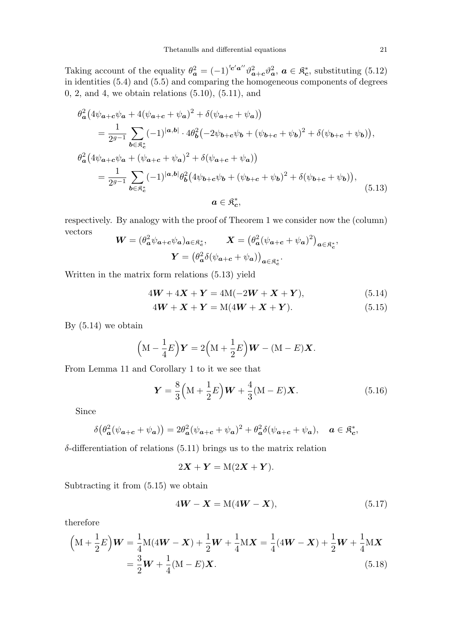Taking account of the equality  $\theta_a^2 = (-1)^{t_c' a''} \vartheta_{a+c}^2 \vartheta_a^2, \ a \in \mathfrak{K}_c^*$  $_{c}^{*}$ , substituting (5.12) in identities (5.4) and (5.5) and comparing the homogeneous components of degrees 0, 2, and 4, we obtain relations (5.10), (5.11), and

$$
\theta_{a}^{2} (4\psi_{a+c}\psi_{a} + 4(\psi_{a+c} + \psi_{a})^{2} + \delta(\psi_{a+c} + \psi_{a}))
$$
\n
$$
= \frac{1}{2^{g-1}} \sum_{b \in \mathfrak{K}_{c}^{*}} (-1)^{|a,b|} \cdot 4\theta_{b}^{2} (-2\psi_{b+c}\psi_{b} + (\psi_{b+c} + \psi_{b})^{2} + \delta(\psi_{b+c} + \psi_{b})),
$$
\n
$$
\theta_{a}^{2} (4\psi_{a+c}\psi_{a} + (\psi_{a+c} + \psi_{a})^{2} + \delta(\psi_{a+c} + \psi_{a}))
$$
\n
$$
= \frac{1}{2^{g-1}} \sum_{b \in \mathfrak{K}_{c}^{*}} (-1)^{|a,b|} \theta_{b}^{2} (4\psi_{b+c}\psi_{b} + (\psi_{b+c} + \psi_{b})^{2} + \delta(\psi_{b+c} + \psi_{b})),
$$
\n
$$
a \in \mathfrak{K}_{c}^{*},
$$
\n(5.13)

respectively. By analogy with the proof of Theorem 1 we consider now the (column) vectors

$$
\mathbf{W} = (\theta_a^2 \psi_{a+c} \psi_a)_{a \in \mathfrak{K}_c^*}, \qquad \mathbf{X} = (\theta_a^2 (\psi_{a+c} + \psi_a)^2)_{a \in \mathfrak{K}_c^*},
$$

$$
\mathbf{Y} = (\theta_a^2 \delta(\psi_{a+c} + \psi_a))_{a \in \mathfrak{K}_c^*}.
$$

Written in the matrix form relations (5.13) yield

$$
4W + 4X + Y = 4M(-2W + X + Y), \tag{5.14}
$$

$$
4W + X + Y = M(4W + X + Y).
$$
 (5.15)

By  $(5.14)$  we obtain

$$
(M - \frac{1}{4}E)Y = 2(M + \frac{1}{2}E)W - (M - E)X.
$$

From Lemma 11 and Corollary 1 to it we see that

$$
Y = \frac{8}{3} \left( M + \frac{1}{2} E \right) W + \frac{4}{3} (M - E) X.
$$
 (5.16)

Since

$$
\delta(\theta_{\mathbf{a}}^2(\psi_{\mathbf{a}+\mathbf{c}}+\psi_{\mathbf{a}}))=2\theta_{\mathbf{a}}^2(\psi_{\mathbf{a}+\mathbf{c}}+\psi_{\mathbf{a}})^2+\theta_{\mathbf{a}}^2\delta(\psi_{\mathbf{a}+\mathbf{c}}+\psi_{\mathbf{a}}),\quad \mathbf{a}\in\mathfrak{K}_{\mathbf{c}}^*,
$$

 $\delta$ -differentiation of relations  $(5.11)$  brings us to the matrix relation

$$
2X + Y = M(2X + Y).
$$

Subtracting it from (5.15) we obtain

$$
4\mathbf{W} - \mathbf{X} = M(4\mathbf{W} - \mathbf{X}),\tag{5.17}
$$

therefore

$$
\left(\mathbf{M} + \frac{1}{2}E\right)\mathbf{W} = \frac{1}{4}\mathbf{M}(4\mathbf{W} - \mathbf{X}) + \frac{1}{2}\mathbf{W} + \frac{1}{4}\mathbf{M}\mathbf{X} = \frac{1}{4}(4\mathbf{W} - \mathbf{X}) + \frac{1}{2}\mathbf{W} + \frac{1}{4}\mathbf{M}\mathbf{X}
$$

$$
= \frac{3}{2}\mathbf{W} + \frac{1}{4}(\mathbf{M} - E)\mathbf{X}.
$$
(5.18)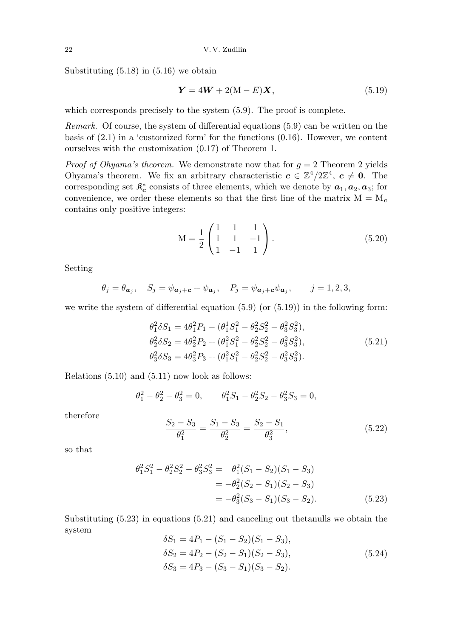Substituting  $(5.18)$  in  $(5.16)$  we obtain

$$
\mathbf{Y} = 4\mathbf{W} + 2(\mathbf{M} - E)\mathbf{X},\tag{5.19}
$$

which corresponds precisely to the system  $(5.9)$ . The proof is complete.

Remark. Of course, the system of differential equations (5.9) can be written on the basis of  $(2.1)$  in a 'customized form' for the functions  $(0.16)$ . However, we content ourselves with the customization (0.17) of Theorem 1.

*Proof of Ohyama's theorem.* We demonstrate now that for  $g = 2$  Theorem 2 yields Ohyama's theorem. We fix an arbitrary characteristic  $c \in \mathbb{Z}^4/2\mathbb{Z}^4$ ,  $c \neq 0$ . The corresponding set  $\mathfrak{K}^*_{c}$  $c^*$  consists of three elements, which we denote by  $a_1, a_2, a_3$ ; for convenience, we order these elements so that the first line of the matrix  $M = M_c$ contains only positive integers:

$$
M = \frac{1}{2} \begin{pmatrix} 1 & 1 & 1 \\ 1 & 1 & -1 \\ 1 & -1 & 1 \end{pmatrix}.
$$
 (5.20)

Setting

$$
\theta_j = \theta_{\mathbf{a}_j}, \quad S_j = \psi_{\mathbf{a}_j + \mathbf{c}} + \psi_{\mathbf{a}_j}, \quad P_j = \psi_{\mathbf{a}_j + \mathbf{c}} \psi_{\mathbf{a}_j}, \quad j = 1, 2, 3,
$$

we write the system of differential equation (5.9) (or (5.19)) in the following form:

$$
\theta_1^2 \delta S_1 = 4\theta_1^2 P_1 - (\theta_1^1 S_1^2 - \theta_2^2 S_2^2 - \theta_3^2 S_3^2), \n\theta_2^2 \delta S_2 = 4\theta_2^2 P_2 + (\theta_1^2 S_1^2 - \theta_2^2 S_2^2 - \theta_3^2 S_3^2), \n\theta_3^2 \delta S_3 = 4\theta_3^2 P_3 + (\theta_1^2 S_1^2 - \theta_2^2 S_2^2 - \theta_3^2 S_3^2).
$$
\n(5.21)

Relations (5.10) and (5.11) now look as follows:

$$
\theta_1^2 - \theta_2^2 - \theta_3^2 = 0, \qquad \theta_1^2 S_1 - \theta_2^2 S_2 - \theta_3^2 S_3 = 0,
$$

therefore

$$
\frac{S_2 - S_3}{\theta_1^2} = \frac{S_1 - S_3}{\theta_2^2} = \frac{S_2 - S_1}{\theta_3^2},\tag{5.22}
$$

so that

$$
\theta_1^2 S_1^2 - \theta_2^2 S_2^2 - \theta_3^2 S_3^2 = \theta_1^2 (S_1 - S_2)(S_1 - S_3)
$$
  
=  $-\theta_2^2 (S_2 - S_1)(S_2 - S_3)$   
=  $-\theta_3^2 (S_3 - S_1)(S_3 - S_2).$  (5.23)

Substituting (5.23) in equations (5.21) and canceling out thetanulls we obtain the system

$$
\delta S_1 = 4P_1 - (S_1 - S_2)(S_1 - S_3),
$$
  
\n
$$
\delta S_2 = 4P_2 - (S_2 - S_1)(S_2 - S_3),
$$
  
\n
$$
\delta S_3 = 4P_3 - (S_3 - S_1)(S_3 - S_2).
$$
\n(5.24)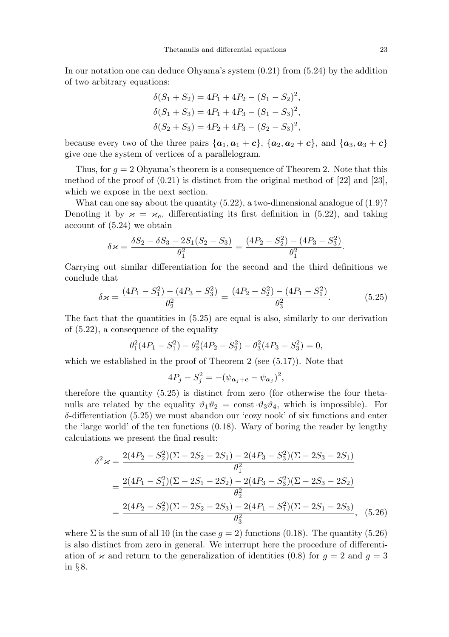In our notation one can deduce Ohyama's system (0.21) from (5.24) by the addition of two arbitrary equations:

$$
\delta(S_1 + S_2) = 4P_1 + 4P_2 - (S_1 - S_2)^2,
$$
  
\n
$$
\delta(S_1 + S_3) = 4P_1 + 4P_3 - (S_1 - S_3)^2,
$$
  
\n
$$
\delta(S_2 + S_3) = 4P_2 + 4P_3 - (S_2 - S_3)^2,
$$

because every two of the three pairs  $\{a_1, a_1 + c\}$ ,  $\{a_2, a_2 + c\}$ , and  $\{a_3, a_3 + c\}$ give one the system of vertices of a parallelogram.

Thus, for  $g = 2$  Ohyama's theorem is a consequence of Theorem 2. Note that this method of the proof of (0.21) is distinct from the original method of [22] and [23], which we expose in the next section.

What can one say about the quantity  $(5.22)$ , a two-dimensional analogue of  $(1.9)$ ? Denoting it by  $\varkappa = \varkappa_c$ , differentiating its first definition in (5.22), and taking account of (5.24) we obtain

$$
\delta \varkappa = \frac{\delta S_2 - \delta S_3 - 2S_1(S_2 - S_3)}{\theta_1^2} = \frac{(4P_2 - S_2^2) - (4P_3 - S_3^2)}{\theta_1^2}.
$$

Carrying out similar differentiation for the second and the third definitions we conclude that

$$
\delta \varkappa = \frac{(4P_1 - S_1^2) - (4P_3 - S_3^2)}{\theta_2^2} = \frac{(4P_2 - S_2^2) - (4P_1 - S_1^2)}{\theta_3^2}.
$$
 (5.25)

The fact that the quantities in (5.25) are equal is also, similarly to our derivation of (5.22), a consequence of the equality

$$
\theta_1^2(4P_1 - S_1^2) - \theta_2^2(4P_2 - S_2^2) - \theta_3^2(4P_3 - S_3^2) = 0,
$$

which we established in the proof of Theorem 2 (see  $(5.17)$ ). Note that

$$
4P_j - S_j^2 = -(\psi_{\mathbf{a}_j + \mathbf{c}} - \psi_{\mathbf{a}_j})^2,
$$

therefore the quantity (5.25) is distinct from zero (for otherwise the four thetanulls are related by the equality  $\vartheta_1 \vartheta_2 = \text{const} \cdot \vartheta_3 \vartheta_4$ , which is impossible). For δ-differentiation (5.25) we must abandon our 'cozy nook' of six functions and enter the 'large world' of the ten functions (0.18). Wary of boring the reader by lengthy calculations we present the final result:

$$
\delta^2 \varkappa = \frac{2(4P_2 - S_2^2)(\Sigma - 2S_2 - 2S_1) - 2(4P_3 - S_3^2)(\Sigma - 2S_3 - 2S_1)}{\theta_1^2}
$$
  
= 
$$
\frac{2(4P_1 - S_1^2)(\Sigma - 2S_1 - 2S_2) - 2(4P_3 - S_3^2)(\Sigma - 2S_3 - 2S_2)}{\theta_2^2}
$$
  
= 
$$
\frac{2(4P_2 - S_2^2)(\Sigma - 2S_2 - 2S_3) - 2(4P_1 - S_1^2)(\Sigma - 2S_1 - 2S_3)}{\theta_3^2}
$$
, (5.26)

where  $\Sigma$  is the sum of all 10 (in the case  $g = 2$ ) functions (0.18). The quantity (5.26) is also distinct from zero in general. We interrupt here the procedure of differentiation of  $\varkappa$  and return to the generalization of identities (0.8) for  $q = 2$  and  $q = 3$ in § 8.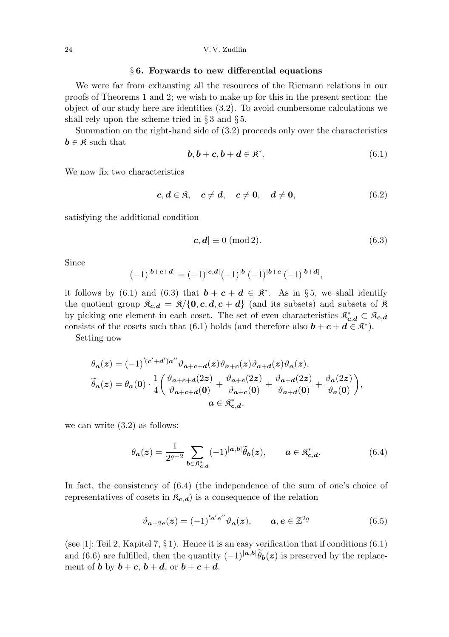#### 24 V. V. Zudilin

### § 6. Forwards to new differential equations

We were far from exhausting all the resources of the Riemann relations in our proofs of Theorems 1 and 2; we wish to make up for this in the present section: the object of our study here are identities (3.2). To avoid cumbersome calculations we shall rely upon the scheme tried in  $\S 3$  and  $\S 5$ .

Summation on the right-hand side of (3.2) proceeds only over the characteristics  $b \in \mathfrak{K}$  such that

$$
\mathbf{b}, \mathbf{b} + \mathbf{c}, \mathbf{b} + \mathbf{d} \in \mathfrak{K}^*.
$$
 (6.1)

We now fix two characteristics

$$
c, d \in \mathfrak{K}, \quad c \neq d, \quad c \neq 0, \quad d \neq 0,
$$
 (6.2)

satisfying the additional condition

$$
|\mathbf{c}, \mathbf{d}| \equiv 0 \ (\text{mod } 2). \tag{6.3}
$$

Since

$$
(-1)^{|{\boldsymbol{b}}+{\boldsymbol{c}}+{\boldsymbol{d}}|}=(-1)^{|{\boldsymbol{c}}, {\boldsymbol{d}}|}(-1)^{|{\boldsymbol{b}}|}(-1)^{|{\boldsymbol{b}}+{\boldsymbol{c}}|}(-1)^{|{\boldsymbol{b}}+{\boldsymbol{d}}|},
$$

it follows by (6.1) and (6.3) that  $\mathbf{b} + \mathbf{c} + \mathbf{d} \in \mathbb{R}^*$ . As in §5, we shall identify the quotient group  $\mathfrak{K}_{c,d} = \mathfrak{K}/\{0,c,d,c+d\}$  (and its subsets) and subsets of  $\mathfrak K$ by picking one element in each coset. The set of even characteristics  $\mathfrak{K}_{c,d}^* \subset \mathfrak{K}_{c,d}$ consists of the cosets such that (6.1) holds (and therefore also  $\mathbf{b} + \mathbf{c} + \mathbf{d} \in \mathbb{R}^*$ ).

Setting now

$$
\begin{aligned} \theta_{\pmb a}(z)&=(-1)^{^t\!(\pmb{c}'+\pmb{d}')\pmb{a}''}\vartheta_{\pmb{a}+\pmb{c}+\pmb{d}}(z)\vartheta_{\pmb{a}+\pmb{c}}(z)\vartheta_{\pmb{a}+\pmb{d}}(z)\vartheta_{\pmb{a}}(z),\\ \widetilde\theta_{\pmb{a}}(z)&=\theta_{\pmb{a}}(\pmb{0})\cdot\frac{1}{4}\bigg(\frac{\vartheta_{\pmb{a}+\pmb{c}+\pmb{d}}(2z)}{\vartheta_{\pmb{a}+\pmb{c}+\pmb{d}}(\pmb{0})}+\frac{\vartheta_{\pmb{a}+\pmb{c}}(2z)}{\vartheta_{\pmb{a}+\pmb{c}}(\pmb{0})}+\frac{\vartheta_{\pmb{a}+\pmb{d}}(2z)}{\vartheta_{\pmb{a}+\pmb{d}}(\pmb{0})}+\frac{\vartheta_{\pmb{a}}(2z)}{\vartheta_{\pmb{a}}(\pmb{0})}\bigg),\\ \pmb{a}\in\mathfrak{K}_{\pmb{c},\pmb{d}}^*, \end{aligned}
$$

we can write (3.2) as follows:

$$
\theta_{\boldsymbol{a}}(z) = \frac{1}{2^{g-2}} \sum_{\boldsymbol{b} \in \mathfrak{K}_{c,d}^*} (-1)^{|\boldsymbol{a}, \boldsymbol{b}|} \widetilde{\theta}_{\boldsymbol{b}}(z), \qquad \boldsymbol{a} \in \mathfrak{K}_{c,d}^*.
$$
 (6.4)

In fact, the consistency of (6.4) (the independence of the sum of one's choice of representatives of cosets in  $\mathcal{R}_{c,d}$  is a consequence of the relation

$$
\vartheta_{a+2e}(z) = (-1)^{a'e''}\vartheta_a(z), \qquad a, e \in \mathbb{Z}^{2g}
$$
 (6.5)

(see [1]; Teil 2, Kapitel 7,  $\S 1$ ). Hence it is an easy verification that if conditions (6.1) and (6.6) are fulfilled, then the quantity  $(-1)^{|\mathbf{a},\mathbf{b}|} \tilde{\theta}_{\mathbf{b}}(z)$  is preserved by the replacement of **b** by  $\mathbf{b} + \mathbf{c}$ ,  $\mathbf{b} + \mathbf{d}$ , or  $\mathbf{b} + \mathbf{c} + \mathbf{d}$ .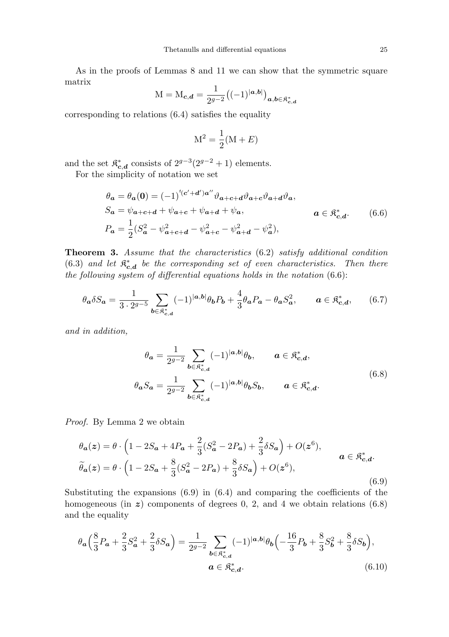As in the proofs of Lemmas 8 and 11 we can show that the symmetric square matrix

$$
M = M_{c,d} = \frac{1}{2^{g-2}} ((-1)^{|a,b|})_{a,b \in \mathfrak{K}_{c,d}^*}
$$

corresponding to relations (6.4) satisfies the equality

$$
M^2 = \frac{1}{2}(M + E)
$$

and the set  $\mathfrak{K}_{c}^{*}$  $_{c,d}^*$  consists of  $2^{g-3}(2^{g-2}+1)$  elements.

For the simplicity of notation we set

$$
\theta_{a} = \theta_{a}(0) = (-1)^{t(c'+d')a''} \vartheta_{a+c+d} \vartheta_{a+c} \vartheta_{a+d} \vartheta_{a},
$$
  
\n
$$
S_{a} = \psi_{a+c+d} + \psi_{a+c} + \psi_{a+d} + \psi_{a}, \qquad a \in \mathfrak{K}_{c,d}^{*}.
$$
  
\n
$$
P_{a} = \frac{1}{2} (S_{a}^{2} - \psi_{a+c+d}^{2} - \psi_{a+c}^{2} - \psi_{a+d}^{2} - \psi_{a}^{2}),
$$
  
\n(6.6)

Theorem 3. Assume that the characteristics (6.2) satisfy additional condition  $(6.3)$  and let  $\mathfrak{K}^*_{c}$  $\mathbf{c}_{\mathbf{c},\mathbf{d}}^{*}$  be the corresponding set of even characteristics. Then there the following system of differential equations holds in the notation (6.6):

$$
\theta_a \delta S_a = \frac{1}{3 \cdot 2^{g-5}} \sum_{b \in \mathfrak{K}_{c,d}^*} (-1)^{|a,b|} \theta_b P_b + \frac{4}{3} \theta_a P_a - \theta_a S_a^2, \qquad a \in \mathfrak{K}_{c,d}^*, \tag{6.7}
$$

and in addition,

$$
\theta_{\mathbf{a}} = \frac{1}{2g-2} \sum_{\mathbf{b} \in \mathfrak{K}_{\mathbf{c}, \mathbf{d}}^*} (-1)^{|\mathbf{a}, \mathbf{b}|} \theta_{\mathbf{b}}, \qquad \mathbf{a} \in \mathfrak{K}_{\mathbf{c}, \mathbf{d}}^*,
$$
\n
$$
\theta_{\mathbf{a}} S_{\mathbf{a}} = \frac{1}{2g-2} \sum_{\mathbf{b} \in \mathfrak{K}_{\mathbf{c}, \mathbf{d}}^*} (-1)^{|\mathbf{a}, \mathbf{b}|} \theta_{\mathbf{b}} S_{\mathbf{b}}, \qquad \mathbf{a} \in \mathfrak{K}_{\mathbf{c}, \mathbf{d}}^*.
$$
\n
$$
(6.8)
$$

Proof. By Lemma 2 we obtain

$$
\theta_{a}(z) = \theta \cdot \left(1 - 2S_{a} + 4P_{a} + \frac{2}{3}(S_{a}^{2} - 2P_{a}) + \frac{2}{3}\delta S_{a}\right) + O(z^{6}),
$$
\n
$$
\tilde{\theta}_{a}(z) = \theta \cdot \left(1 - 2S_{a} + \frac{8}{3}(S_{a}^{2} - 2P_{a}) + \frac{8}{3}\delta S_{a}\right) + O(z^{6}),
$$
\n
$$
a \in \mathfrak{K}_{c,d}^{*}.
$$
\n(6.9)

Substituting the expansions (6.9) in (6.4) and comparing the coefficients of the homogeneous (in  $z$ ) components of degrees 0, 2, and 4 we obtain relations (6.8) and the equality

$$
\theta_{a} \left( \frac{8}{3} P_{a} + \frac{2}{3} S_{a}^{2} + \frac{2}{3} \delta S_{a} \right) = \frac{1}{2^{g-2}} \sum_{b \in \mathfrak{K}_{c,d}^{*}} (-1)^{|a,b|} \theta_{b} \left( -\frac{16}{3} P_{b} + \frac{8}{3} S_{b}^{2} + \frac{8}{3} \delta S_{b} \right),
$$
  

$$
a \in \mathfrak{K}_{c,d}^{*}.
$$
 (6.10)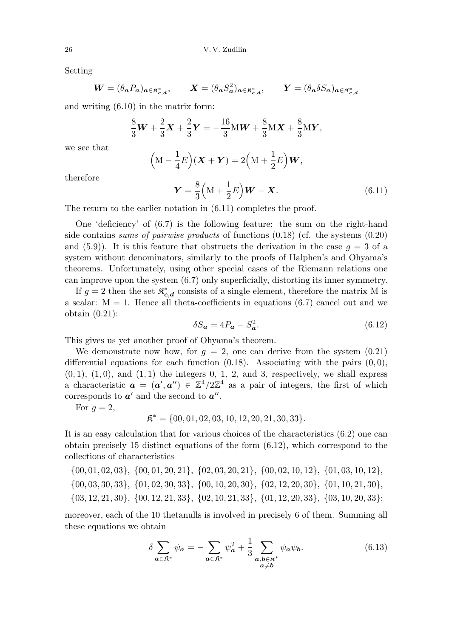Setting

$$
\mathbf{W} = (\theta_a P_a)_{a \in \mathfrak{K}_{c,d}^*}, \qquad \mathbf{X} = (\theta_a S_a^2)_{a \in \mathfrak{K}_{c,d}^*}, \qquad \mathbf{Y} = (\theta_a \delta S_a)_{a \in \mathfrak{K}_{c,d}^*}
$$

and writing (6.10) in the matrix form:

$$
\frac{8}{3}\mathbf{W} + \frac{2}{3}\mathbf{X} + \frac{2}{3}\mathbf{Y} = -\frac{16}{3}\mathbf{M}\mathbf{W} + \frac{8}{3}\mathbf{M}\mathbf{X} + \frac{8}{3}\mathbf{M}\mathbf{Y},
$$

we see that

$$
\left(\mathbf{M} - \frac{1}{4}E\right)(\mathbf{X} + \mathbf{Y}) = 2\left(\mathbf{M} + \frac{1}{2}E\right)\mathbf{W},
$$

therefore

$$
\boldsymbol{Y} = \frac{8}{3} \left( \mathbf{M} + \frac{1}{2} E \right) \boldsymbol{W} - \boldsymbol{X}.
$$
 (6.11)

The return to the earlier notation in  $(6.11)$  completes the proof.

One 'deficiency' of (6.7) is the following feature: the sum on the right-hand side contains sums of pairwise products of functions (0.18) (cf. the systems (0.20) and  $(5.9)$ . It is this feature that obstructs the derivation in the case  $q = 3$  of a system without denominators, similarly to the proofs of Halphen's and Ohyama's theorems. Unfortunately, using other special cases of the Riemann relations one can improve upon the system (6.7) only superficially, distorting its inner symmetry.

If  $g = 2$  then the set  $\mathfrak{K}^*_{c}$  $_{c,d}^*$  consists of a single element, therefore the matrix M is a scalar:  $M = 1$ . Hence all theta-coefficients in equations (6.7) cancel out and we obtain (0.21):

$$
\delta S_a = 4P_a - S_a^2. \tag{6.12}
$$

This gives us yet another proof of Ohyama's theorem.

We demonstrate now how, for  $g = 2$ , one can derive from the system  $(0.21)$ differential equations for each function  $(0.18)$ . Associating with the pairs  $(0, 0)$ ,  $(0, 1)$ ,  $(1, 0)$ , and  $(1, 1)$  the integers 0, 1, 2, and 3, respectively, we shall express a characteristic  $\mathbf{a} = (\mathbf{a}', \mathbf{a}'') \in \mathbb{Z}^4/2\mathbb{Z}^4$  as a pair of integers, the first of which corresponds to  $a'$  and the second to  $a''$ .

For  $g=2$ ,

$$
\mathfrak{K}^* = \{00, 01, 02, 03, 10, 12, 20, 21, 30, 33\}.
$$

It is an easy calculation that for various choices of the characteristics (6.2) one can obtain precisely 15 distinct equations of the form (6.12), which correspond to the collections of characteristics

- {00, 01, 02, 03}, {00, 01, 20, 21}, {02, 03, 20, 21}, {00, 02, 10, 12}, {01, 03, 10, 12},
- {00, 03, 30, 33}, {01, 02, 30, 33}, {00, 10, 20, 30}, {02, 12, 20, 30}, {01, 10, 21, 30},
- {03, 12, 21, 30}, {00, 12, 21, 33}, {02, 10, 21, 33}, {01, 12, 20, 33}, {03, 10, 20, 33};

moreover, each of the 10 thetanulls is involved in precisely 6 of them. Summing all these equations we obtain

$$
\delta \sum_{\mathbf{a}\in\mathfrak{K}^*} \psi_{\mathbf{a}} = -\sum_{\mathbf{a}\in\mathfrak{K}^*} \psi_{\mathbf{a}}^2 + \frac{1}{3} \sum_{\substack{\mathbf{a},\mathbf{b}\in\mathfrak{K}^*\\ \mathbf{a}\neq\mathbf{b}}} \psi_{\mathbf{a}} \psi_{\mathbf{b}}.
$$
 (6.13)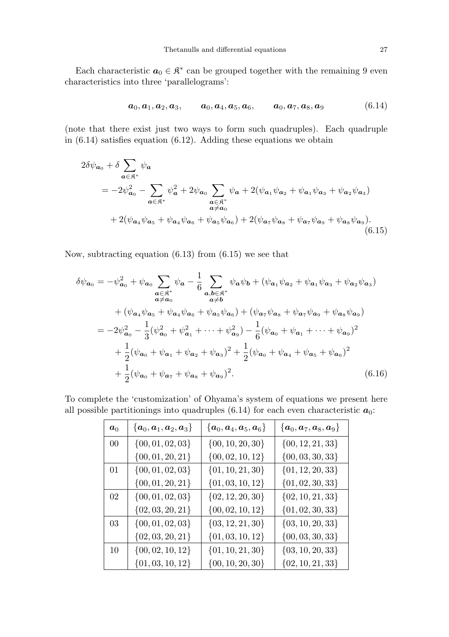Each characteristic  $a_0 \in \mathbb{R}^*$  can be grouped together with the remaining 9 even characteristics into three 'parallelograms':

$$
\boldsymbol{a}_0, \boldsymbol{a}_1, \boldsymbol{a}_2, \boldsymbol{a}_3, \qquad \boldsymbol{a}_0, \boldsymbol{a}_4, \boldsymbol{a}_5, \boldsymbol{a}_6, \qquad \boldsymbol{a}_0, \boldsymbol{a}_7, \boldsymbol{a}_8, \boldsymbol{a}_9 \tag{6.14}
$$

(note that there exist just two ways to form such quadruples). Each quadruple in  $(6.14)$  satisfies equation  $(6.12)$ . Adding these equations we obtain

$$
2\delta\psi_{\mathbf{a}_{0}} + \delta \sum_{\mathbf{a}\in\mathfrak{K}^{*}} \psi_{\mathbf{a}} = -2\psi_{\mathbf{a}_{0}}^{2} - \sum_{\mathbf{a}\in\mathfrak{K}^{*}} \psi_{\mathbf{a}}^{2} + 2\psi_{\mathbf{a}_{0}} \sum_{\substack{\mathbf{a}\in\mathfrak{K}^{*} \\ \mathbf{a}\neq\mathbf{a}_{0}}} \psi_{\mathbf{a}} + 2(\psi_{\mathbf{a}_{1}}\psi_{\mathbf{a}_{2}} + \psi_{\mathbf{a}_{1}}\psi_{\mathbf{a}_{3}} + \psi_{\mathbf{a}_{2}}\psi_{\mathbf{a}_{3}}) + 2(\psi_{\mathbf{a}_{4}}\psi_{\mathbf{a}_{5}} + \psi_{\mathbf{a}_{4}}\psi_{\mathbf{a}_{6}} + \psi_{\mathbf{a}_{5}}\psi_{\mathbf{a}_{6}}) + 2(\psi_{\mathbf{a}_{7}}\psi_{\mathbf{a}_{8}} + \psi_{\mathbf{a}_{7}}\psi_{\mathbf{a}_{9}} + \psi_{\mathbf{a}_{8}}\psi_{\mathbf{a}_{9}}).
$$
(6.15)

Now, subtracting equation  $(6.13)$  from  $(6.15)$  we see that

$$
\delta\psi_{\mathbf{a}_{0}} = -\psi_{\mathbf{a}_{0}}^{2} + \psi_{\mathbf{a}_{0}} \sum_{\substack{\mathbf{a} \in \mathbb{R}^{*} \\ \mathbf{a} \neq \mathbf{a}_{0}}} \psi_{\mathbf{a}} - \frac{1}{6} \sum_{\substack{\mathbf{a}, \mathbf{b} \in \mathbb{R}^{*} \\ \mathbf{a} \neq \mathbf{b}}} \psi_{\mathbf{a}} \psi_{\mathbf{b}} + (\psi_{\mathbf{a}_{1}} \psi_{\mathbf{a}_{2}} + \psi_{\mathbf{a}_{1}} \psi_{\mathbf{a}_{3}} + \psi_{\mathbf{a}_{2}} \psi_{\mathbf{a}_{3}})
$$
  
+  $(\psi_{\mathbf{a}_{4}} \psi_{\mathbf{a}_{5}} + \psi_{\mathbf{a}_{4}} \psi_{\mathbf{a}_{6}} + \psi_{\mathbf{a}_{5}} \psi_{\mathbf{a}_{6}}) + (\psi_{\mathbf{a}_{7}} \psi_{\mathbf{a}_{8}} + \psi_{\mathbf{a}_{7}} \psi_{\mathbf{a}_{9}} + \psi_{\mathbf{a}_{8}} \psi_{\mathbf{a}_{9}})$   
=  $-2\psi_{\mathbf{a}_{0}}^{2} - \frac{1}{3}(\psi_{\mathbf{a}_{0}}^{2} + \psi_{\mathbf{a}_{1}}^{2} + \dots + \psi_{\mathbf{a}_{9}}^{2}) - \frac{1}{6}(\psi_{\mathbf{a}_{0}} + \psi_{\mathbf{a}_{1}} + \dots + \psi_{\mathbf{a}_{9}})^{2}$   
+  $\frac{1}{2}(\psi_{\mathbf{a}_{0}} + \psi_{\mathbf{a}_{1}} + \psi_{\mathbf{a}_{2}} + \psi_{\mathbf{a}_{3}})^{2} + \frac{1}{2}(\psi_{\mathbf{a}_{0}} + \psi_{\mathbf{a}_{4}} + \psi_{\mathbf{a}_{5}} + \psi_{\mathbf{a}_{6}})^{2}$   
+  $\frac{1}{2}(\psi_{\mathbf{a}_{0}} + \psi_{\mathbf{a}_{7}} + \psi_{\mathbf{a}_{8}} + \psi_{\mathbf{a}_{9}})^{2}$ . (6.16)

To complete the 'customization' of Ohyama's system of equations we present here all possible partitionings into quadruples (6.14) for each even characteristic  $a_0$ :

| $a_0$  | $\{\boldsymbol{a}_0,\boldsymbol{a}_1,\boldsymbol{a}_2,\boldsymbol{a}_3\}$ | $\{\boldsymbol{a}_0,\boldsymbol{a}_4,\boldsymbol{a}_5,\boldsymbol{a}_6\}$ | $\{\boldsymbol{a}_0,\boldsymbol{a}_7,\boldsymbol{a}_8,\boldsymbol{a}_9\}$ |
|--------|---------------------------------------------------------------------------|---------------------------------------------------------------------------|---------------------------------------------------------------------------|
| $00\,$ | $\{00, 01, 02, 03\}$                                                      | $\{00, 10, 20, 30\}$                                                      | $\{00, 12, 21, 33\}$                                                      |
|        | $\{00, 01, 20, 21\}$                                                      | $\{00, 02, 10, 12\}$                                                      | $\{00, 03, 30, 33\}$                                                      |
| 01     | $\{00, 01, 02, 03\}$                                                      | $\{01, 10, 21, 30\}$                                                      | $\{01, 12, 20, 33\}$                                                      |
|        | $\{00, 01, 20, 21\}$                                                      | $\{01, 03, 10, 12\}$                                                      | $\{01, 02, 30, 33\}$                                                      |
| 02     | $\{00, 01, 02, 03\}$                                                      | $\{02, 12, 20, 30\}$                                                      | $\{02, 10, 21, 33\}$                                                      |
|        | $\{02, 03, 20, 21\}$                                                      | $\{00, 02, 10, 12\}$                                                      | $\{01, 02, 30, 33\}$                                                      |
| 03     | $\{00, 01, 02, 03\}$                                                      | $\{03, 12, 21, 30\}$                                                      | $\{03, 10, 20, 33\}$                                                      |
|        | $\{02, 03, 20, 21\}$                                                      | $\{01, 03, 10, 12\}$                                                      | $\{00, 03, 30, 33\}$                                                      |
| 10     | $\{00, 02, 10, 12\}$                                                      | $\{01, 10, 21, 30\}$                                                      | $\{03, 10, 20, 33\}$                                                      |
|        | $\{01, 03, 10, 12\}$                                                      | $\{00, 10, 20, 30\}$                                                      | $\{02, 10, 21, 33\}$                                                      |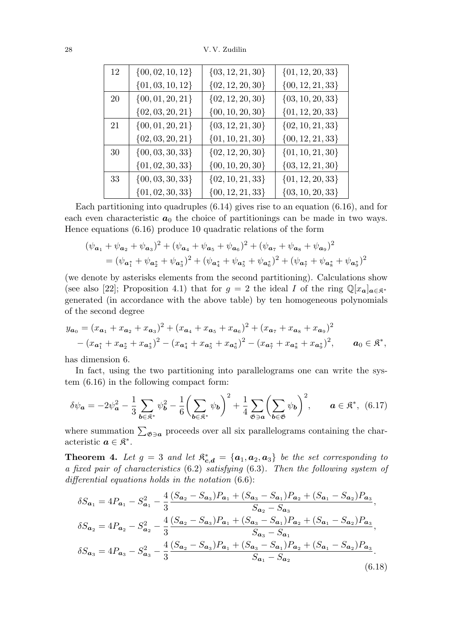28 V. V. Zudilin

| 12 | $\{00, 02, 10, 12\}$ | $\{03, 12, 21, 30\}$ | $\{01, 12, 20, 33\}$ |
|----|----------------------|----------------------|----------------------|
|    | $\{01, 03, 10, 12\}$ | $\{02, 12, 20, 30\}$ | $\{00, 12, 21, 33\}$ |
| 20 | $\{00, 01, 20, 21\}$ | $\{02, 12, 20, 30\}$ | $\{03, 10, 20, 33\}$ |
|    | $\{02, 03, 20, 21\}$ | $\{00, 10, 20, 30\}$ | $\{01, 12, 20, 33\}$ |
| 21 | $\{00, 01, 20, 21\}$ | $\{03, 12, 21, 30\}$ | $\{02, 10, 21, 33\}$ |
|    | $\{02, 03, 20, 21\}$ | $\{01, 10, 21, 30\}$ | $\{00, 12, 21, 33\}$ |
| 30 | $\{00, 03, 30, 33\}$ | $\{02, 12, 20, 30\}$ | $\{01, 10, 21, 30\}$ |
|    | $\{01, 02, 30, 33\}$ | $\{00, 10, 20, 30\}$ | $\{03, 12, 21, 30\}$ |
| 33 | $\{00, 03, 30, 33\}$ | $\{02, 10, 21, 33\}$ | $\{01, 12, 20, 33\}$ |
|    | $\{01, 02, 30, 33\}$ | $\{00, 12, 21, 33\}$ | $\{03, 10, 20, 33\}$ |

Each partitioning into quadruples (6.14) gives rise to an equation (6.16), and for each even characteristic  $a_0$  the choice of partitionings can be made in two ways. Hence equations (6.16) produce 10 quadratic relations of the form

$$
(\psi_{\mathbf{a}_1} + \psi_{\mathbf{a}_2} + \psi_{\mathbf{a}_3})^2 + (\psi_{\mathbf{a}_4} + \psi_{\mathbf{a}_5} + \psi_{\mathbf{a}_6})^2 + (\psi_{\mathbf{a}_7} + \psi_{\mathbf{a}_8} + \psi_{\mathbf{a}_9})^2
$$
  
= 
$$
(\psi_{\mathbf{a}_1^*} + \psi_{\mathbf{a}_2^*} + \psi_{\mathbf{a}_3^*})^2 + (\psi_{\mathbf{a}_4^*} + \psi_{\mathbf{a}_5^*} + \psi_{\mathbf{a}_6^*})^2 + (\psi_{\mathbf{a}_7^*} + \psi_{\mathbf{a}_8^*} + \psi_{\mathbf{a}_9^*})^2
$$

(we denote by asterisks elements from the second partitioning). Calculations show (see also [22]; Proposition 4.1) that for  $g = 2$  the ideal I of the ring  $\mathbb{Q}[x_a]_{a \in \mathbb{R}^*}$ generated (in accordance with the above table) by ten homogeneous polynomials of the second degree

$$
y_{a_0} = (x_{a_1} + x_{a_2} + x_{a_3})^2 + (x_{a_4} + x_{a_5} + x_{a_6})^2 + (x_{a_7} + x_{a_8} + x_{a_9})^2
$$
  
-  $(x_{a_1^*} + x_{a_2^*} + x_{a_3^*})^2 - (x_{a_4^*} + x_{a_5^*} + x_{a_6^*})^2 - (x_{a_7^*} + x_{a_8^*} + x_{a_9^*})^2$ ,  $a_0 \in \mathbb{R}^*$ ,

has dimension 6.

In fact, using the two partitioning into parallelograms one can write the system (6.16) in the following compact form:

$$
\delta\psi_{\mathbf{a}} = -2\psi_{\mathbf{a}}^2 - \frac{1}{3} \sum_{\mathbf{b} \in \mathfrak{K}^*} \psi_{\mathbf{b}}^2 - \frac{1}{6} \bigg( \sum_{\mathbf{b} \in \mathfrak{K}^*} \psi_{\mathbf{b}} \bigg)^2 + \frac{1}{4} \sum_{\mathfrak{G} \ni \mathbf{a}} \bigg( \sum_{\mathbf{b} \in \mathfrak{G}} \psi_{\mathbf{b}} \bigg)^2, \qquad \mathbf{a} \in \mathfrak{K}^*, \tag{6.17}
$$

where summation  $\sum_{\mathfrak{G}\ni\mathfrak{a}}$  proceeds over all six parallelograms containing the characteristic  $a \in \mathfrak{K}^*$ .

**Theorem 4.** Let  $g = 3$  and let  $\mathbb{R}^*_{c,d} = \{a_1, a_2, a_3\}$  be the set corresponding to a fixed pair of characteristics (6.2) satisfying (6.3). Then the following system of differential equations holds in the notation  $(6.6)$ :

$$
\delta S_{a_1} = 4P_{a_1} - S_{a_1}^2 - \frac{4}{3} \frac{(S_{a_2} - S_{a_3})P_{a_1} + (S_{a_3} - S_{a_1})P_{a_2} + (S_{a_1} - S_{a_2})P_{a_3}}{S_{a_2} - S_{a_3}},
$$
  

$$
\delta S_{a_2} = 4P_{a_2} - S_{a_2}^2 - \frac{4}{3} \frac{(S_{a_2} - S_{a_3})P_{a_1} + (S_{a_3} - S_{a_1})P_{a_2} + (S_{a_1} - S_{a_2})P_{a_3}}{S_{a_3} - S_{a_1}},
$$
  

$$
\delta S_{a_3} = 4P_{a_3} - S_{a_3}^2 - \frac{4}{3} \frac{(S_{a_2} - S_{a_3})P_{a_1} + (S_{a_3} - S_{a_1})P_{a_2} + (S_{a_1} - S_{a_2})P_{a_3}}{S_{a_1} - S_{a_2}}.
$$
  
(6.18)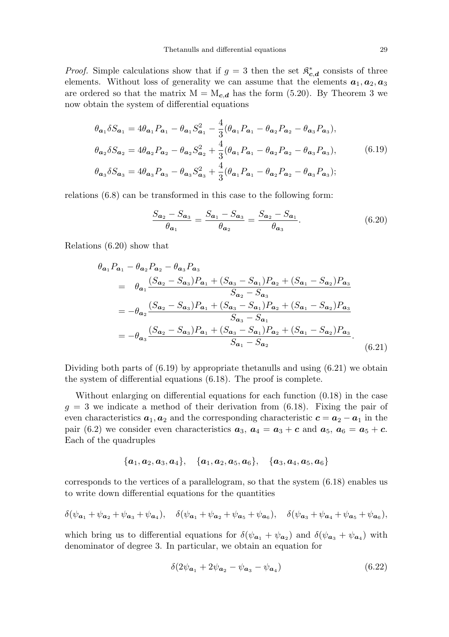*Proof.* Simple calculations show that if  $g = 3$  then the set  $\mathbb{R}^*$  $\mathbf{c}_{\cdot,d}^*$  consists of three elements. Without loss of generality we can assume that the elements  $a_1, a_2, a_3$ are ordered so that the matrix  $M = M_{c,d}$  has the form (5.20). By Theorem 3 we now obtain the system of differential equations

$$
\theta_{a_1} \delta S_{a_1} = 4\theta_{a_1} P_{a_1} - \theta_{a_1} S_{a_1}^2 - \frac{4}{3} (\theta_{a_1} P_{a_1} - \theta_{a_2} P_{a_2} - \theta_{a_3} P_{a_3}),
$$
  
\n
$$
\theta_{a_2} \delta S_{a_2} = 4\theta_{a_2} P_{a_2} - \theta_{a_2} S_{a_2}^2 + \frac{4}{3} (\theta_{a_1} P_{a_1} - \theta_{a_2} P_{a_2} - \theta_{a_3} P_{a_3}),
$$
  
\n
$$
\theta_{a_3} \delta S_{a_3} = 4\theta_{a_3} P_{a_3} - \theta_{a_3} S_{a_3}^2 + \frac{4}{3} (\theta_{a_1} P_{a_1} - \theta_{a_2} P_{a_2} - \theta_{a_3} P_{a_3});
$$
\n(6.19)

relations (6.8) can be transformed in this case to the following form:

$$
\frac{S_{a_2} - S_{a_3}}{\theta_{a_1}} = \frac{S_{a_1} - S_{a_3}}{\theta_{a_2}} = \frac{S_{a_2} - S_{a_1}}{\theta_{a_3}}.
$$
(6.20)

Relations (6.20) show that

$$
\theta_{a_1} P_{a_1} - \theta_{a_2} P_{a_2} - \theta_{a_3} P_{a_3}
$$
\n
$$
= \theta_{a_1} \frac{(S_{a_2} - S_{a_3}) P_{a_1} + (S_{a_3} - S_{a_1}) P_{a_2} + (S_{a_1} - S_{a_2}) P_{a_3}}{S_{a_2} - S_{a_3}}
$$
\n
$$
= -\theta_{a_2} \frac{(S_{a_2} - S_{a_3}) P_{a_1} + (S_{a_3} - S_{a_1}) P_{a_2} + (S_{a_1} - S_{a_2}) P_{a_3}}{S_{a_3} - S_{a_1}}
$$
\n
$$
= -\theta_{a_3} \frac{(S_{a_2} - S_{a_3}) P_{a_1} + (S_{a_3} - S_{a_1}) P_{a_2} + (S_{a_1} - S_{a_2}) P_{a_3}}{S_{a_1} - S_{a_2}}.
$$
\n(6.21)

Dividing both parts of (6.19) by appropriate thetanulls and using (6.21) we obtain the system of differential equations (6.18). The proof is complete.

Without enlarging on differential equations for each function (0.18) in the case  $g = 3$  we indicate a method of their derivation from (6.18). Fixing the pair of even characteristics  $a_1, a_2$  and the corresponding characteristic  $c = a_2 - a_1$  in the pair (6.2) we consider even characteristics  $a_3$ ,  $a_4 = a_3 + c$  and  $a_5$ ,  $a_6 = a_5 + c$ . Each of the quadruples

$$
\{{\boldsymbol a}_1,{\boldsymbol a}_2,{\boldsymbol a}_3,{\boldsymbol a}_4\},\quad \{{\boldsymbol a}_1,{\boldsymbol a}_2,{\boldsymbol a}_5,{\boldsymbol a}_6\},\quad \{{\boldsymbol a}_3,{\boldsymbol a}_4,{\boldsymbol a}_5,{\boldsymbol a}_6\}
$$

corresponds to the vertices of a parallelogram, so that the system (6.18) enables us to write down differential equations for the quantities

$$
\delta(\psi_{\mathbf{a}_1} + \psi_{\mathbf{a}_2} + \psi_{\mathbf{a}_3} + \psi_{\mathbf{a}_4}), \quad \delta(\psi_{\mathbf{a}_1} + \psi_{\mathbf{a}_2} + \psi_{\mathbf{a}_5} + \psi_{\mathbf{a}_6}), \quad \delta(\psi_{\mathbf{a}_3} + \psi_{\mathbf{a}_4} + \psi_{\mathbf{a}_5} + \psi_{\mathbf{a}_6}),
$$

which bring us to differential equations for  $\delta(\psi_{a_1} + \psi_{a_2})$  and  $\delta(\psi_{a_3} + \psi_{a_4})$  with denominator of degree 3. In particular, we obtain an equation for

$$
\delta(2\psi_{\mathbf{a}_1} + 2\psi_{\mathbf{a}_2} - \psi_{\mathbf{a}_3} - \psi_{\mathbf{a}_4})\tag{6.22}
$$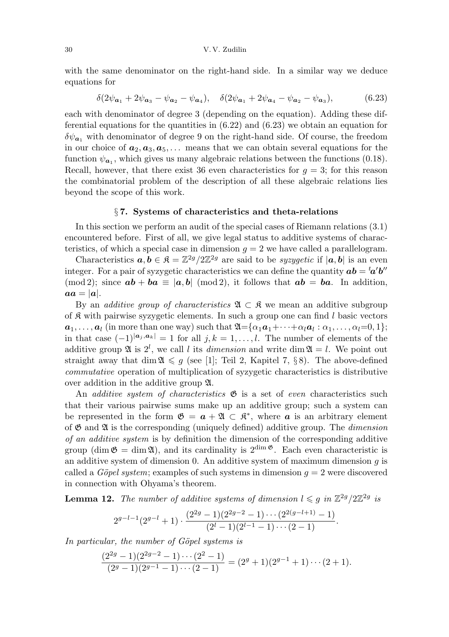with the same denominator on the right-hand side. In a similar way we deduce equations for

$$
\delta(2\psi_{a_1} + 2\psi_{a_3} - \psi_{a_2} - \psi_{a_4}), \quad \delta(2\psi_{a_1} + 2\psi_{a_4} - \psi_{a_2} - \psi_{a_3}), \tag{6.23}
$$

each with denominator of degree 3 (depending on the equation). Adding these differential equations for the quantities in  $(6.22)$  and  $(6.23)$  we obtain an equation for  $\delta\psi_{a_1}$  with denominator of degree 9 on the right-hand side. Of course, the freedom in our choice of  $a_2, a_3, a_5, \ldots$  means that we can obtain several equations for the function  $\psi_{a_1}$ , which gives us many algebraic relations between the functions (0.18). Recall, however, that there exist 36 even characteristics for  $q = 3$ ; for this reason the combinatorial problem of the description of all these algebraic relations lies beyond the scope of this work.

### § 7. Systems of characteristics and theta-relations

In this section we perform an audit of the special cases of Riemann relations (3.1) encountered before. First of all, we give legal status to additive systems of characteristics, of which a special case in dimension  $g = 2$  we have called a parallelogram.

Characteristics  $a, b \in \mathbb{R} = \mathbb{Z}^{2g}/2\mathbb{Z}^{2g}$  are said to be syzygetic if  $[a, b]$  is an even integer. For a pair of syzygetic characteristics we can define the quantity  $ab = {}^t\! a' b''$  $(\text{mod } 2)$ ; since  $ab + ba \equiv |a, b| \pmod{2}$ , it follows that  $ab = ba$ . In addition,  $aa = |a|$ .

By an *additive group of characteristics*  $\mathfrak{A} \subset \mathfrak{K}$  we mean an additive subgroup of  $\mathcal R$  with pairwise syzygetic elements. In such a group one can find l basic vectors  $a_1, \ldots, a_l$  (in more than one way) such that  $\mathfrak{A} = \{\alpha_1 a_1 + \cdots + \alpha_l a_l : \alpha_1, \ldots, \alpha_l = 0, 1\};$ in that case  $(-1)^{|\mathbf{a}_j, \mathbf{a}_k|} = 1$  for all  $j, k = 1, \ldots, l$ . The number of elements of the additive group  $\mathfrak{A}$  is  $2^l$ , we call l its *dimension* and write dim  $\mathfrak{A} = l$ . We point out straight away that dim  $\mathfrak{A} \leq g$  (see [1]; Teil 2, Kapitel 7, §8). The above-defined commutative operation of multiplication of syzygetic characteristics is distributive over addition in the additive group A.

An *additive system of characteristics*  $\mathfrak{G}$  is a set of *even* characteristics such that their various pairwise sums make up an additive group; such a system can be represented in the form  $\mathfrak{G} = \mathfrak{a} + \mathfrak{A} \subset \mathfrak{K}^*$ , where  $\mathfrak{a}$  is an arbitrary element of  $\mathfrak G$  and  $\mathfrak A$  is the corresponding (uniquely defined) additive group. The *dimension* of an additive system is by definition the dimension of the corresponding additive group (dim  $\mathfrak{G} = \dim \mathfrak{A}$ ), and its cardinality is  $2^{\dim \mathfrak{G}}$ . Each even characteristic is an additive system of dimension 0. An additive system of maximum dimension  $g$  is called a *Göpel system*; examples of such systems in dimension  $q = 2$  were discovered in connection with Ohyama's theorem.

**Lemma 12.** The number of additive systems of dimension  $l \leq g$  in  $\mathbb{Z}^{2g}/2\mathbb{Z}^{2g}$  is

$$
2^{g-l-1}(2^{g-l}+1)\cdot \frac{(2^{2g}-1)(2^{2g-2}-1)\cdots (2^{2(g-l+1)}-1)}{(2^l-1)(2^{l-1}-1)\cdots (2-1)}.
$$

In particular, the number of Göpel systems is

$$
\frac{(2^{2g}-1)(2^{2g-2}-1)\cdots(2^2-1)}{(2^g-1)(2^{g-1}-1)\cdots(2-1)} = (2^g+1)(2^{g-1}+1)\cdots(2+1).
$$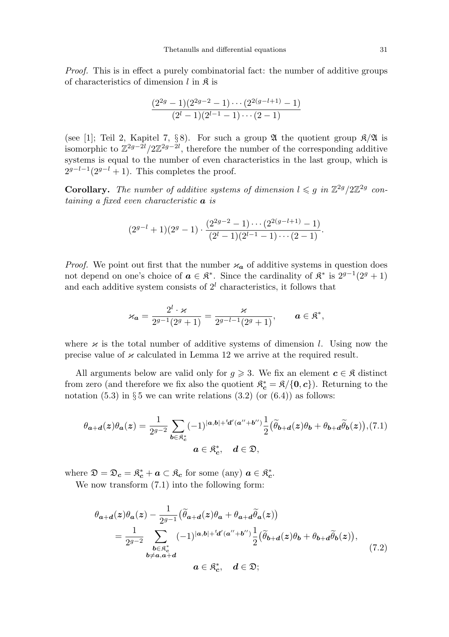Proof. This is in effect a purely combinatorial fact: the number of additive groups of characteristics of dimension  $l$  in  $\mathfrak K$  is

$$
\frac{(2^{2g}-1)(2^{2g-2}-1)\cdots(2^{2(g-l+1)}-1)}{(2^l-1)(2^{l-1}-1)\cdots(2-1)}
$$

(see [1]; Teil 2, Kapitel 7, §8). For such a group  $\mathfrak A$  the quotient group  $\mathfrak K/\mathfrak A$  is isomorphic to  $\mathbb{Z}^{2g-2l}/2\mathbb{Z}^{2g-2l}$ , therefore the number of the corresponding additive systems is equal to the number of even characteristics in the last group, which is  $2^{g-l-1}(2^{g-l}+1)$ . This completes the proof.

**Corollary.** The number of additive systems of dimension  $l \leq g$  in  $\mathbb{Z}^{2g}/2\mathbb{Z}^{2g}$  containing a fixed even characteristic a is

$$
(2^{g-l}+1)(2^g-1)\cdot \frac{(2^{2g-2}-1)\cdots (2^{2(g-l+1)}-1)}{(2^l-1)(2^{l-1}-1)\cdots (2-1)}.
$$

*Proof.* We point out first that the number  $\varkappa_a$  of additive systems in question does not depend on one's choice of  $\boldsymbol{a} \in \mathfrak{K}^*$ . Since the cardinality of  $\mathfrak{K}^*$  is  $2^{g-1}(2^g + 1)$ and each additive system consists of  $2<sup>l</sup>$  characteristics, it follows that

$$
\varkappa_{\boldsymbol{a}} = \frac{2^l \cdot \varkappa}{2^{g-1}(2^g+1)} = \frac{\varkappa}{2^{g-l-1}(2^g+1)}, \qquad \boldsymbol{a} \in \mathfrak{K}^*,
$$

where  $\varkappa$  is the total number of additive systems of dimension l. Using now the precise value of  $\alpha$  calculated in Lemma 12 we arrive at the required result.

All arguments below are valid only for  $g \geq 3$ . We fix an element  $c \in \mathfrak{K}$  distinct from zero (and therefore we fix also the quotient  $\mathfrak{K}_{\mathbf{c}}^* = \mathfrak{K}/\{\mathbf{0}, \mathbf{c}\}\)$ . Returning to the notation  $(5.3)$  in § 5 we can write relations  $(3.2)$  (or  $(6.4)$ ) as follows:

$$
\theta_{\mathbf{a}+\mathbf{d}}(z)\theta_{\mathbf{a}}(z) = \frac{1}{2^{g-2}} \sum_{\mathbf{b}\in\mathfrak{K}_{c}^{*}} (-1)^{|\mathbf{a},\mathbf{b}|+\mathbf{d}'(\mathbf{a}''+\mathbf{b}'')}\frac{1}{2}(\widetilde{\theta}_{\mathbf{b}+\mathbf{d}}(z)\theta_{\mathbf{b}}+\theta_{\mathbf{b}+\mathbf{d}}\widetilde{\theta}_{\mathbf{b}}(z)), (7.1)
$$
  

$$
\mathbf{a}\in\mathfrak{K}_{c}^{*}, \quad \mathbf{d}\in\mathfrak{D},
$$

where  $\mathfrak{D} = \mathfrak{D}_c = \mathfrak{K}_c^* + a \subset \mathfrak{K}_c$  for some (any)  $a \in \mathfrak{K}_c^*$  $_{c}^{\ast}$  .

We now transform  $(7.1)$  into the following form:

$$
\theta_{a+d}(z)\theta_a(z) - \frac{1}{2^{g-1}} \left( \widetilde{\theta}_{a+d}(z)\theta_a + \theta_{a+d} \widetilde{\theta}_a(z) \right)
$$
  
\n
$$
= \frac{1}{2^{g-2}} \sum_{\substack{b \in \mathfrak{K}_c^* \\ b \neq a, a+d}} (-1)^{|a,b|+td'(a''+b'')} \frac{1}{2} \left( \widetilde{\theta}_{b+d}(z)\theta_b + \theta_{b+d} \widetilde{\theta}_b(z) \right),
$$
  
\n
$$
a \in \mathfrak{K}_c^*, \quad d \in \mathfrak{D};
$$
\n(7.2)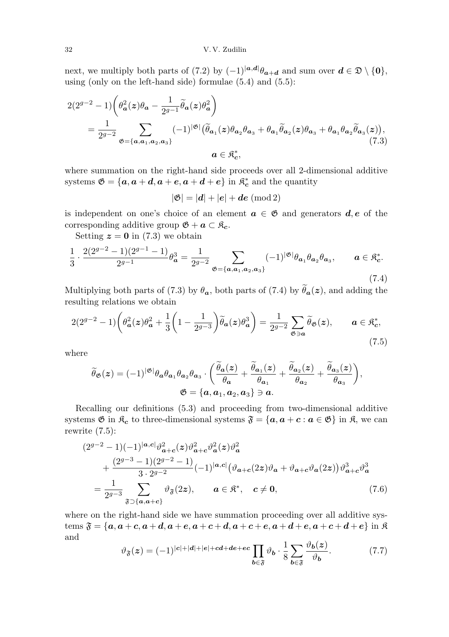next, we multiply both parts of (7.2) by  $(-1)^{|a,d|} \theta_{a+d}$  and sum over  $d \in \mathfrak{D} \setminus \{0\},$ using (only on the left-hand side) formulae (5.4) and (5.5):

$$
2(2^{g-2} - 1)\left(\theta_a^2(z)\theta_a - \frac{1}{2^{g-1}}\tilde{\theta}_a(z)\theta_a^2\right)
$$
  
= 
$$
\frac{1}{2^{g-2}} \sum_{\mathfrak{G}=\{a,a_1,a_2,a_3\}} (-1)^{|\mathfrak{G}|} \left(\tilde{\theta}_{a_1}(z)\theta_{a_2}\theta_{a_3} + \theta_{a_1}\tilde{\theta}_{a_2}(z)\theta_{a_3} + \theta_{a_1}\theta_{a_2}\tilde{\theta}_{a_3}(z)\right),
$$
  

$$
a \in \mathfrak{K}_c^*,
$$
 (7.3)

where summation on the right-hand side proceeds over all 2-dimensional additive systems  $\mathfrak{G} = \{a, a+d, a+e, a+d+e\}$  in  $\mathfrak{K}_{\mathbf{c}}^*$  $\mathbf{r}_{\mathbf{c}}^*$  and the quantity

 $|\mathfrak{G}| = |d| + |e| + de \pmod{2}$ 

is independent on one's choice of an element  $a \in \mathfrak{G}$  and generators  $d, e$  of the corresponding additive group  $\mathfrak{G} + \mathfrak{a} \subset \mathfrak{K}_{c}$ .

Setting  $z = 0$  in (7.3) we obtain

$$
\frac{1}{3} \cdot \frac{2(2^{g-2}-1)(2^{g-1}-1)}{2^{g-1}} \theta_{\mathbf{a}}^3 = \frac{1}{2^{g-2}} \sum_{\mathfrak{G} = \{\mathbf{a}, \mathbf{a}_1, \mathbf{a}_2, \mathbf{a}_3\}} (-1)^{|\mathfrak{G}|} \theta_{\mathbf{a}_1} \theta_{\mathbf{a}_2} \theta_{\mathbf{a}_3}, \qquad \mathbf{a} \in \mathfrak{K}_{\mathbf{c}}^*.
$$
\n(7.4)

Multiplying both parts of (7.3) by  $\theta_a$ , both parts of (7.4) by  $\theta_a(z)$ , and adding the resulting relations we obtain

$$
2(2^{g-2}-1)\left(\theta_a^2(z)\theta_a^2+\frac{1}{3}\left(1-\frac{1}{2^{g-3}}\right)\widetilde{\theta}_a(z)\theta_a^3\right)=\frac{1}{2^{g-2}}\sum_{\mathfrak{G}\ni a}\widetilde{\theta}_{\mathfrak{G}}(z), \qquad a\in\mathfrak{K}_c^*,\tag{7.5}
$$

where

$$
\widetilde{\theta}_{\mathfrak{G}}(z) = (-1)^{|\mathfrak{G}|} \theta_{\mathbf{a}} \theta_{\mathbf{a}_1} \theta_{\mathbf{a}_2} \theta_{\mathbf{a}_3} \cdot \left( \frac{\widetilde{\theta}_{\mathbf{a}}(z)}{\theta_{\mathbf{a}}} + \frac{\widetilde{\theta}_{\mathbf{a}_1}(z)}{\theta_{\mathbf{a}_1}} + \frac{\widetilde{\theta}_{\mathbf{a}_2}(z)}{\theta_{\mathbf{a}_2}} + \frac{\widetilde{\theta}_{\mathbf{a}_3}(z)}{\theta_{\mathbf{a}_3}} \right),
$$
  

$$
\mathfrak{G} = \{ \mathbf{a}, \mathbf{a}_1, \mathbf{a}_2, \mathbf{a}_3 \} \ni \mathbf{a}.
$$

Recalling our definitions (5.3) and proceeding from two-dimensional additive systems  $\mathfrak{G}$  in  $\mathfrak{K}_c$  to three-dimensional systems  $\mathfrak{F} = \{a, a + c : a \in \mathfrak{G}\}\$ in  $\mathfrak{K}$ , we can rewrite  $(7.5)$ :

$$
(2^{g-2} - 1)(-1)^{|a,c|} \vartheta_{a+c}^2(z) \vartheta_{a+c}^2 \vartheta_a^2(z) \vartheta_a^2
$$
  
+ 
$$
\frac{(2^{g-3} - 1)(2^{g-2} - 1)}{3 \cdot 2^{g-2}} (-1)^{|a,c|} (\vartheta_{a+c}(2z) \vartheta_a + \vartheta_{a+c} \vartheta_a(2z)) \vartheta_{a+c}^3 \vartheta_a^3
$$
  
= 
$$
\frac{1}{2^{g-3}} \sum_{\mathfrak{F} \supset \{a, a+c\}} \vartheta_{\mathfrak{F}}(2z), \qquad a \in \mathfrak{K}^*, \quad c \neq 0,
$$
 (7.6)

where on the right-hand side we have summation proceeding over all additive systems  $\mathfrak{F} = \{a, a+c, a+d, a+e, a+c+d, a+c+e, a+d+e, a+c+d+e\}$  in  $\mathfrak{K}$ and

$$
\vartheta_{\mathfrak{F}}(z) = (-1)^{|c|+|d|+|e|+cd+de+ec} \prod_{b \in \mathfrak{F}} \vartheta_b \cdot \frac{1}{8} \sum_{b \in \mathfrak{F}} \frac{\vartheta_b(z)}{\vartheta_b}.
$$
 (7.7)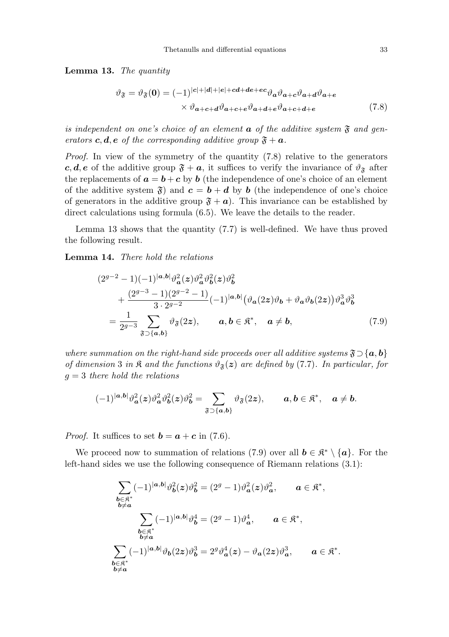Lemma 13. The quantity

$$
\vartheta_{\mathfrak{F}} = \vartheta_{\mathfrak{F}}(\mathbf{0}) = (-1)^{|\mathbf{c}|+|\mathbf{d}|+|\mathbf{e}|+cd+de+ec} \vartheta_{\mathbf{a}} \vartheta_{\mathbf{a}+\mathbf{c}} \vartheta_{\mathbf{a}+\mathbf{d}} \vartheta_{\mathbf{a}+\mathbf{e}} \times \vartheta_{\mathbf{a}+\mathbf{c}+\mathbf{d}} \vartheta_{\mathbf{a}+\mathbf{c}+\mathbf{e}} \vartheta_{\mathbf{a}+\mathbf{d}+\mathbf{e}} \vartheta_{\mathbf{a}+\mathbf{c}+\mathbf{d}+\mathbf{e}}
$$
\n(7.8)

is independent on one's choice of an element  $\boldsymbol{a}$  of the additive system  $\boldsymbol{\mathfrak{F}}$  and generators c, d, e of the corresponding additive group  $\mathfrak{F} + \mathbf{a}$ .

Proof. In view of the symmetry of the quantity (7.8) relative to the generators c, d, e of the additive group  $\mathfrak{F} + a$ , it suffices to verify the invariance of  $\vartheta_{\mathfrak{F}}$  after the replacements of  $\mathbf{a} = \mathbf{b} + \mathbf{c}$  by  $\mathbf{b}$  (the independence of one's choice of an element of the additive system  $\mathfrak{F}$ ) and  $c = b + d$  by b (the independence of one's choice of generators in the additive group  $\mathfrak{F} + a$ ). This invariance can be established by direct calculations using formula (6.5). We leave the details to the reader.

Lemma 13 shows that the quantity (7.7) is well-defined. We have thus proved the following result.

Lemma 14. There hold the relations

$$
(2^{g-2} - 1)(-1)^{|a,b|} \vartheta_a^2(z) \vartheta_a^2 \vartheta_b^2(z) \vartheta_b^2 + \frac{(2^{g-3} - 1)(2^{g-2} - 1)}{3 \cdot 2^{g-2}} (-1)^{|a,b|} (\vartheta_a(2z) \vartheta_b + \vartheta_a \vartheta_b(2z)) \vartheta_a^3 \vartheta_b^3 = \frac{1}{2^{g-3}} \sum_{\mathfrak{F} \supset \{a,b\}} \vartheta_{\mathfrak{F}}(2z), \qquad a, b \in \mathfrak{K}^*, \quad a \neq b,
$$
 (7.9)

where summation on the right-hand side proceeds over all additive systems  $\mathfrak{F}\supset{\{a,b\}}$ of dimension 3 in  $\mathfrak{K}$  and the functions  $\vartheta_{\mathfrak{F}}(z)$  are defined by (7.7). In particular, for  $g = 3$  there hold the relations

$$
(-1)^{|a,b|}\vartheta_a^2(z)\vartheta_a^2\vartheta_b^2(z)\vartheta_b^2=\sum_{\mathfrak{F}\supset\{a,b\}}\vartheta_{\mathfrak{F}}(2z),\qquad a,b\in\mathfrak{K}^*,\quad a\neq b.
$$

*Proof.* It suffices to set  $\mathbf{b} = \mathbf{a} + \mathbf{c}$  in (7.6).

We proceed now to summation of relations (7.9) over all  $\mathbf{b} \in \mathbb{R}^* \setminus {\mathbf{a}}$ . For the left-hand sides we use the following consequence of Riemann relations (3.1):

$$
\sum_{\substack{b \in \mathfrak{K}^* \\ b \neq a}} (-1)^{|a,b|} \vartheta_b^2(z) \vartheta_b^2 = (2^g - 1) \vartheta_a^2(z) \vartheta_a^2, \qquad a \in \mathfrak{K}^*,
$$
\n
$$
\sum_{\substack{b \in \mathfrak{K}^* \\ b \neq a}} (-1)^{|a,b|} \vartheta_b^4 = (2^g - 1) \vartheta_a^4, \qquad a \in \mathfrak{K}^*,
$$
\n
$$
\sum_{\substack{b \in \mathfrak{K}^* \\ b \neq a}} (-1)^{|a,b|} \vartheta_b(2z) \vartheta_b^3 = 2^g \vartheta_a^4(z) - \vartheta_a(2z) \vartheta_a^3, \qquad a \in \mathfrak{K}^*.
$$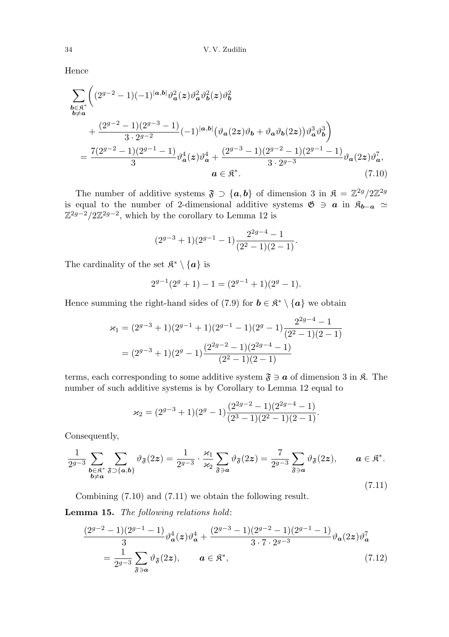Hence

$$
\sum_{\substack{b \in \mathbb{R}^* \\ b \neq a}} \left( (2^{g-2} - 1)(-1)^{|a,b|} \vartheta_a^2(z) \vartheta_b^2(z) \vartheta_b^2 \right) \n+ \frac{(2^{g-2} - 1)(2^{g-3} - 1)}{3 \cdot 2^{g-2}} (-1)^{|a,b|} \left( \vartheta_a(2z) \vartheta_b + \vartheta_a \vartheta_b(2z) \right) \vartheta_a^3 \vartheta_b^3 \right) \n= \frac{7(2^{g-2} - 1)(2^{g-1} - 1)}{3} \vartheta_a^4(z) \vartheta_a^4 + \frac{(2^{g-3} - 1)(2^{g-2} - 1)(2^{g-1} - 1)}{3 \cdot 2^{g-3}} \vartheta_a(2z) \vartheta_a^7, \na \in \mathbb{R}^*.
$$
\n(7.10)

The number of additive systems  $\mathfrak{F} \supset \{a, b\}$  of dimension 3 in  $\mathfrak{K} = \mathbb{Z}^{2g}/2\mathbb{Z}^{2g}$ is equal to the number of 2-dimensional additive systems  $\mathfrak{G} \ni \mathfrak{a}$  in  $\mathfrak{K}_{\mathfrak{b}-\mathfrak{a}} \simeq$  $\mathbb{Z}^{2g-2}/2\mathbb{Z}^{2g-2}$ , which by the corollary to Lemma 12 is

$$
(2^{g-3}+1)(2^{g-1}-1)\frac{2^{2g-4}-1}{(2^2-1)(2-1)}.
$$

The cardinality of the set  $\mathfrak{K}^* \setminus \{ \mathfrak{a} \}$  is

$$
2^{g-1}(2^g+1) - 1 = (2^{g-1}+1)(2^g-1).
$$

Hence summing the right-hand sides of (7.9) for  $\mathbf{b} \in \mathbb{R}^* \setminus {\mathbf{a}}$  we obtain

$$
\varkappa_1 = (2^{g-3} + 1)(2^{g-1} + 1)(2^{g-1} - 1)(2^g - 1)\frac{2^{2g-4} - 1}{(2^2 - 1)(2 - 1)}
$$
  
=  $(2^{g-3} + 1)(2^g - 1)\frac{(2^{2g-2} - 1)(2^{2g-4} - 1)}{(2^2 - 1)(2 - 1)}$ 

terms, each corresponding to some additive system  $\mathfrak{F} \ni \mathbf{a}$  of dimension 3 in  $\mathfrak{K}$ . The number of such additive systems is by Corollary to Lemma 12 equal to

$$
\varkappa_2 = (2^{g-3} + 1)(2^g - 1)\frac{(2^{2g-2} - 1)(2^{2g-4} - 1)}{(2^3 - 1)(2^2 - 1)(2 - 1)}.
$$

Consequently,

$$
\frac{1}{2^{g-3}} \sum_{\substack{b \in \mathfrak{K}^* \\ b \neq a}} \sum_{\mathfrak{F} \supset \{a,b\}} \vartheta_{\mathfrak{F}}(2z) = \frac{1}{2^{g-3}} \cdot \frac{\varkappa_1}{\varkappa_2} \sum_{\mathfrak{F} \ni a} \vartheta_{\mathfrak{F}}(2z) = \frac{7}{2^{g-3}} \sum_{\mathfrak{F} \ni a} \vartheta_{\mathfrak{F}}(2z), \qquad a \in \mathfrak{K}^*.
$$
\n(7.11)

Combining (7.10) and (7.11) we obtain the following result.

Lemma 15. The following relations hold:

$$
\frac{(2^{g-2}-1)(2^{g-1}-1)}{3}\vartheta_a^4(z)\vartheta_a^4 + \frac{(2^{g-3}-1)(2^{g-2}-1)(2^{g-1}-1)}{3\cdot 7\cdot 2^{g-3}}\vartheta_a(2z)\vartheta_a^7
$$

$$
= \frac{1}{2^{g-3}}\sum_{\mathfrak{F}\ni a}\vartheta_{\mathfrak{F}}(2z), \qquad a \in \mathfrak{K}^*, \tag{7.12}
$$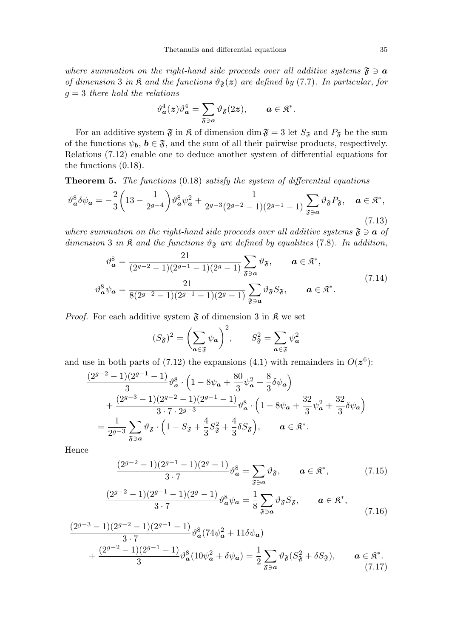where summation on the right-hand side proceeds over all additive systems  $\mathfrak{F} \ni \mathbf{a}$ of dimension 3 in  $\mathfrak{K}$  and the functions  $\vartheta_{\mathfrak{F}}(z)$  are defined by (7.7). In particular, for  $g = 3$  there hold the relations

$$
\vartheta_{\boldsymbol{a}}^4(\boldsymbol{z})\vartheta_{\boldsymbol{a}}^4=\sum_{\mathfrak{F}\ni\boldsymbol{a}}\vartheta_{\mathfrak{F}}(2\boldsymbol{z}),\qquad \boldsymbol{a}\in\mathfrak{K}^*.
$$

For an additive system  $\mathfrak{F}$  in  $\mathfrak{K}$  of dimension dim  $\mathfrak{F} = 3$  let  $S_{\mathfrak{F}}$  and  $P_{\mathfrak{F}}$  be the sum of the functions  $\psi_b$ ,  $b \in \mathfrak{F}$ , and the sum of all their pairwise products, respectively. Relations (7.12) enable one to deduce another system of differential equations for the functions (0.18).

Theorem 5. The functions (0.18) satisfy the system of differential equations

$$
\vartheta_{\mathbf{a}}^{8} \delta \psi_{\mathbf{a}} = -\frac{2}{3} \left( 13 - \frac{1}{2^{g-4}} \right) \vartheta_{\mathbf{a}}^{8} \psi_{\mathbf{a}}^{2} + \frac{1}{2^{g-3} (2^{g-2} - 1)(2^{g-1} - 1)} \sum_{\mathfrak{F} \ni \mathbf{a}} \vartheta_{\mathfrak{F}} P_{\mathfrak{F}}, \quad \mathbf{a} \in \mathfrak{K}^{*}, \tag{7.13}
$$

where summation on the right-hand side proceeds over all additive systems  $\mathfrak{F} \ni \mathbf{a}$  of dimension 3 in  $\mathfrak K$  and the functions  $\vartheta_{\mathfrak F}$  are defined by equalities (7.8). In addition,

$$
\vartheta_{\mathbf{a}}^{8} = \frac{21}{(2^{g-2}-1)(2^{g-1}-1)(2^{g}-1)} \sum_{\mathfrak{F}\ni\mathbf{a}} \vartheta_{\mathfrak{F}}, \qquad \mathbf{a} \in \mathfrak{K}^{*},
$$
  

$$
\vartheta_{\mathbf{a}}^{8} \psi_{\mathbf{a}} = \frac{21}{8(2^{g-2}-1)(2^{g-1}-1)(2^{g}-1)} \sum_{\mathfrak{F}\ni\mathbf{a}} \vartheta_{\mathfrak{F}} S_{\mathfrak{F}}, \qquad \mathbf{a} \in \mathfrak{K}^{*}.
$$
 (7.14)

*Proof.* For each additive system  $\mathfrak{F}$  of dimension 3 in  $\mathfrak{K}$  we set

$$
(S_{\mathfrak{F}})^2 = \left(\sum_{\mathbf{a} \in \mathfrak{F}} \psi_{\mathbf{a}}\right)^2, \qquad S_{\mathfrak{F}}^2 = \sum_{\mathbf{a} \in \mathfrak{F}} \psi_{\mathbf{a}}^2
$$

and use in both parts of (7.12) the expansions (4.1) with remainders in  $O(z^6)$ :

$$
\frac{(2^{g-2}-1)(2^{g-1}-1)}{3} \vartheta_{\mathbf{a}}^{8} \cdot \left(1 - 8\psi_{\mathbf{a}} + \frac{80}{3}\psi_{\mathbf{a}}^{2} + \frac{8}{3}\delta\psi_{\mathbf{a}}\right) \n+ \frac{(2^{g-3}-1)(2^{g-2}-1)(2^{g-1}-1)}{3 \cdot 7 \cdot 2^{g-3}} \vartheta_{\mathbf{a}}^{8} \cdot \left(1 - 8\psi_{\mathbf{a}} + \frac{32}{3}\psi_{\mathbf{a}}^{2} + \frac{32}{3}\delta\psi_{\mathbf{a}}\right) \n= \frac{1}{2^{g-3}} \sum_{\mathfrak{F} \ni \mathbf{a}} \vartheta_{\mathfrak{F}} \cdot \left(1 - S_{\mathfrak{F}} + \frac{4}{3}S_{\mathfrak{F}}^{2} + \frac{4}{3}\delta S_{\mathfrak{F}}\right), \qquad \mathbf{a} \in \mathfrak{K}^{*}.
$$

Hence

$$
\frac{(2^{g-2}-1)(2^{g-1}-1)(2^g-1)}{3\cdot 7}\vartheta^8_{\mathbf{a}} = \sum_{\mathfrak{F}\ni\mathbf{a}}\vartheta_{\mathfrak{F}}, \qquad \mathbf{a}\in\mathfrak{K}^*,\tag{7.15}
$$

$$
\frac{(2^{g-2}-1)(2^{g-1}-1)(2^g-1)}{3\cdot 7} \vartheta_a^8 \psi_a = \frac{1}{8} \sum_{\mathfrak{F}\ni a} \vartheta_{\mathfrak{F}} S_{\mathfrak{F}}, \qquad a \in \mathfrak{K}^*, \tag{7.16}
$$

$$
\frac{(2^{g-3}-1)(2^{g-2}-1)(2^{g-1}-1)}{3\cdot 7} \vartheta_a^8 (74\psi_a^2 + 11\delta\psi_a) + \frac{(2^{g-2}-1)(2^{g-1}-1)}{3} \vartheta_a^8 (10\psi_a^2 + \delta\psi_a) = \frac{1}{2} \sum_{\mathfrak{F}\ni a} \vartheta_\mathfrak{F}(S_\mathfrak{F}^2 + \delta S_\mathfrak{F}), \qquad a \in \mathfrak{K}^*.
$$
\n(7.17)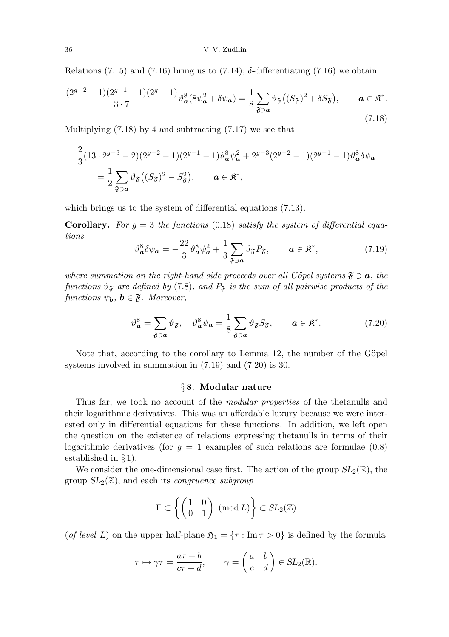Relations (7.15) and (7.16) bring us to (7.14);  $\delta$ -differentiating (7.16) we obtain

$$
\frac{(2^{g-2}-1)(2^{g-1}-1)(2^g-1)}{3\cdot 7}\vartheta_a^8(8\psi_a^2+\delta\psi_a) = \frac{1}{8}\sum_{\mathfrak{F}\ni a}\vartheta_{\mathfrak{F}}\big((S_{\mathfrak{F}})^2+\delta S_{\mathfrak{F}}\big), \qquad a \in \mathfrak{K}^*.
$$
\n(7.18)

Multiplying  $(7.18)$  by 4 and subtracting  $(7.17)$  we see that

$$
\frac{2}{3}(13 \cdot 2^{g-3} - 2)(2^{g-2} - 1)(2^{g-1} - 1)\vartheta_a^8 \psi_a^2 + 2^{g-3}(2^{g-2} - 1)(2^{g-1} - 1)\vartheta_a^8 \delta \psi_a
$$
  
=  $\frac{1}{2} \sum_{\mathfrak{F} \ni a} \vartheta_{\mathfrak{F}}((S_{\mathfrak{F}})^2 - S_{\mathfrak{F}}^2), \qquad a \in \mathfrak{K}^*,$ 

which brings us to the system of differential equations  $(7.13)$ .

**Corollary.** For  $g = 3$  the functions (0.18) satisfy the system of differential equations

$$
\vartheta_a^8 \delta \psi_a = -\frac{22}{3} \vartheta_a^8 \psi_a^2 + \frac{1}{3} \sum_{\mathfrak{F} \ni a} \vartheta_{\mathfrak{F}} P_{\mathfrak{F}}, \qquad a \in \mathfrak{K}^*, \tag{7.19}
$$

where summation on the right-hand side proceeds over all Göpel systems  $\mathfrak{F} \ni \mathbf{a}$ , the functions  $\vartheta_{\mathfrak{F}}$  are defined by (7.8), and  $P_{\mathfrak{F}}$  is the sum of all pairwise products of the functions  $\psi_{\mathbf{b}}$ ,  $\mathbf{b} \in \mathfrak{F}$ . Moreover,

$$
\vartheta_{\mathbf{a}}^8 = \sum_{\mathfrak{F}\ni\mathbf{a}} \vartheta_{\mathfrak{F}}, \quad \vartheta_{\mathbf{a}}^8 \psi_{\mathbf{a}} = \frac{1}{8} \sum_{\mathfrak{F}\ni\mathbf{a}} \vartheta_{\mathfrak{F}} S_{\mathfrak{F}}, \qquad \mathbf{a} \in \mathfrak{K}^*.
$$
 (7.20)

Note that, according to the corollary to Lemma 12, the number of the Göpel systems involved in summation in (7.19) and (7.20) is 30.

### § 8. Modular nature

Thus far, we took no account of the modular properties of the thetanulls and their logarithmic derivatives. This was an affordable luxury because we were interested only in differential equations for these functions. In addition, we left open the question on the existence of relations expressing thetanulls in terms of their logarithmic derivatives (for  $g = 1$  examples of such relations are formulae (0.8) established in § 1).

We consider the one-dimensional case first. The action of the group  $SL_2(\mathbb{R})$ , the group  $SL_2(\mathbb{Z})$ , and each its *congruence subgroup* 

$$
\Gamma \subset \left\{ \begin{pmatrix} 1 & 0 \\ 0 & 1 \end{pmatrix} \; (\text{mod } L) \right\} \subset SL_2(\mathbb{Z})
$$

(of level L) on the upper half-plane  $\mathfrak{H}_1 = {\tau : \text{Im} \tau > 0}$  is defined by the formula

$$
\tau \mapsto \gamma \tau = \frac{a\tau + b}{c\tau + d}, \qquad \gamma = \begin{pmatrix} a & b \\ c & d \end{pmatrix} \in SL_2(\mathbb{R}).
$$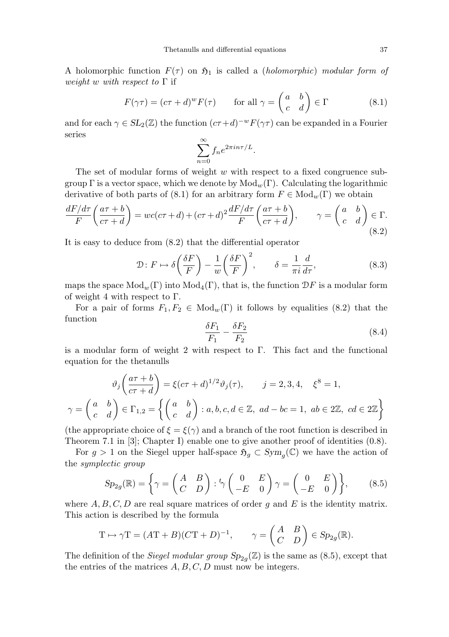A holomorphic function  $F(\tau)$  on  $\mathfrak{H}_1$  is called a *(holomorphic)* modular form of weight w with respect to  $\Gamma$  if

$$
F(\gamma \tau) = (c\tau + d)^w F(\tau) \qquad \text{for all } \gamma = \begin{pmatrix} a & b \\ c & d \end{pmatrix} \in \Gamma \tag{8.1}
$$

and for each  $\gamma \in SL_2(\mathbb{Z})$  the function  $(c\tau + d)^{-w}F(\gamma\tau)$  can be expanded in a Fourier series

$$
\sum_{n=0}^{\infty} f_n e^{2\pi i n \tau/L}.
$$

The set of modular forms of weight  $w$  with respect to a fixed congruence subgroup  $\Gamma$  is a vector space, which we denote by  $Mod_w(\Gamma)$ . Calculating the logarithmic derivative of both parts of (8.1) for an arbitrary form  $F \in Mod_w(\Gamma)$  we obtain

$$
\frac{dF/d\tau}{F}\left(\frac{a\tau+b}{c\tau+d}\right) = wc(c\tau+d) + (c\tau+d)^2 \frac{dF/d\tau}{F}\left(\frac{a\tau+b}{c\tau+d}\right), \qquad \gamma = \begin{pmatrix} a & b \\ c & d \end{pmatrix} \in \Gamma.
$$
\n(8.2)

It is easy to deduce from (8.2) that the differential operator

$$
\mathcal{D}: F \mapsto \delta\left(\frac{\delta F}{F}\right) - \frac{1}{w}\left(\frac{\delta F}{F}\right)^2, \qquad \delta = \frac{1}{\pi i}\frac{d}{d\tau},\tag{8.3}
$$

maps the space  $Mod_w(\Gamma)$  into  $Mod_4(\Gamma)$ , that is, the function  $\mathcal{D}F$  is a modular form of weight 4 with respect to  $\Gamma$ .

For a pair of forms  $F_1, F_2 \in Mod_w(\Gamma)$  it follows by equalities (8.2) that the function

$$
\frac{\delta F_1}{F_1} - \frac{\delta F_2}{F_2} \tag{8.4}
$$

is a modular form of weight 2 with respect to  $\Gamma$ . This fact and the functional equation for the thetanulls

$$
\vartheta_j\left(\frac{a\tau+b}{c\tau+d}\right) = \xi(c\tau+d)^{1/2}\vartheta_j(\tau), \qquad j = 2,3,4, \quad \xi^8 = 1,
$$
  

$$
\gamma = \begin{pmatrix} a & b \\ c & d \end{pmatrix} \in \Gamma_{1,2} = \left\{ \begin{pmatrix} a & b \\ c & d \end{pmatrix} : a,b,c,d \in \mathbb{Z}, \ ad-bc = 1, \ ab \in 2\mathbb{Z}, \ cd \in 2\mathbb{Z} \right\}
$$

(the appropriate choice of  $\xi = \xi(\gamma)$  and a branch of the root function is described in Theorem 7.1 in [3]; Chapter I) enable one to give another proof of identities (0.8).

For  $g > 1$  on the Siegel upper half-space  $\mathfrak{H}_g \subset Sym_g(\mathbb{C})$  we have the action of the symplectic group

$$
Sp_{2g}(\mathbb{R}) = \left\{ \gamma = \begin{pmatrix} A & B \\ C & D \end{pmatrix} : {}^{t}\gamma \begin{pmatrix} 0 & E \\ -E & 0 \end{pmatrix} \gamma = \begin{pmatrix} 0 & E \\ -E & 0 \end{pmatrix} \right\},
$$
(8.5)

where  $A, B, C, D$  are real square matrices of order g and E is the identity matrix. This action is described by the formula

$$
\mathcal{T} \mapsto \gamma \mathcal{T} = (A\mathcal{T} + B)(C\mathcal{T} + D)^{-1}, \qquad \gamma = \begin{pmatrix} A & B \\ C & D \end{pmatrix} \in Sp_{2g}(\mathbb{R}).
$$

The definition of the *Siegel modular group*  $Sp_{2g}(\mathbb{Z})$  is the same as (8.5), except that the entries of the matrices  $A, B, C, D$  must now be integers.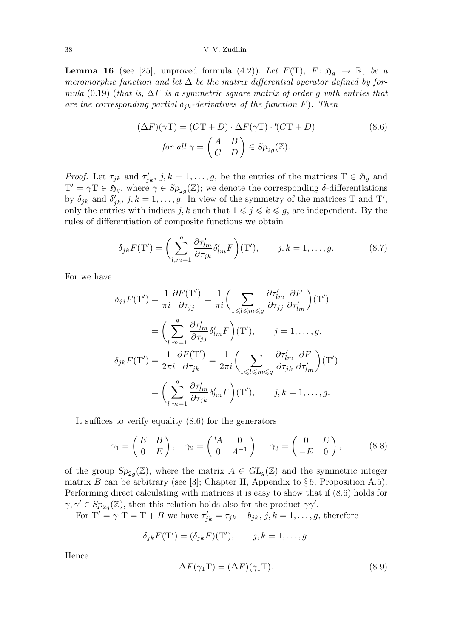#### 38 V. V. Zudilin

**Lemma 16** (see [25]; unproved formula (4.2)). Let  $F(T)$ ,  $F: \mathfrak{H}_g \to \mathbb{R}$ , be a meromorphic function and let  $\Delta$  be the matrix differential operator defined by formula (0.19) (that is,  $\Delta F$  is a symmetric square matrix of order g with entries that are the corresponding partial  $\delta_{jk}$ -derivatives of the function F). Then

$$
(\Delta F)(\gamma T) = (C T + D) \cdot \Delta F(\gamma T) \cdot {}^{t}(C T + D)
$$
\n
$$
\text{for all } \gamma = \begin{pmatrix} A & B \\ C & D \end{pmatrix} \in \text{Sp}_{2g}(\mathbb{Z}).\tag{8.6}
$$

*Proof.* Let  $\tau_{jk}$  and  $\tau'_{jk}$ ,  $j, k = 1, \ldots, g$ , be the entries of the matrices  $T \in \mathfrak{H}_g$  and  $T' = \gamma T \in \mathfrak{H}_g$ , where  $\gamma \in Sp_{2g}(\mathbb{Z})$ ; we denote the corresponding  $\delta$ -differentiations by  $\delta_{jk}$  and  $\delta'_{jk}$ ,  $j, k = 1, \ldots, g$ . In view of the symmetry of the matrices T and T', only the entries with indices  $j, k$  such that  $1 \leqslant j \leqslant k \leqslant g$ , are independent. By the rules of differentiation of composite functions we obtain

$$
\delta_{jk}F(\mathbf{T}') = \left(\sum_{l,m=1}^{g} \frac{\partial \tau'_{lm}}{\partial \tau_{jk}} \delta'_{lm} F\right)(\mathbf{T}'), \qquad j,k = 1,\dots,g. \tag{8.7}
$$

For we have

$$
\delta_{jj}F(\mathbf{T}') = \frac{1}{\pi i} \frac{\partial F(\mathbf{T}')}{\partial \tau_{jj}} = \frac{1}{\pi i} \left( \sum_{1 \leq l \leq m \leq g} \frac{\partial \tau'_{lm}}{\partial \tau_{jj}} \frac{\partial F}{\partial \tau'_{lm}} \right) (\mathbf{T}')
$$
  
\n
$$
= \left( \sum_{l,m=1}^{g} \frac{\partial \tau'_{lm}}{\partial \tau_{jj}} \delta'_{lm} F \right) (\mathbf{T}'), \qquad j = 1, ..., g,
$$
  
\n
$$
\delta_{jk}F(\mathbf{T}') = \frac{1}{2\pi i} \frac{\partial F(\mathbf{T}')}{\partial \tau_{jk}} = \frac{1}{2\pi i} \left( \sum_{1 \leq l \leq m \leq g} \frac{\partial \tau'_{lm}}{\partial \tau_{jk}} \frac{\partial F}{\partial \tau'_{lm}} \right) (\mathbf{T}')
$$
  
\n
$$
= \left( \sum_{l,m=1}^{g} \frac{\partial \tau'_{lm}}{\partial \tau_{jk}} \delta'_{lm} F \right) (\mathbf{T}'), \qquad j, k = 1, ..., g.
$$

It suffices to verify equality (8.6) for the generators

$$
\gamma_1 = \begin{pmatrix} E & B \\ 0 & E \end{pmatrix}, \quad \gamma_2 = \begin{pmatrix} {}^t A & 0 \\ 0 & A^{-1} \end{pmatrix}, \quad \gamma_3 = \begin{pmatrix} 0 & E \\ -E & 0 \end{pmatrix}, \tag{8.8}
$$

of the group  $Sp_{2g}(\mathbb{Z})$ , where the matrix  $A \in GL_g(\mathbb{Z})$  and the symmetric integer matrix B can be arbitrary (see [3]; Chapter II, Appendix to  $\S 5$ , Proposition A.5). Performing direct calculating with matrices it is easy to show that if (8.6) holds for  $\gamma, \gamma' \in Sp_{2g}(\mathbb{Z})$ , then this relation holds also for the product  $\gamma\gamma'$ .

For  $T' = \gamma_1 T = T + B$  we have  $\tau'_{jk} = \tau_{jk} + b_{jk}, j, k = 1, \ldots, g$ , therefore

$$
\delta_{jk}F(\mathbf{T}') = (\delta_{jk}F)(\mathbf{T}'), \qquad j, k = 1, \ldots, g.
$$

Hence

$$
\Delta F(\gamma_1 \mathbf{T}) = (\Delta F)(\gamma_1 \mathbf{T}). \tag{8.9}
$$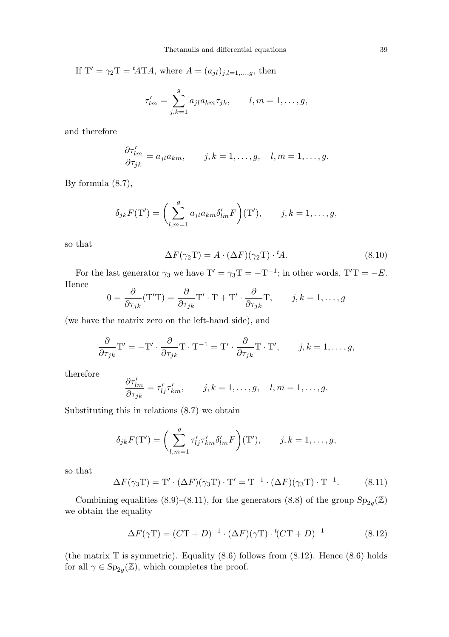If  $T' = \gamma_2 T = {}^{t}ATA$ , where  $A = (a_{jl})_{j,l=1,...,g}$ , then

$$
\tau'_{lm} = \sum_{j,k=1}^g a_{jl} a_{km} \tau_{jk}, \qquad l, m = 1, \dots, g,
$$

and therefore

$$
\frac{\partial \tau'_{lm}}{\partial \tau_{jk}} = a_{jl} a_{km}, \qquad j, k = 1, \dots, g, \quad l, m = 1, \dots, g.
$$

By formula (8.7),

$$
\delta_{jk}F(\mathbf{T}') = \left(\sum_{l,m=1}^g a_{jl}a_{km}\delta'_{lm}F\right)(\mathbf{T}'), \qquad j,k = 1,\ldots,g,
$$

so that

$$
\Delta F(\gamma_2 T) = A \cdot (\Delta F)(\gamma_2 T) \cdot {}^t A. \tag{8.10}
$$

For the last generator  $\gamma_3$  we have  $T' = \gamma_3 T = -T^{-1}$ ; in other words,  $T'T = -E$ . Hence

$$
0 = \frac{\partial}{\partial \tau_{jk}} (\mathbf{T}^{\prime} \mathbf{T}) = \frac{\partial}{\partial \tau_{jk}} \mathbf{T}^{\prime} \cdot \mathbf{T} + \mathbf{T}^{\prime} \cdot \frac{\partial}{\partial \tau_{jk}} \mathbf{T}, \qquad j, k = 1, \dots, g
$$

(we have the matrix zero on the left-hand side), and

$$
\frac{\partial}{\partial \tau_{jk}} \mathbf{T}' = -\mathbf{T}' \cdot \frac{\partial}{\partial \tau_{jk}} \mathbf{T} \cdot \mathbf{T}^{-1} = \mathbf{T}' \cdot \frac{\partial}{\partial \tau_{jk}} \mathbf{T} \cdot \mathbf{T}', \qquad j, k = 1, \dots, g,
$$

therefore

$$
\frac{\partial \tau'_{lm}}{\partial \tau_{jk}} = \tau'_{lj} \tau'_{km}, \qquad j, k = 1, \dots, g, \quad l, m = 1, \dots, g.
$$

Substituting this in relations (8.7) we obtain

$$
\delta_{jk}F(\mathbf{T}') = \left(\sum_{l,m=1}^g \tau'_{lj}\tau'_{km}\delta'_{lm}F\right)(\mathbf{T}'), \qquad j,k = 1,\ldots,g,
$$

so that

$$
\Delta F(\gamma_3 T) = T' \cdot (\Delta F)(\gamma_3 T) \cdot T' = T^{-1} \cdot (\Delta F)(\gamma_3 T) \cdot T^{-1}.
$$
 (8.11)

Combining equalities (8.9)–(8.11), for the generators (8.8) of the group  $Sp_{2g}(\mathbb{Z})$ we obtain the equality

$$
\Delta F(\gamma \mathbf{T}) = (C\mathbf{T} + D)^{-1} \cdot (\Delta F)(\gamma \mathbf{T}) \cdot {}^{t}(C\mathbf{T} + D)^{-1}
$$
\n(8.12)

(the matrix T is symmetric). Equality  $(8.6)$  follows from  $(8.12)$ . Hence  $(8.6)$  holds for all  $\gamma \in Sp_{2g}(\mathbb{Z})$ , which completes the proof.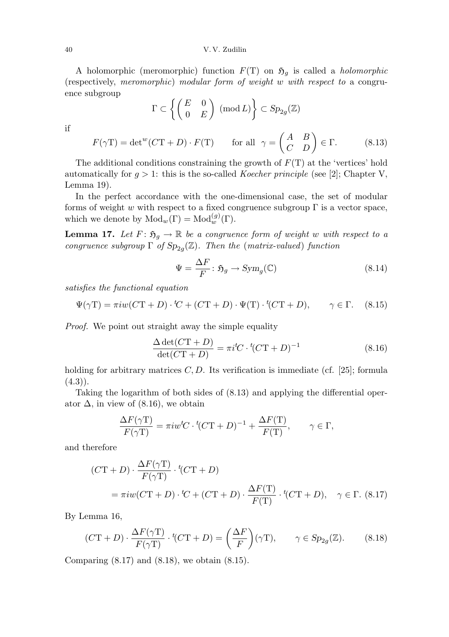A holomorphic (meromorphic) function  $F(T)$  on  $\mathfrak{H}_g$  is called a *holomorphic* (respectively, meromorphic) modular form of weight w with respect to a congruence subgroup

$$
\Gamma \subset \left\{ \begin{pmatrix} E & 0 \\ 0 & E \end{pmatrix} \pmod{L} \right\} \subset Sp_{2g}(\mathbb{Z})
$$

if

$$
F(\gamma \mathbf{T}) = \det^w (C\mathbf{T} + D) \cdot F(\mathbf{T}) \qquad \text{for all} \ \ \gamma = \begin{pmatrix} A & B \\ C & D \end{pmatrix} \in \Gamma. \tag{8.13}
$$

The additional conditions constraining the growth of  $F(T)$  at the 'vertices' hold automatically for  $g > 1$ : this is the so-called *Koecher principle* (see [2]; Chapter V, Lemma 19).

In the perfect accordance with the one-dimensional case, the set of modular forms of weight w with respect to a fixed congruence subgroup  $\Gamma$  is a vector space, which we denote by  $Mod_w(\Gamma) = Mod_w^{(g)}(\Gamma)$ .

**Lemma 17.** Let  $F: \mathfrak{H}_q \to \mathbb{R}$  be a congruence form of weight w with respect to a congruence subgroup  $\Gamma$  of  $Sp_{2g}(\mathbb{Z})$ . Then the (matrix-valued) function

$$
\Psi = \frac{\Delta F}{F} : \mathfrak{H}_g \to \text{Sym}_g(\mathbb{C}) \tag{8.14}
$$

satisfies the functional equation

$$
\Psi(\gamma \mathbf{T}) = \pi i w (C\mathbf{T} + D) \cdot {}^t C + (C\mathbf{T} + D) \cdot \Psi(\mathbf{T}) \cdot {}^t (C\mathbf{T} + D), \qquad \gamma \in \Gamma. \tag{8.15}
$$

Proof. We point out straight away the simple equality

$$
\frac{\Delta \det(C\mathbf{T} + D)}{\det(C\mathbf{T} + D)} = \pi i^t C \cdot {}^t (C\mathbf{T} + D)^{-1}
$$
\n(8.16)

holding for arbitrary matrices  $C, D$ . Its verification is immediate (cf. [25]; formula  $(4.3)$ .

Taking the logarithm of both sides of (8.13) and applying the differential operator  $\Delta$ , in view of (8.16), we obtain

$$
\frac{\Delta F(\gamma \mathbf{T})}{F(\gamma \mathbf{T})} = \pi i w^t C \cdot {}^t (C\mathbf{T} + D)^{-1} + \frac{\Delta F(\mathbf{T})}{F(\mathbf{T})}, \qquad \gamma \in \Gamma,
$$

and therefore

$$
(C\mathbf{T} + D) \cdot \frac{\Delta F(\gamma \mathbf{T})}{F(\gamma \mathbf{T})} \cdot {}^{t}(C\mathbf{T} + D)
$$
  
=  $\pi i w (C\mathbf{T} + D) \cdot {}^{t}C + (C\mathbf{T} + D) \cdot \frac{\Delta F(\mathbf{T})}{F(\mathbf{T})} \cdot {}^{t}(C\mathbf{T} + D), \quad \gamma \in \Gamma.$  (8.17)

By Lemma 16,

$$
(C\mathbf{T} + D) \cdot \frac{\Delta F(\gamma \mathbf{T})}{F(\gamma \mathbf{T})} \cdot {}^{t}(C\mathbf{T} + D) = \left(\frac{\Delta F}{F}\right)(\gamma \mathbf{T}), \qquad \gamma \in Sp_{2g}(\mathbb{Z}). \tag{8.18}
$$

Comparing  $(8.17)$  and  $(8.18)$ , we obtain  $(8.15)$ .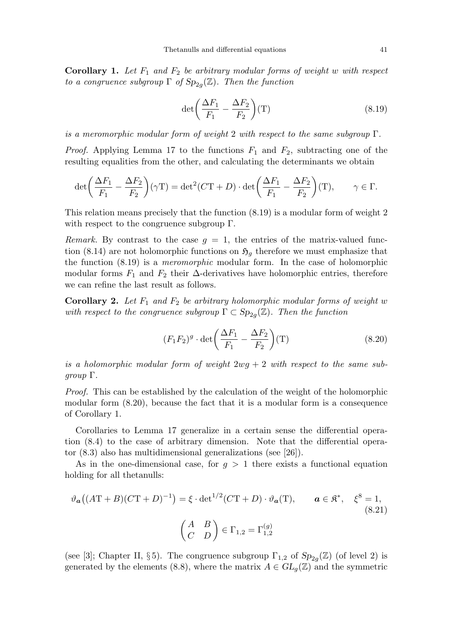**Corollary 1.** Let  $F_1$  and  $F_2$  be arbitrary modular forms of weight w with respect to a congruence subgroup  $\Gamma$  of  $Sp_{2g}(\mathbb{Z})$ . Then the function

$$
\det\left(\frac{\Delta F_1}{F_1} - \frac{\Delta F_2}{F_2}\right)(T) \tag{8.19}
$$

is a meromorphic modular form of weight 2 with respect to the same subgroup  $\Gamma$ .

*Proof.* Applying Lemma 17 to the functions  $F_1$  and  $F_2$ , subtracting one of the resulting equalities from the other, and calculating the determinants we obtain

$$
\det\left(\frac{\Delta F_1}{F_1} - \frac{\Delta F_2}{F_2}\right)(\gamma T) = \det^2(CT + D) \cdot \det\left(\frac{\Delta F_1}{F_1} - \frac{\Delta F_2}{F_2}\right)(T), \qquad \gamma \in \Gamma.
$$

This relation means precisely that the function (8.19) is a modular form of weight 2 with respect to the congruence subgroup Γ.

Remark. By contrast to the case  $q = 1$ , the entries of the matrix-valued function (8.14) are not holomorphic functions on  $\mathfrak{H}_q$  therefore we must emphasize that the function (8.19) is a meromorphic modular form. In the case of holomorphic modular forms  $F_1$  and  $F_2$  their  $\Delta$ -derivatives have holomorphic entries, therefore we can refine the last result as follows.

**Corollary 2.** Let  $F_1$  and  $F_2$  be arbitrary holomorphic modular forms of weight w with respect to the congruence subgroup  $\Gamma \subset \text{Sp}_{2g}(\mathbb{Z})$ . Then the function

$$
(F_1 F_2)^g \cdot \det \left( \frac{\Delta F_1}{F_1} - \frac{\Delta F_2}{F_2} \right) (T)
$$
 (8.20)

is a holomorphic modular form of weight  $2wg + 2$  with respect to the same sub $qroup \Gamma.$ 

Proof. This can be established by the calculation of the weight of the holomorphic modular form (8.20), because the fact that it is a modular form is a consequence of Corollary 1.

Corollaries to Lemma 17 generalize in a certain sense the differential operation (8.4) to the case of arbitrary dimension. Note that the differential operator (8.3) also has multidimensional generalizations (see [26]).

As in the one-dimensional case, for  $g > 1$  there exists a functional equation holding for all thetanulls:

$$
\vartheta_a((AT+B)(CT+D)^{-1}) = \xi \cdot \det^{1/2}(CT+D) \cdot \vartheta_a(T), \qquad a \in \mathfrak{K}^*, \quad \xi^8 = 1,
$$
\n(8.21)\n
$$
\begin{pmatrix} A & B \\ C & D \end{pmatrix} \in \Gamma_{1,2} = \Gamma_{1,2}^{(g)}
$$

(see [3]; Chapter II, §5). The congruence subgroup  $\Gamma_{1,2}$  of  $Sp_{2g}(\mathbb{Z})$  (of level 2) is generated by the elements (8.8), where the matrix  $A \in GL_q(\mathbb{Z})$  and the symmetric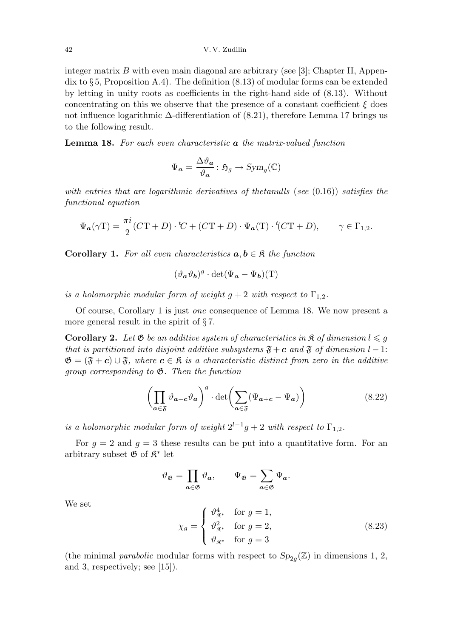integer matrix  $B$  with even main diagonal are arbitrary (see [3]; Chapter II, Appendix to  $\S 5$ , Proposition A.4). The definition  $(8.13)$  of modular forms can be extended by letting in unity roots as coefficients in the right-hand side of (8.13). Without concentrating on this we observe that the presence of a constant coefficient  $\xi$  does not influence logarithmic  $\Delta$ -differentiation of (8.21), therefore Lemma 17 brings us to the following result.

**Lemma 18.** For each even characteristic **a** the matrix-valued function

$$
\Psi_{\mathbf{a}} = \frac{\Delta \vartheta_{\mathbf{a}}}{\vartheta_{\mathbf{a}}} \colon \mathfrak{H}_g \to \text{Sym}_g(\mathbb{C})
$$

with entries that are logarithmic derivatives of thetanulls (see  $(0.16)$ ) satisfies the functional equation

$$
\Psi_{\mathbf{a}}(\gamma \mathbf{T}) = \frac{\pi i}{2} (C\mathbf{T} + D) \cdot {}^t C + (C\mathbf{T} + D) \cdot \Psi_{\mathbf{a}}(\mathbf{T}) \cdot {}^t (C\mathbf{T} + D), \qquad \gamma \in \Gamma_{1,2}.
$$

**Corollary 1.** For all even characteristics  $a, b \in \mathcal{R}$  the function

$$
(\vartheta_{\boldsymbol{a}}\vartheta_{\boldsymbol{b}})^{g}\cdot\det(\Psi_{\boldsymbol{a}}-\Psi_{\boldsymbol{b}})(T)
$$

is a holomorphic modular form of weight  $g + 2$  with respect to  $\Gamma_{1,2}$ .

Of course, Corollary 1 is just one consequence of Lemma 18. We now present a more general result in the spirit of  $\S 7$ .

**Corollary 2.** Let  $\mathfrak{G}$  be an additive system of characteristics in  $\mathfrak{K}$  of dimension  $l \leq g$ that is partitioned into disjoint additive subsystems  $\mathfrak{F} + c$  and  $\mathfrak{F}$  of dimension l – 1:  $\mathfrak{G} = (\mathfrak{F} + c) \cup \mathfrak{F}$ , where  $c \in \mathfrak{K}$  is a characteristic distinct from zero in the additive group corresponding to  $\mathfrak{G}$ . Then the function

$$
\left(\prod_{a\in\mathfrak{F}}\vartheta_{a+c}\vartheta_a\right)^g \cdot \det\left(\sum_{a\in\mathfrak{F}}(\Psi_{a+c}-\Psi_a)\right) \tag{8.22}
$$

is a holomorphic modular form of weight  $2^{l-1}g + 2$  with respect to  $\Gamma_{1,2}$ .

For  $g = 2$  and  $g = 3$  these results can be put into a quantitative form. For an arbitrary subset  $\mathfrak{G}$  of  $\mathfrak{K}^*$  let

$$
\vartheta_{\mathfrak{G}} = \prod_{a \in \mathfrak{G}} \vartheta_a, \qquad \Psi_{\mathfrak{G}} = \sum_{a \in \mathfrak{G}} \Psi_a.
$$

$$
\chi_g = \begin{cases} \vartheta_{\mathfrak{K}^*}^4 & \text{for } g = 1, \\ \vartheta_{\mathfrak{K}^*}^2 & \text{for } g = 2, \\ \vartheta_{\mathfrak{K}^*}^2 & \text{for } g = 3 \end{cases}
$$
(8.23)

We set

(the minimal *parabolic* modular forms with respect to  $Sp_{2g}(\mathbb{Z})$  in dimensions 1, 2, and 3, respectively; see [15]).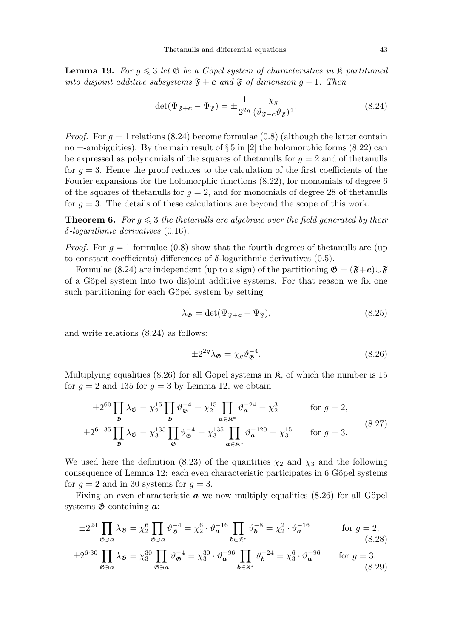**Lemma 19.** For  $g \leq 3$  let  $\mathfrak{G}$  be a Göpel system of characteristics in  $\mathfrak{K}$  partitioned into disjoint additive subsystems  $\mathfrak{F} + c$  and  $\mathfrak{F}$  of dimension  $g - 1$ . Then

$$
\det(\Psi_{\mathfrak{F}+\mathbf{c}} - \Psi_{\mathfrak{F}}) = \pm \frac{1}{2^{2g}} \frac{\chi_g}{(\vartheta_{\mathfrak{F}+\mathbf{c}} \vartheta_{\mathfrak{F}})^4}.
$$
\n(8.24)

*Proof.* For  $g = 1$  relations (8.24) become formulae (0.8) (although the latter contain no  $\pm$ -ambiguities). By the main result of § 5 in [2] the holomorphic forms (8.22) can be expressed as polynomials of the squares of the tanulls for  $g = 2$  and of the tanulls for  $g = 3$ . Hence the proof reduces to the calculation of the first coefficients of the Fourier expansions for the holomorphic functions (8.22), for monomials of degree 6 of the squares of thetanulls for  $g = 2$ , and for monomials of degree 28 of thetanulls for  $g = 3$ . The details of these calculations are beyond the scope of this work.

**Theorem 6.** For  $g \leq 3$  the thetanulls are algebraic over the field generated by their  $\delta$ -logarithmic derivatives (0.16).

*Proof.* For  $q = 1$  formulae (0.8) show that the fourth degrees of thetanulls are (up to constant coefficients) differences of δ-logarithmic derivatives (0.5).

Formulae (8.24) are independent (up to a sign) of the partitioning  $\mathfrak{G} = (\mathfrak{F} + c) \cup \mathfrak{F}$ of a Göpel system into two disjoint additive systems. For that reason we fix one such partitioning for each Göpel system by setting

$$
\lambda_{\mathfrak{G}} = \det(\Psi_{\mathfrak{F}+\mathbf{c}} - \Psi_{\mathfrak{F}}),\tag{8.25}
$$

and write relations (8.24) as follows:

$$
\pm 2^{2g} \lambda_{\mathfrak{G}} = \chi_g \vartheta_{\mathfrak{G}}^{-4}.
$$
 (8.26)

Multiplying equalities (8.26) for all Göpel systems in  $\mathfrak{K}$ , of which the number is 15 for  $q = 2$  and 135 for  $q = 3$  by Lemma 12, we obtain

$$
\pm 2^{60} \prod_{\mathfrak{G}} \lambda_{\mathfrak{G}} = \chi_2^{15} \prod_{\mathfrak{G}} \vartheta_{\mathfrak{G}}^{-4} = \chi_2^{15} \prod_{a \in \mathfrak{K}^*} \vartheta_a^{-24} = \chi_2^3 \quad \text{for } g = 2,
$$
  

$$
\pm 2^{6 \cdot 135} \prod_{\mathfrak{G}} \lambda_{\mathfrak{G}} = \chi_3^{135} \prod_{\mathfrak{G}} \vartheta_{\mathfrak{G}}^{-4} = \chi_3^{135} \prod_{a \in \mathfrak{K}^*} \vartheta_a^{-120} = \chi_3^{15} \quad \text{for } g = 3.
$$
 (8.27)

We used here the definition (8.23) of the quantities  $\chi_2$  and  $\chi_3$  and the following consequence of Lemma 12: each even characteristic participates in 6 Göpel systems for  $g = 2$  and in 30 systems for  $g = 3$ .

Fixing an even characteristic  $\boldsymbol{a}$  we now multiply equalities (8.26) for all Göpel systems  $\mathfrak{G}$  containing  $a$ :

$$
\pm 2^{24} \prod_{\mathfrak{G}\ni\mathfrak{a}} \lambda_{\mathfrak{G}} = \chi_2^6 \prod_{\mathfrak{G}\ni\mathfrak{a}} \vartheta_{\mathfrak{G}}^{-4} = \chi_2^6 \cdot \vartheta_{\mathfrak{a}}^{-16} \prod_{\mathfrak{b}\in\mathfrak{K}^*} \vartheta_{\mathfrak{b}}^{-8} = \chi_2^2 \cdot \vartheta_{\mathfrak{a}}^{-16} \qquad \text{for } g = 2,
$$
\n(8.28)

$$
\pm 2^{6\cdot 30} \prod_{\mathfrak{G}\ni\mathfrak{a}} \lambda_{\mathfrak{G}} = \chi_3^{30} \prod_{\mathfrak{G}\ni\mathfrak{a}} \vartheta_{\mathfrak{G}}^{-4} = \chi_3^{30} \cdot \vartheta_{\mathfrak{a}}^{-96} \prod_{\mathfrak{b}\in\mathfrak{K}^*} \vartheta_{\mathfrak{b}}^{-24} = \chi_3^6 \cdot \vartheta_{\mathfrak{a}}^{-96} \qquad \text{for } g = 3.
$$
\n(8.29)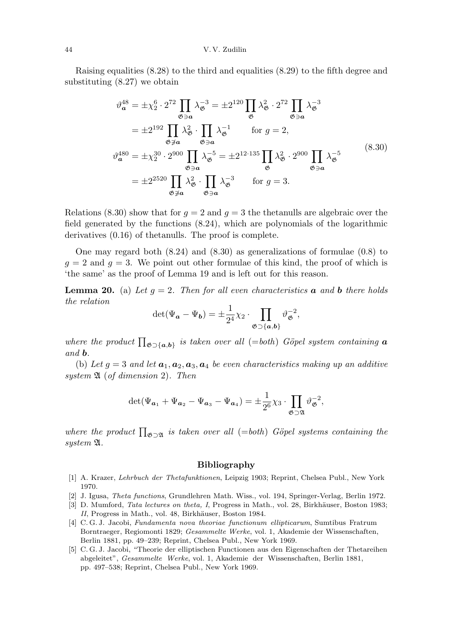#### 44 V. V. Zudilin

Raising equalities (8.28) to the third and equalities (8.29) to the fifth degree and substituting (8.27) we obtain

$$
\vartheta_{\mathbf{a}}^{48} = \pm \chi_2^6 \cdot 2^{72} \prod_{\mathfrak{G} \ni \mathfrak{a}} \lambda_{\mathfrak{G}}^{-3} = \pm 2^{120} \prod_{\mathfrak{G}} \lambda_{\mathfrak{G}}^2 \cdot 2^{72} \prod_{\mathfrak{G} \ni \mathfrak{a}} \lambda_{\mathfrak{G}}^{-3}
$$
  
\n
$$
= \pm 2^{192} \prod_{\mathfrak{G} \ni \mathfrak{a}} \lambda_{\mathfrak{G}}^2 \cdot \prod_{\mathfrak{G} \ni \mathfrak{a}} \lambda_{\mathfrak{G}}^{-1} \quad \text{for } g = 2,
$$
  
\n
$$
\vartheta_{\mathbf{a}}^{480} = \pm \chi_2^{30} \cdot 2^{900} \prod_{\mathfrak{G} \ni \mathfrak{a}} \lambda_{\mathfrak{G}}^{-5} = \pm 2^{12 \cdot 135} \prod_{\mathfrak{G}} \lambda_{\mathfrak{G}}^2 \cdot 2^{900} \prod_{\mathfrak{G} \ni \mathfrak{a}} \lambda_{\mathfrak{G}}^{-5}
$$
  
\n
$$
= \pm 2^{2520} \prod_{\mathfrak{G} \ni \mathfrak{a}} \lambda_{\mathfrak{G}}^2 \cdot \prod_{\mathfrak{G} \ni \mathfrak{a}} \lambda_{\mathfrak{G}}^{-3} \quad \text{for } g = 3.
$$
  
\n(8.30)

Relations (8.30) show that for  $g = 2$  and  $g = 3$  the thetanulls are algebraic over the field generated by the functions (8.24), which are polynomials of the logarithmic derivatives (0.16) of thetanulls. The proof is complete.

One may regard both (8.24) and (8.30) as generalizations of formulae (0.8) to  $g = 2$  and  $g = 3$ . We point out other formulae of this kind, the proof of which is 'the same' as the proof of Lemma 19 and is left out for this reason.

**Lemma 20.** (a) Let  $g = 2$ . Then for all even characteristics **a** and **b** there holds the relation

$$
\det(\Psi_{\boldsymbol{a}} - \Psi_{\boldsymbol{b}}) = \pm \frac{1}{2^4} \chi_2 \cdot \prod_{\mathfrak{G} \supset \{\boldsymbol{a}, \boldsymbol{b}\}} \vartheta_{\mathfrak{G}}^{-2},
$$

where the product  $\prod_{\mathfrak{G}\supset\{\boldsymbol{a},\boldsymbol{b}\}}$  is taken over all (=both) Göpel system containing  $\boldsymbol{a}$ and b.

(b) Let  $g = 3$  and let  $a_1, a_2, a_3, a_4$  be even characteristics making up an additive system  $\mathfrak A$  (of dimension 2). Then

$$
\det(\Psi_{\mathbf{a}_1} + \Psi_{\mathbf{a}_2} - \Psi_{\mathbf{a}_3} - \Psi_{\mathbf{a}_4}) = \pm \frac{1}{2^6} \chi_3 \cdot \prod_{\mathfrak{G} \supset \mathfrak{A}} \vartheta_{\mathfrak{G}}^{-2},
$$

where the product  $\prod_{\mathfrak{G}\supset \mathfrak{A}}$  is taken over all (=both) Göpel systems containing the system A.

#### Bibliography

- [1] A. Krazer, Lehrbuch der Thetafunktionen, Leipzig 1903; Reprint, Chelsea Publ., New York 1970.
- [2] J. Igusa, Theta functions, Grundlehren Math. Wiss., vol. 194, Springer-Verlag, Berlin 1972.
- [3] D. Mumford, *Tata lectures on theta, I*, Progress in Math., vol. 28, Birkhäuser, Boston 1983; II, Progress in Math., vol. 48, Birkhäuser, Boston 1984.
- [4] C. G. J. Jacobi, Fundamenta nova theoriae functionum ellipticarum, Sumtibus Fratrum Borntraeger, Regiomonti 1829; Gesammelte Werke, vol. 1, Akademie der Wissenschaften, Berlin 1881, pp. 49–239; Reprint, Chelsea Publ., New York 1969.
- [5] C. G. J. Jacobi, "Theorie der elliptischen Functionen aus den Eigenschaften der Thetareihen abgeleitet", Gesammelte Werke, vol. 1, Akademie der Wissenschaften, Berlin 1881, pp. 497–538; Reprint, Chelsea Publ., New York 1969.